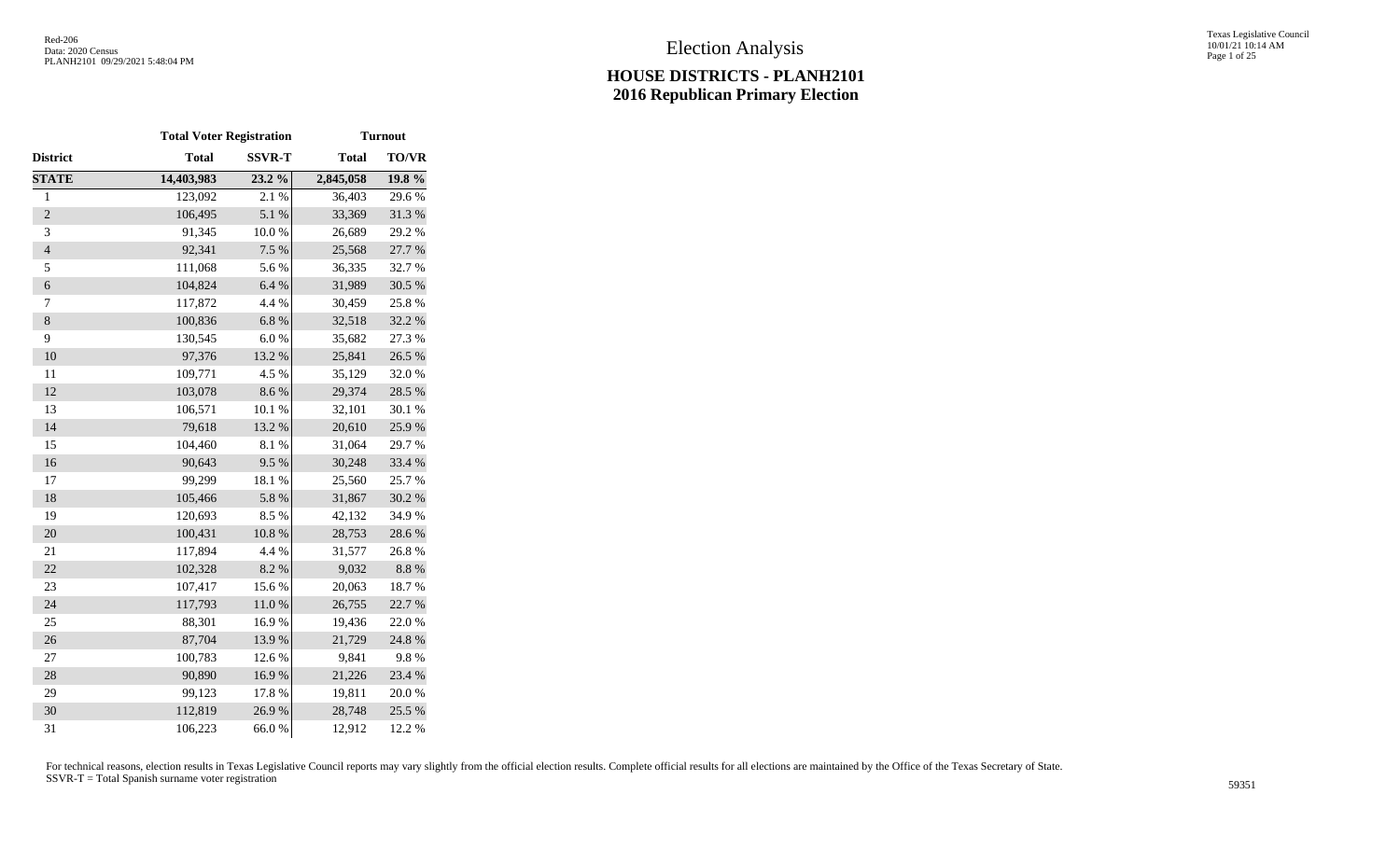Texas Legislative Council 10/01/21 10:14 AM Page 1 of 25

|                | <b>Total Voter Registration</b> |               |              | <b>Turnout</b> |
|----------------|---------------------------------|---------------|--------------|----------------|
| District       | <b>Total</b>                    | <b>SSVR-T</b> | <b>Total</b> | <b>TO/VR</b>   |
| <b>STATE</b>   | 14,403,983                      | 23.2 %        | 2,845,058    | 19.8 %         |
| $\mathbf{1}$   | 123,092                         | 2.1 %         | 36,403       | 29.6%          |
| $\overline{c}$ | 106,495                         | 5.1 %         | 33,369       | 31.3%          |
| 3              | 91,345                          | $10.0~\%$     | 26,689       | 29.2 %         |
| $\overline{4}$ | 92,341                          | 7.5 %         | 25,568       | 27.7 %         |
| 5              | 111,068                         | 5.6%          | 36,335       | 32.7 %         |
| 6              | 104,824                         | 6.4%          | 31,989       | 30.5 %         |
| 7              | 117,872                         | 4.4 %         | 30,459       | 25.8%          |
| $\,8$          | 100,836                         | 6.8%          | 32,518       | 32.2 %         |
| 9              | 130,545                         | $6.0%$        | 35,682       | 27.3 %         |
| 10             | 97,376                          | 13.2 %        | 25,841       | 26.5 %         |
| 11             | 109,771                         | 4.5 %         | 35,129       | 32.0%          |
| 12             | 103,078                         | 8.6 %         | 29,374       | 28.5 %         |
| 13             | 106,571                         | 10.1 %        | 32,101       | 30.1 %         |
| 14             | 79,618                          | 13.2 %        | 20,610       | 25.9%          |
| 15             | 104,460                         | 8.1 %         | 31,064       | 29.7%          |
| 16             | 90,643                          | 9.5%          | 30,248       | 33.4 %         |
| 17             | 99,299                          | 18.1 %        | 25,560       | 25.7%          |
| 18             | 105,466                         | 5.8 %         | 31,867       | 30.2 %         |
| 19             | 120,693                         | 8.5 %         | 42,132       | 34.9%          |
| 20             | 100,431                         | $10.8~\%$     | 28,753       | 28.6%          |
| 21             | 117,894                         | 4.4 %         | 31,577       | 26.8%          |
| 22             | 102,328                         | 8.2 %         | 9,032        | 8.8 %          |
| 23             | 107,417                         | 15.6%         | 20,063       | 18.7%          |
| 24             | 117,793                         | $11.0\ \%$    | 26,755       | 22.7 %         |
| 25             | 88,301                          | 16.9%         | 19,436       | 22.0%          |
| 26             | 87,704                          | 13.9%         | 21,729       | 24.8%          |
| 27             | 100,783                         | 12.6%         | 9,841        | 9.8%           |
| 28             | 90,890                          | 16.9%         | 21,226       | 23.4 %         |
| 29             | 99,123                          | 17.8 %        | 19,811       | 20.0%          |
| 30             | 112,819                         | 26.9%         | 28,748       | 25.5 %         |
| 31             | 106,223                         | 66.0%         | 12,912       | 12.2 %         |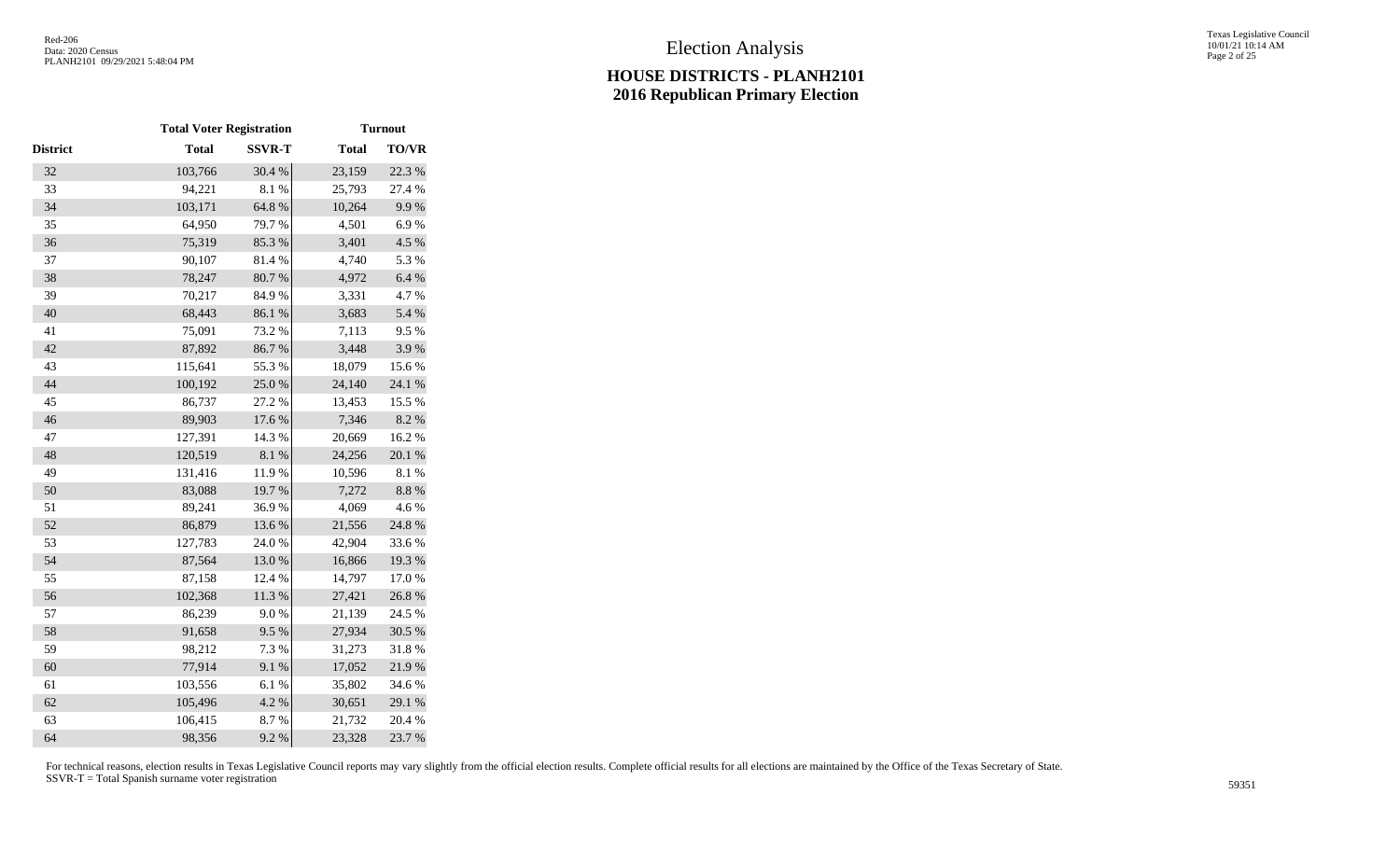|                 | <b>Total Voter Registration</b> |               |              | <b>Turnout</b> |
|-----------------|---------------------------------|---------------|--------------|----------------|
| <b>District</b> | <b>Total</b>                    | <b>SSVR-T</b> | <b>Total</b> | <b>TO/VR</b>   |
| 32              | 103,766                         | 30.4 %        | 23,159       | 22.3 %         |
| 33              | 94,221                          | 8.1%          | 25,793       | 27.4 %         |
| 34              | 103,171                         | 64.8 %        | 10,264       | 9.9%           |
| 35              | 64,950                          | 79.7 %        | 4,501        | 6.9%           |
| 36              | 75,319                          | 85.3%         | 3,401        | 4.5 %          |
| 37              | 90,107                          | 81.4 %        | 4,740        | 5.3%           |
| 38              | 78,247                          | 80.7%         | 4,972        | 6.4 %          |
| 39              | 70,217                          | 84.9%         | 3,331        | 4.7%           |
| 40              | 68,443                          | 86.1 %        | 3,683        | 5.4 %          |
| 41              | 75,091                          | 73.2 %        | 7,113        | 9.5%           |
| 42              | 87,892                          | 86.7%         | 3,448        | 3.9%           |
| 43              | 115,641                         | 55.3%         | 18,079       | 15.6%          |
| 44              | 100,192                         | 25.0%         | 24,140       | 24.1 %         |
| 45              | 86,737                          | 27.2 %        | 13,453       | 15.5 %         |
| 46              | 89,903                          | 17.6 %        | 7,346        | $8.2~\%$       |
| 47              | 127,391                         | 14.3 %        | 20,669       | 16.2%          |
| 48              | 120,519                         | $8.1~\%$      | 24,256       | $20.1~\%$      |
| 49              | 131,416                         | 11.9%         | 10,596       | 8.1%           |
| 50              | 83,088                          | 19.7%         | 7,272        | $8.8~\%$       |
| 51              | 89,241                          | 36.9%         | 4,069        | 4.6%           |
| 52              | 86,879                          | 13.6 %        | 21,556       | 24.8 %         |
| 53              | 127,783                         | 24.0%         | 42,904       | 33.6%          |
| 54              | 87,564                          | 13.0%         | 16,866       | 19.3 %         |
| 55              | 87,158                          | 12.4 %        | 14,797       | 17.0%          |
| 56              | 102,368                         | $11.3\ \%$    | 27,421       | 26.8 %         |
| 57              | 86,239                          | $9.0\;\%$     | 21,139       | 24.5 %         |
| 58              | 91,658                          | 9.5%          | 27,934       | 30.5 %         |
| 59              | 98,212                          | 7.3 %         | 31,273       | 31.8%          |
| 60              | 77,914                          | 9.1%          | 17,052       | 21.9%          |
| 61              | 103,556                         | 6.1%          | 35,802       | 34.6%          |
| 62              | 105,496                         | 4.2 %         | 30,651       | 29.1 %         |
| 63              | 106,415                         | 8.7%          | 21,732       | 20.4 %         |
| 64              | 98,356                          | 9.2 %         | 23,328       | 23.7 %         |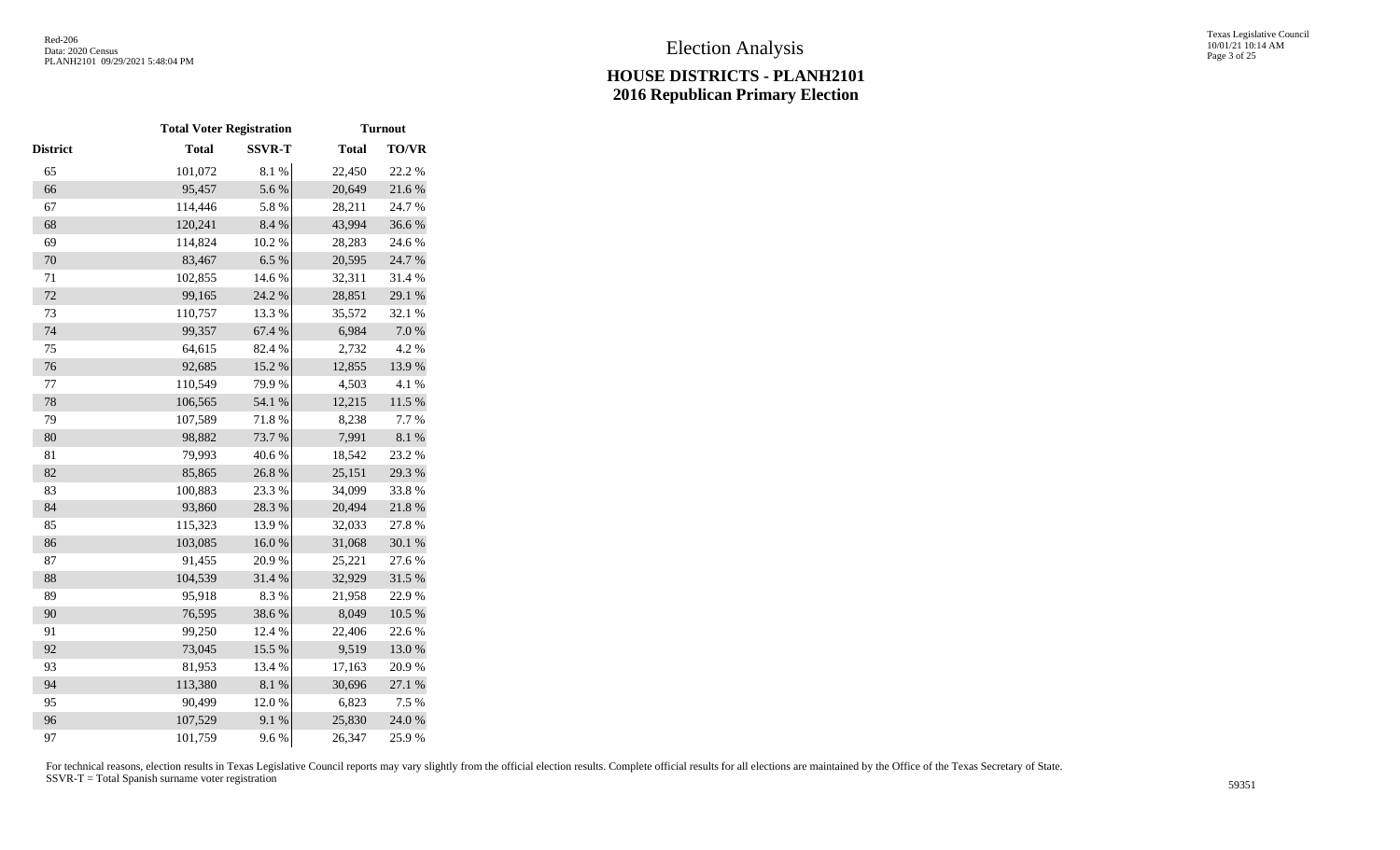|                 | <b>Total Voter Registration</b> |               |              | <b>Turnout</b> |
|-----------------|---------------------------------|---------------|--------------|----------------|
| <b>District</b> | <b>Total</b>                    | <b>SSVR-T</b> | <b>Total</b> | <b>TO/VR</b>   |
| 65              | 101,072                         | $8.1~\%$      | 22,450       | 22.2 %         |
| 66              | 95,457                          | 5.6 %         | 20,649       | 21.6%          |
| 67              | 114,446                         | 5.8 %         | 28,211       | 24.7%          |
| 68              | 120,241                         | 8.4 %         | 43,994       | 36.6%          |
| 69              | 114,824                         | 10.2 %        | 28,283       | 24.6 %         |
| 70              | 83,467                          | 6.5%          | 20,595       | 24.7 %         |
| 71              | 102,855                         | 14.6 %        | 32,311       | 31.4 %         |
| 72              | 99,165                          | 24.2 %        | 28,851       | 29.1 %         |
| 73              | 110,757                         | 13.3 %        | 35,572       | 32.1 %         |
| 74              | 99,357                          | 67.4 %        | 6,984        | $7.0\ \%$      |
| 75              | 64,615                          | 82.4 %        | 2,732        | 4.2 %          |
| 76              | 92,685                          | 15.2 %        | 12,855       | 13.9%          |
| 77              | 110,549                         | 79.9%         | 4,503        | 4.1%           |
| 78              | 106,565                         | 54.1 %        | 12,215       | $11.5\ \%$     |
| 79              | 107,589                         | 71.8%         | 8,238        | 7.7%           |
| 80              | 98,882                          | 73.7 %        | 7,991        | 8.1 %          |
| 81              | 79,993                          | 40.6%         | 18,542       | 23.2 %         |
| 82              | 85,865                          | 26.8 %        | 25,151       | 29.3 %         |
| 83              | 100,883                         | 23.3 %        | 34,099       | 33.8%          |
| 84              | 93,860                          | 28.3 %        | 20,494       | 21.8%          |
| 85              | 115,323                         | 13.9%         | 32,033       | 27.8%          |
| 86              | 103,085                         | 16.0%         | 31,068       | 30.1 %         |
| 87              | 91,455                          | 20.9%         | 25,221       | 27.6 %         |
| 88              | 104,539                         | 31.4%         | 32,929       | 31.5 %         |
| 89              | 95,918                          | 8.3%          | 21,958       | 22.9%          |
| 90              | 76,595                          | 38.6%         | 8,049        | $10.5~\%$      |
| 91              | 99,250                          | 12.4 %        | 22,406       | 22.6 %         |
| 92              | 73,045                          | 15.5 %        | 9,519        | 13.0%          |
| 93              | 81,953                          | 13.4 %        | 17,163       | 20.9%          |
| 94              | 113,380                         | 8.1 %         | 30,696       | 27.1 %         |
| 95              | 90,499                          | 12.0%         | 6,823        | 7.5 %          |
| 96              | 107,529                         | 9.1 %         | 25,830       | 24.0 %         |
| 97              | 101,759                         | 9.6%          | 26,347       | 25.9%          |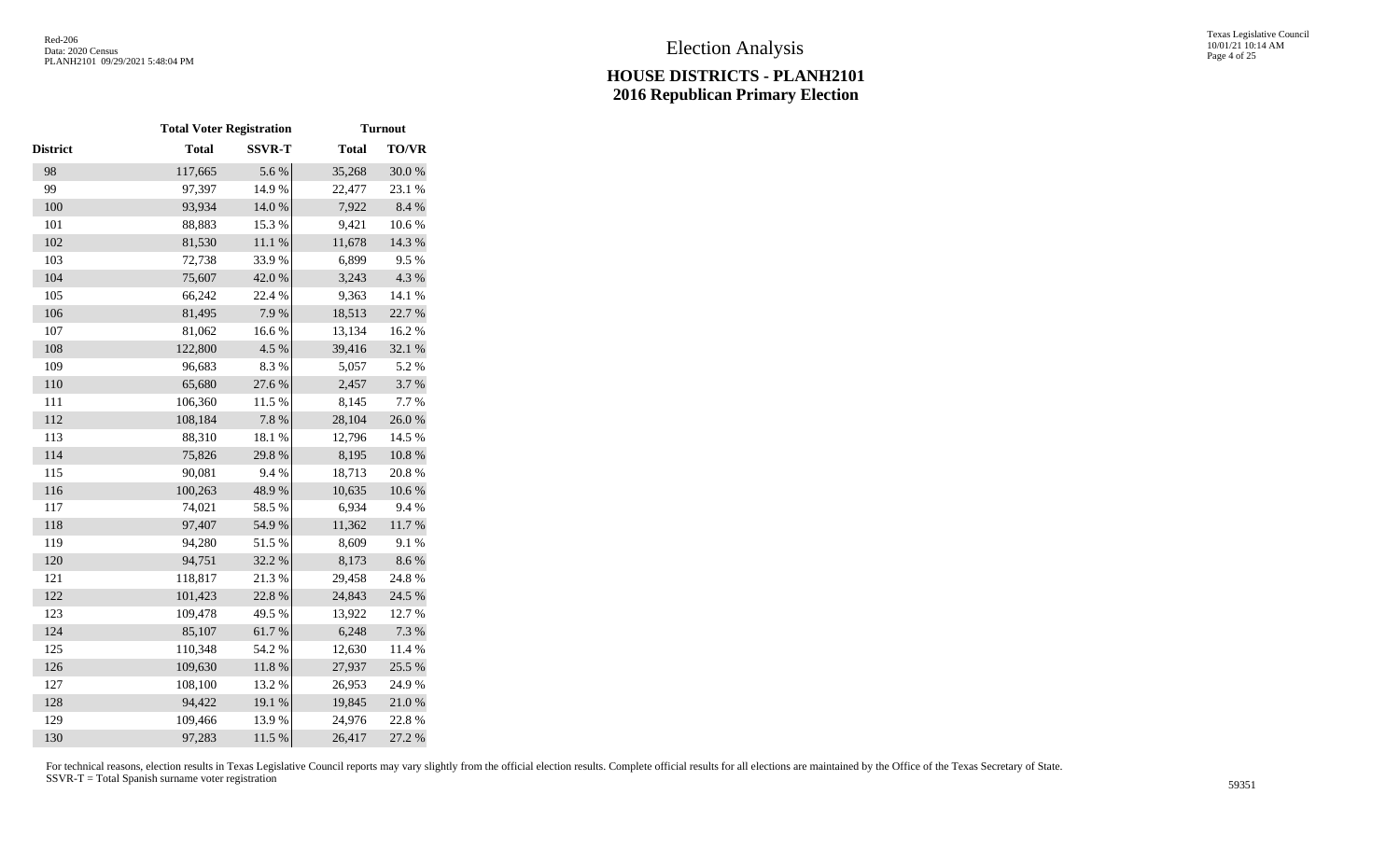|                 | <b>Total Voter Registration</b> |               |              | <b>Turnout</b> |
|-----------------|---------------------------------|---------------|--------------|----------------|
| <b>District</b> | <b>Total</b>                    | <b>SSVR-T</b> | <b>Total</b> | <b>TO/VR</b>   |
| 98              | 117,665                         | 5.6%          | 35,268       | 30.0%          |
| 99              | 97,397                          | 14.9%         | 22,477       | 23.1 %         |
| 100             | 93,934                          | $14.0\ \%$    | 7,922        | 8.4 %          |
| 101             | 88,883                          | 15.3 %        | 9,421        | 10.6%          |
| 102             | 81,530                          | 11.1 %        | 11,678       | 14.3 %         |
| 103             | 72,738                          | 33.9%         | 6,899        | 9.5%           |
| 104             | 75,607                          | 42.0%         | 3,243        | 4.3 %          |
| 105             | 66,242                          | 22.4 %        | 9,363        | 14.1 %         |
| 106             | 81,495                          | 7.9%          | 18,513       | 22.7 %         |
| 107             | 81,062                          | $16.6~\%$     | 13,134       | 16.2%          |
| 108             | 122,800                         | 4.5 %         | 39,416       | 32.1 %         |
| 109             | 96,683                          | 8.3%          | 5,057        | 5.2%           |
| 110             | 65,680                          | 27.6 %        | 2,457        | 3.7%           |
| 111             | 106,360                         | 11.5 %        | 8,145        | 7.7%           |
| 112             | 108,184                         | 7.8 %         | 28,104       | 26.0%          |
| 113             | 88,310                          | 18.1 %        | 12,796       | 14.5 %         |
| 114             | 75,826                          | 29.8%         | 8,195        | $10.8~\%$      |
| 115             | 90,081                          | 9.4%          | 18,713       | 20.8%          |
| 116             | 100,263                         | 48.9%         | 10,635       | 10.6 %         |
| 117             | 74,021                          | 58.5 %        | 6,934        | 9.4%           |
| 118             | 97,407                          | 54.9%         | 11,362       | $11.7\ \%$     |
| 119             | 94,280                          | 51.5%         | 8,609        | 9.1%           |
| 120             | 94,751                          | 32.2 %        | 8,173        | 8.6%           |
| 121             | 118,817                         | 21.3%         | 29,458       | 24.8 %         |
| 122             | 101,423                         | 22.8 %        | 24,843       | 24.5 %         |
| 123             | 109,478                         | 49.5 %        | 13,922       | 12.7 %         |
| 124             | 85,107                          | $61.7\ \%$    | 6,248        | 7.3 %          |
| 125             | 110,348                         | 54.2 %        | 12,630       | 11.4 %         |
| 126             | 109,630                         | $11.8\ \%$    | 27,937       | 25.5 %         |
| 127             | 108,100                         | 13.2 %        | 26,953       | 24.9%          |
| 128             | 94,422                          | 19.1 %        | 19,845       | 21.0%          |
| 129             | 109,466                         | 13.9%         | 24,976       | 22.8%          |
| 130             | 97,283                          | 11.5 %        | 26,417       | 27.2 %         |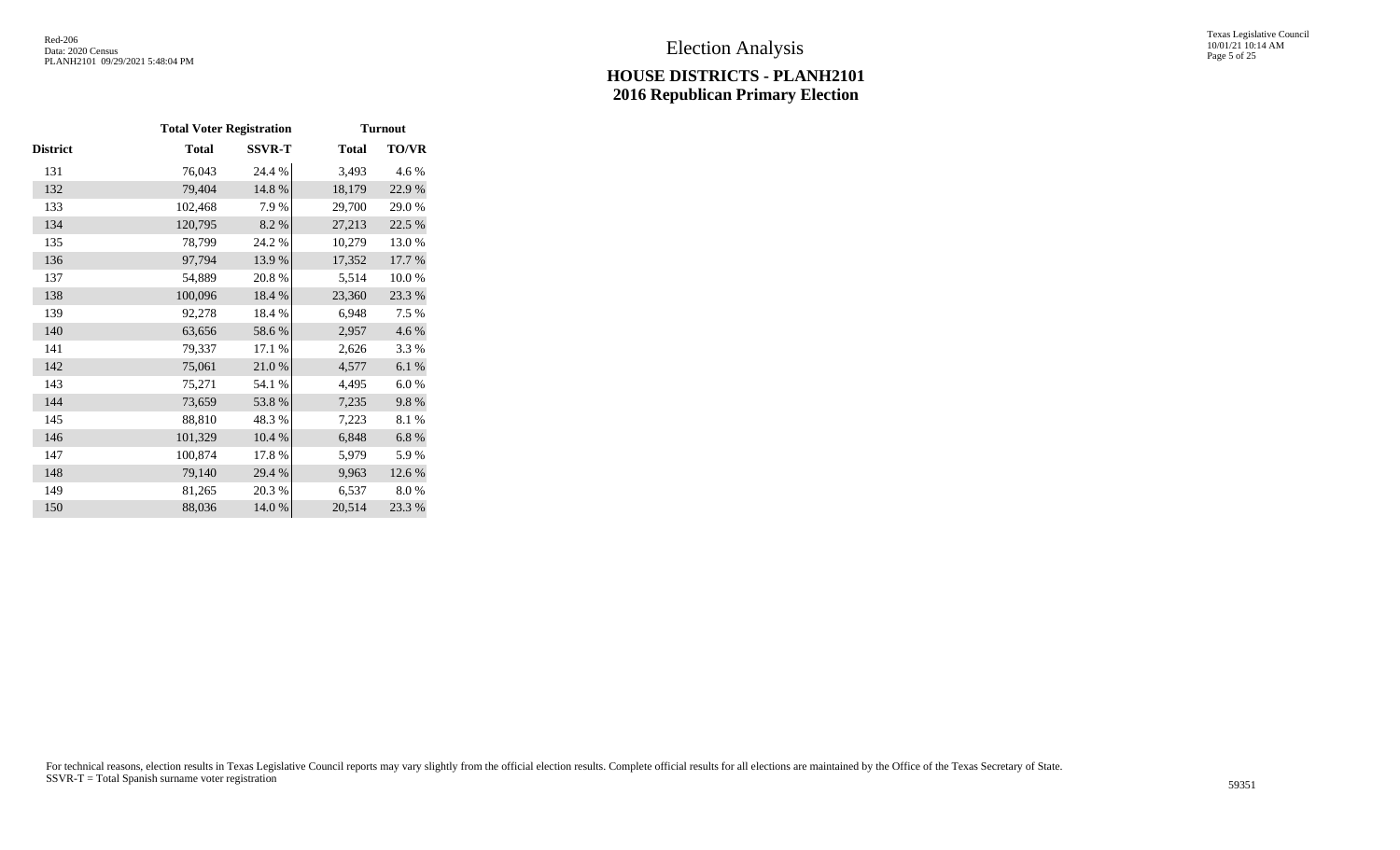Texas Legislative Council 10/01/21 10:14 AM Page 5 of 25

|          | <b>Total Voter Registration</b> |               |              | <b>Turnout</b> |
|----------|---------------------------------|---------------|--------------|----------------|
| District | <b>Total</b>                    | <b>SSVR-T</b> | <b>Total</b> | TO/VR          |
| 131      | 76,043                          | 24.4 %        | 3,493        | 4.6 %          |
| 132      | 79,404                          | 14.8%         | 18,179       | 22.9%          |
| 133      | 102,468                         | 7.9 %         | 29,700       | 29.0%          |
| 134      | 120,795                         | 8.2%          | 27,213       | 22.5 %         |
| 135      | 78,799                          | 24.2 %        | 10,279       | 13.0%          |
| 136      | 97,794                          | 13.9%         | 17,352       | 17.7 %         |
| 137      | 54,889                          | 20.8%         | 5,514        | 10.0%          |
| 138      | 100,096                         | 18.4 %        | 23,360       | 23.3 %         |
| 139      | 92,278                          | 18.4 %        | 6,948        | 7.5 %          |
| 140      | 63,656                          | 58.6%         | 2,957        | 4.6 %          |
| 141      | 79,337                          | 17.1 %        | 2,626        | 3.3 %          |
| 142      | 75,061                          | 21.0%         | 4,577        | $6.1~\%$       |
| 143      | 75,271                          | 54.1 %        | 4,495        | 6.0%           |
| 144      | 73,659                          | 53.8%         | 7,235        | 9.8%           |
| 145      | 88,810                          | 48.3%         | 7,223        | 8.1%           |
| 146      | 101,329                         | 10.4 %        | 6,848        | $6.8~\%$       |
| 147      | 100,874                         | 17.8%         | 5,979        | 5.9%           |
| 148      | 79,140                          | 29.4 %        | 9,963        | 12.6 %         |
| 149      | 81,265                          | 20.3 %        | 6,537        | 8.0%           |
| 150      | 88,036                          | 14.0 %        | 20,514       | 23.3 %         |
|          |                                 |               |              |                |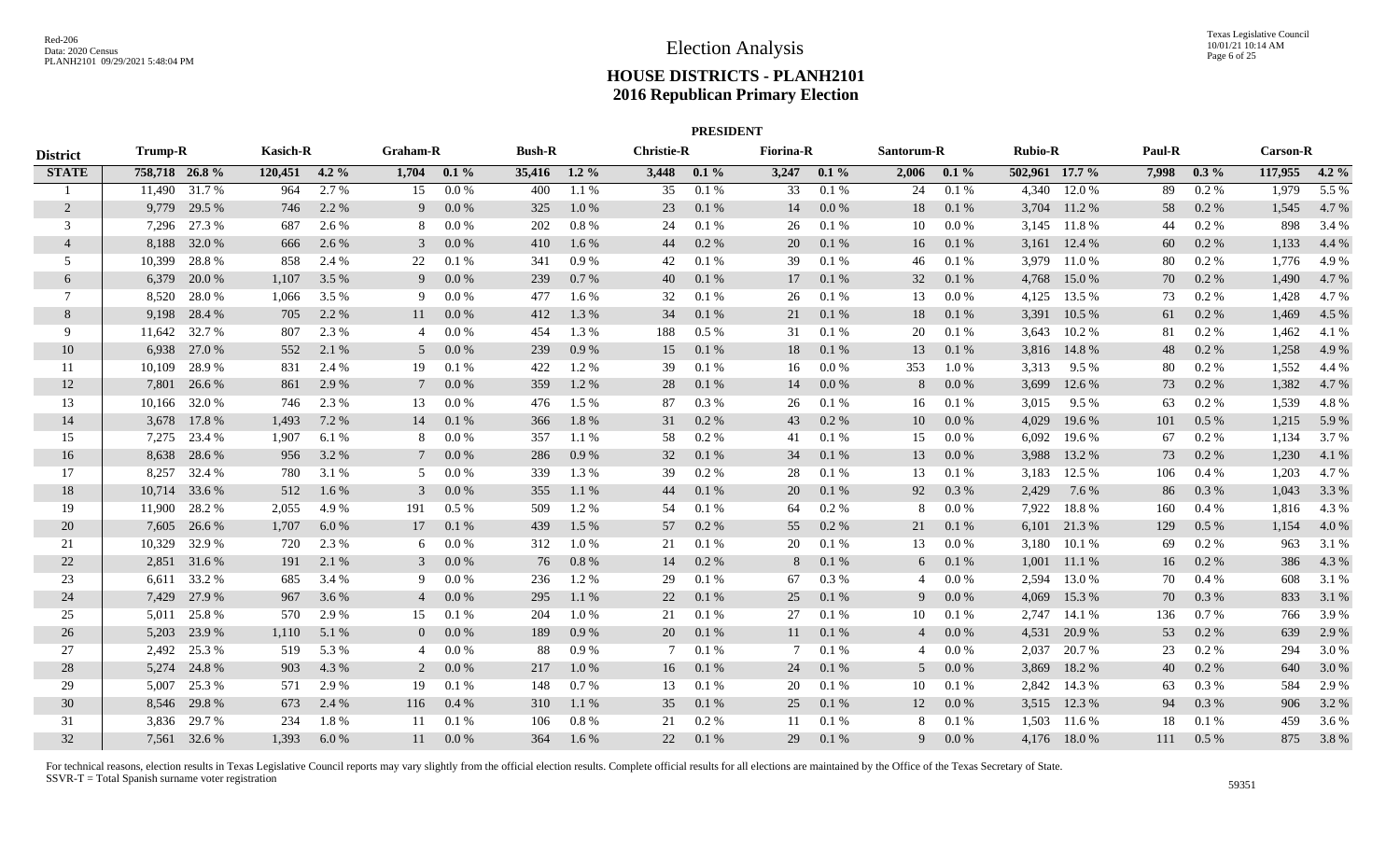| <b>PRESIDENT</b><br>Graham-R<br>Santorum-R |                |               |                 |         |                |         |               |         |                   |         |                  |           |                |         |                |              |        |          |                 |         |
|--------------------------------------------|----------------|---------------|-----------------|---------|----------------|---------|---------------|---------|-------------------|---------|------------------|-----------|----------------|---------|----------------|--------------|--------|----------|-----------------|---------|
| <b>District</b>                            | <b>Trump-R</b> |               | <b>Kasich-R</b> |         |                |         | <b>Bush-R</b> |         | <b>Christie-R</b> |         | <b>Fiorina-R</b> |           |                |         | <b>Rubio-R</b> |              | Paul-R |          | <b>Carson-R</b> |         |
| <b>STATE</b>                               | 758,718 26.8%  |               | 120,451         | $4.2\%$ | 1,704          | $0.1\%$ | 35,416        | $1.2\%$ | 3,448             | $0.1\%$ | 3,247            | $0.1\%$   | 2,006          | $0.1\%$ | 502,961 17.7 % |              | 7,998  | $0.3\%$  | 117,955         | $4.2\%$ |
| - 1                                        |                | 11,490 31.7 % | 964             | 2.7 %   | 15             | $0.0\%$ | 400           | 1.1 %   | 35                | 0.1%    | $\overline{33}$  | 0.1%      | 24             | 0.1%    | 4,340          | 12.0 %       | 89     | $0.2\%$  | 1,979           | 5.5 %   |
| 2                                          |                | 9,779 29.5 %  | 746             | 2.2 %   | 9              | 0.0 %   | 325           | 1.0%    | 23                | 0.1 %   | 14               | $0.0\ \%$ | 18             | 0.1 %   | 3,704          | 11.2%        | 58     | 0.2 %    | 1,545           | 4.7%    |
| 3                                          | 7,296          | 27.3 %        | 687             | 2.6 %   | 8              | 0.0 %   | 202           | $0.8\%$ | 24                | 0.1%    | 26               | 0.1 %     | 10             | 0.0 %   |                | 3,145 11.8 % | 44     | $0.2 \%$ | 898             | 3.4 %   |
| $\overline{4}$                             | 8,188          | 32.0 %        | 666             | 2.6 %   | 3              | 0.0 %   | 410           | 1.6%    | 44                | 0.2 %   | 20               | 0.1 %     | 16             | 0.1%    | 3,161          | 12.4 %       | 60     | 0.2 %    | 1,133           | 4.4 %   |
| 5                                          | 10,399         | 28.8%         | 858             | 2.4 %   | 22             | 0.1%    | 341           | 0.9%    | 42                | 0.1%    | 39               | 0.1 %     | 46             | 0.1%    | 3,979          | 11.0%        | 80     | $0.2 \%$ | 1,776           | 4.9%    |
| 6                                          | 6,379          | 20.0 %        | 1,107           | 3.5 %   | 9              | 0.0 %   | 239           | 0.7%    | 40                | 0.1%    | 17               | $0.1\ \%$ | 32             | 0.1 %   | 4,768          | 15.0%        | 70     | 0.2%     | 1,490           | 4.7 %   |
| 7                                          | 8,520          | 28.0%         | 1,066           | 3.5 %   | -9             | 0.0 %   | 477           | 1.6%    | 32                | 0.1%    | 26               | $0.1~\%$  | 13             | 0.0 %   | 4,125          | 13.5 %       | 73     | 0.2%     | 1,428           | 4.7%    |
| 8                                          | 9,198          | 28.4 %        | 705             | 2.2 %   | 11             | 0.0 %   | 412           | 1.3 %   | 34                | 0.1%    | 21               | 0.1 %     | 18             | 0.1%    | 3,391          | 10.5 %       | 61     | $0.2\%$  | 1,469           | 4.5 %   |
| 9                                          | 11,642         | 32.7 %        | 807             | 2.3 %   | 4              | 0.0 %   | 454           | 1.3 %   | 188               | $0.5\%$ | 31               | 0.1%      | 20             | 0.1%    | 3,643          | 10.2 %       | 81     | $0.2 \%$ | 1,462           | 4.1 %   |
| 10                                         | 6,938          | 27.0 %        | 552             | 2.1 %   | .5             | 0.0 %   | 239           | 0.9%    | 15                | 0.1%    | 18               | $0.1\ \%$ | 13             | 0.1%    | 3,816          | 14.8%        | 48     | 0.2%     | 1,258           | 4.9 %   |
| 11                                         | 10,109         | 28.9%         | 831             | 2.4 %   | 19             | 0.1%    | 422           | 1.2%    | 39                | 0.1%    | 16               | $0.0\ \%$ | 353            | 1.0%    | 3,313          | 9.5 %        | 80     | 0.2%     | 1,552           | 4.4 %   |
| 12                                         | 7.801          | 26.6 %        | 861             | 2.9 %   |                | 0.0 %   | 359           | 1.2%    | 28                | 0.1%    | 14               | $0.0\ \%$ | 8              | 0.0 %   | 3,699          | 12.6 %       | 73     | 0.2%     | 1,382           | 4.7 %   |
| 13                                         | 10,166         | 32.0 %        | 746             | 2.3 %   | 13             | 0.0 %   | 476           | 1.5 %   | 87                | 0.3 %   | 26               | 0.1%      | 16             | 0.1%    | 3,015          | 9.5%         | 63     | $0.2 \%$ | 1,539           | 4.8%    |
| 14                                         | 3,678          | 17.8%         | 1,493           | 7.2 %   | 14             | 0.1%    | 366           | 1.8%    | 31                | 0.2 %   | 43               | 0.2 %     | 10             | 0.0 %   | 4,029          | 19.6 %       | 101    | $0.5\%$  | 1,215           | 5.9%    |
| 15                                         | 7,275          | 23.4 %        | 1,907           | 6.1 %   | 8              | 0.0 %   | 357           | 1.1 %   | 58                | 0.2%    | 41               | 0.1 %     | 15             | 0.0 %   | 6,092          | 19.6 %       | 67     | $0.2 \%$ | 1,134           | 3.7 %   |
| 16                                         | 8,638          | 28.6%         | 956             | 3.2 %   |                | 0.0 %   | 286           | 0.9%    | 32                | 0.1%    | 34               | 0.1 %     | 13             | 0.0 %   | 3,988          | 13.2 %       | 73     | 0.2 %    | 1,230           | 4.1 %   |
| 17                                         | 8,257          | 32.4 %        | 780             | 3.1 %   | 5              | 0.0 %   | 339           | 1.3 %   | 39                | 0.2 %   | 28               | 0.1%      | 13             | 0.1%    | 3,183          | 12.5 %       | 106    | 0.4%     | 1,203           | 4.7%    |
| 18                                         | 10,714         | 33.6 %        | 512             | 1.6 %   | 3              | 0.0 %   | 355           | 1.1 %   | 44                | 0.1%    | 20               | $0.1\ \%$ | 92             | 0.3%    | 2,429          | 7.6 %        | 86     | 0.3 %    | 1,043           | 3.3 %   |
| 19                                         | 11,900         | 28.2 %        | 2,055           | 4.9%    | 191            | 0.5%    | 509           | 1.2%    | 54                | 0.1%    | 64               | 0.2 %     | 8              | 0.0 %   | 7,922          | 18.8%        | 160    | 0.4%     | 1,816           | 4.3 %   |
| 20                                         | 7,605          | 26.6 %        | 1,707           | 6.0 %   | 17             | 0.1%    | 439           | 1.5 %   | 57                | 0.2 %   | 55               | $0.2~\%$  | 21             | 0.1%    | 6,101          | 21.3%        | 129    | $0.5\%$  | 1,154           | 4.0 %   |
| 21                                         | 10,329         | 32.9%         | 720             | 2.3 %   | 6              | 0.0 %   | 312           | 1.0%    | 21                | 0.1%    | 20               | 0.1 %     | 13             | 0.0 %   | 3,180          | 10.1 %       | 69     | $0.2 \%$ | 963             | 3.1 %   |
| 22                                         | 2,851          | 31.6 %        | 191             | 2.1 %   | 3              | 0.0 %   | 76            | 0.8%    | 14                | 0.2 %   | 8                | 0.1 %     | 6              | 0.1 %   | 1,001          | 11.1 %       | 16     | 0.2 %    | 386             | 4.3 %   |
| 23                                         | 6,611          | 33.2 %        | 685             | 3.4 %   | 9              | 0.0 %   | 236           | 1.2%    | 29                | 0.1%    | 67               | 0.3 %     | 4              | 0.0 %   | 2,594          | 13.0 %       | 70     | 0.4%     | 608             | 3.1 %   |
| 24                                         | 7,429          | 27.9 %        | 967             | 3.6 %   | $\overline{4}$ | 0.0 %   | 295           | 1.1 %   | 22                | 0.1%    | 25               | 0.1 %     | 9              | 0.0 %   | 4,069          | 15.3 %       | 70     | 0.3 %    | 833             | 3.1 %   |
| 25                                         | 5,011          | 25.8%         | 570             | 2.9 %   | 15             | 0.1%    | 204           | 1.0%    | 21                | 0.1%    | 27               | 0.1 %     | 10             | 0.1%    | 2,747          | 14.1 %       | 136    | 0.7%     | 766             | 3.9%    |
| 26                                         | 5,203          | 23.9%         | 1,110           | 5.1 %   | $\overline{0}$ | 0.0 %   | 189           | 0.9%    | 20                | 0.1%    | 11               | 0.1%      | $\overline{4}$ | 0.0 %   | 4,531          | 20.9%        | 53     | 0.2%     | 639             | 2.9 %   |
| 27                                         |                | 2,492 25.3 %  | 519             | 5.3 %   | $\overline{4}$ | 0.0 %   | 88            | 0.9%    |                   | 0.1%    | 7                | 0.1%      | 4              | 0.0 %   | 2,037          | 20.7 %       | 23     | 0.2%     | 294             | 3.0 %   |
| 28                                         | 5,274          | 24.8%         | 903             | 4.3 %   | 2              | 0.0 %   | 217           | 1.0%    | 16                | 0.1%    | 24               | $0.1\ \%$ | 5              | 0.0 %   | 3,869          | 18.2 %       | 40     | 0.2 %    | 640             | 3.0%    |
| 29                                         | 5.007          | 25.3 %        | 571             | 2.9 %   | 19             | 0.1%    | 148           | 0.7%    | 13                | 0.1%    | 20               | 0.1 %     | 10             | 0.1%    | 2,842          | 14.3 %       | 63     | 0.3%     | 584             | 2.9%    |
| 30                                         | 8,546          | 29.8%         | 673             | 2.4 %   | 116            | 0.4%    | 310           | 1.1%    | 35                | 0.1%    | 25               | 0.1 %     | 12             | 0.0 %   | 3,515          | 12.3 %       | 94     | 0.3 %    | 906             | 3.2 %   |
| 31                                         | 3,836          | 29.7 %        | 234             | 1.8%    | -11            | 0.1%    | 106           | 0.8%    | 21                | 0.2 %   | 11               | 0.1 %     | 8              | 0.1%    | 1,503          | 11.6 %       | 18     | 0.1%     | 459             | 3.6%    |
| 32                                         |                | 7,561 32.6 %  | 1,393           | 6.0%    | 11             | 0.0 %   | 364           | 1.6 %   | 22                | 0.1%    | 29               | $0.1\ \%$ | 9              | $0.0\%$ |                | 4,176 18.0 % | 111    | 0.5%     | 875             | 3.8%    |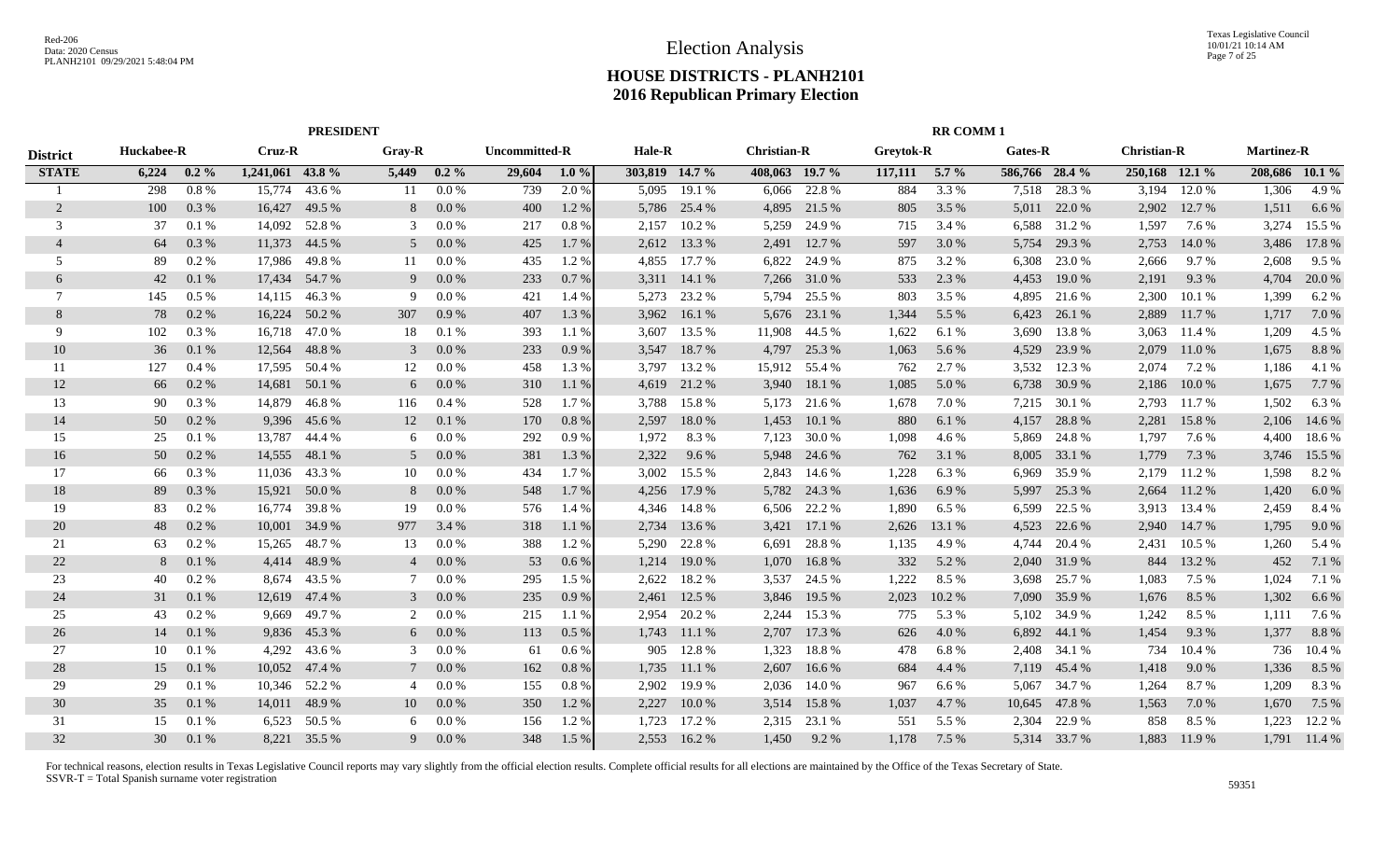|                 | <b>PRESIDENT</b> |         |                  |               |                |         |               |         |                |        |                    |              |           | <b>RR COMM1</b> |                |              |                    |         |                   |                |
|-----------------|------------------|---------|------------------|---------------|----------------|---------|---------------|---------|----------------|--------|--------------------|--------------|-----------|-----------------|----------------|--------------|--------------------|---------|-------------------|----------------|
| <b>District</b> | Huckabee-R       |         | Cruz-R           |               | Gray-R         |         | Uncommitted-R |         | Hale-R         |        | <b>Christian-R</b> |              | Greytok-R |                 | Gates-R        |              | <b>Christian-R</b> |         | <b>Martinez-R</b> |                |
| <b>STATE</b>    | 6,224            | $0.2\%$ | 1,241,061 43.8 % |               | 5,449          | $0.2\%$ | 29,604        | $1.0\%$ | 303,819 14.7 % |        | 408,063 19.7 %     |              | 117,111   | $5.7\%$         | 586,766 28.4 % |              | 250,168 12.1 %     |         |                   | 208,686 10.1 % |
|                 | 298              | 0.8%    | 15,774           | 43.6 %        | 11             | 0.0 %   | 739           | 2.0%    | 5.095          | 19.1 % | 6,066              | 22.8 %       | 884       | 3.3 %           | 7,518          | 28.3 %       | 3,194              | 12.0 %  | 1,306             | 4.9%           |
| 2               | 100              | 0.3%    | 16,427           | 49.5 %        | 8              | 0.0 %   | 400           | 1.2%    | 5,786          | 25.4 % | 4,895              | 21.5 %       | 805       | 3.5%            | 5,011          | 22.0 %       | 2,902              | 12.7 %  | 1,511             | 6.6 $%$        |
| 3               | 37               | 0.1%    | 14,092           | 52.8%         | 3              | 0.0 %   | 217           | 0.8 %   | 2,157          | 10.2%  | 5,259              | 24.9 %       | 715       | 3.4 %           | 6,588          | 31.2 %       | 1,597              | 7.6 %   | 3,274             | 15.5 %         |
| $\overline{4}$  | 64               | 0.3 %   | 11,373           | 44.5 %        | 5              | 0.0 %   | 425           | 1.7%    | 2,612          | 13.3 % | 2,491              | 12.7 %       | 597       | 3.0 %           | 5,754          | 29.3 %       | 2,753              | 14.0 %  | 3,486             | 17.8%          |
| 5               | 89               | 0.2 %   | 17,986           | 49.8%         | 11             | 0.0 %   | 435           | 1.2 %   | 4,855          | 17.7 % | 6,822              | 24.9 %       | 875       | 3.2 %           | 6,308          | 23.0 %       | 2,666              | 9.7 %   | 2,608             | 9.5 %          |
| 6               | 42               | 0.1%    | 17,434           | 54.7 %        | 9              | 0.0 %   | 233           | 0.7%    | 3,311          | 14.1 % | 7,266              | 31.0%        | 533       | 2.3 %           | 4,453          | 19.0%        | 2,191              | 9.3 %   | 4,704             | 20.0 %         |
| 7               | 145              | 0.5%    | 14,115           | 46.3%         | 9              | 0.0 %   | 421           | 1.4 %   | 5,273          | 23.2 % | 5,794              | 25.5 %       | 803       | 3.5%            | 4,895          | 21.6 %       | 2,300              | 10.1%   | 1,399             | 6.2%           |
| 8               | 78               | 0.2 %   | 16,224           | 50.2 %        | 307            | 0.9%    | 407           | 1.3 %   | 3,962          | 16.1%  | 5,676              | 23.1 %       | 1,344     | 5.5 %           | 6,423          | 26.1 %       | 2,889              | 11.7 %  | 1,717             | 7.0 %          |
| 9               | 102              | 0.3 %   | 16,718           | 47.0 %        | 18             | 0.1%    | 393           | 1.1%    | 3,607          | 13.5 % | 11,908             | 44.5 %       | 1,622     | 6.1 %           | 3,690          | 13.8%        | 3,063              | 11.4 %  | 1,209             | 4.5 %          |
| 10              | 36               | 0.1%    | 12,564           | 48.8%         | 3              | 0.0 %   | 233           | 0.9%    | 3,547          | 18.7%  | 4,797              | 25.3 %       | 1,063     | 5.6 %           | 4,529          | 23.9 %       | 2,079              | 11.0 %  | 1,675             | 8.8%           |
| 11              | 127              | 0.4%    | 17,595           | 50.4 %        | 12             | 0.0 %   | 458           | 1.3%    | 3.797          | 13.2 % | 15,912             | 55.4 %       | 762       | 2.7 %           | 3,532          | 12.3 %       | 2,074              | 7.2 %   | 1,186             | 4.1 %          |
| 12              | 66               | 0.2 %   | 14,681           | 50.1 %        | 6              | 0.0 %   | 310           | 1.1%    | 4,619          | 21.2 % | 3,940              | 18.1 %       | 1,085     | 5.0 %           | 6,738          | 30.9 %       | 2,186              | 10.0 %  | 1,675             | 7.7 %          |
| 13              | -90              | 0.3 %   | 14,879           | 46.8%         | 116            | 0.4%    | 528           | 1.7 %   | 3,788          | 15.8 % | 5,173              | 21.6 %       | 1,678     | 7.0 %           | 7,215          | 30.1 %       | 2,793              | 11.7 %  | 1,502             | 6.3 %          |
| 14              | 50               | 0.2 %   | 9,396            | 45.6 %        | 12             | 0.1%    | 170           | 0.8 %   | 2,597          | 18.0%  | 1,453              | 10.1%        | 880       | 6.1 %           | 4,157          | 28.8%        | 2,281              | 15.8%   | 2,106             | 14.6 %         |
| 15              | 25               | 0.1%    | 13,787           | 44.4 %        | 6              | $0.0\%$ | 292           | 0.9%    | 1,972          | 8.3%   | 7,123              | 30.0 %       | 1,098     | 4.6 %           | 5,869          | 24.8%        | 1,797              | 7.6 %   | 4,400             | 18.6%          |
| 16              | 50               | 0.2%    | 14,555           | 48.1 %        | $\overline{5}$ | 0.0 %   | 381           | 1.3 %   | 2,322          | 9.6 %  | 5,948              | 24.6 %       | 762       | 3.1 %           | 8,005          | 33.1 %       | 1,779              | 7.3 %   | 3,746             | 15.5 %         |
| 17              | 66               | 0.3 %   |                  | 11,036 43.3 % | 10             | $0.0\%$ | 434           | $1.7\%$ | 3.002          | 15.5 % | 2,843              | 14.6 %       | 1,228     | 6.3 %           | 6,969          | 35.9%        | 2,179              | 11.2 %  | 1,598             | 8.2%           |
| 18              | 89               | 0.3%    | 15,921           | 50.0 %        | 8              | 0.0 %   | 548           | 1.7%    | 4,256          | 17.9 % |                    | 5,782 24.3 % | 1,636     | 6.9%            | 5,997          | 25.3 %       | 2,664              | 11.2 %  | 1,420             | 6.0%           |
| 19              | 83               | $0.2\%$ | 16,774           | 39.8%         | 19             | 0.0 %   | 576           | 1.4 %   | 4,346          | 14.8 % | 6,506              | 22.2 %       | 1,890     | 6.5%            | 6,599          | 22.5 %       | 3,913              | 13.4 %  | 2,459             | 8.4 %          |
| 20              | 48               | $0.2\%$ | 10,001           | 34.9 %        | 977            | 3.4 %   | 318           | 1.1%    | 2,734          | 13.6 % | 3,421              | 17.1 %       | 2,626     | 13.1 %          | 4,523          | 22.6 %       | 2,940              | 14.7 %  | 1,795             | 9.0%           |
| 21              | 63               | 0.2 %   | 15,265           | 48.7%         | 13             | $0.0\%$ | 388           | 1.2%    | 5,290          | 22.8%  | 6,691              | 28.8%        | 1,135     | 4.9 %           | 4,744          | 20.4 %       | 2,431              | 10.5%   | 1,260             | 5.4 %          |
| 22              | 8                | 0.1%    | 4,414            | 48.9%         | $\overline{4}$ | $0.0\%$ | 53            | $0.6\%$ | 1,214          | 19.0 % | 1,070              | 16.8%        | 332       | 5.2 %           | 2,040          | 31.9%        | 844                | 13.2 %  | 452               | 7.1 %          |
| 23              | 40               | 0.2 %   | 8,674            | 43.5 %        | 7              | 0.0 %   | 295           | 1.5 %   | 2,622          | 18.2%  | 3,537              | 24.5 %       | 1,222     | 8.5 %           | 3,698          | 25.7 %       | 1.083              | 7.5 %   | 1,024             | 7.1 %          |
| 24              | 31               | 0.1%    | 12,619           | 47.4 %        | 3              | 0.0 %   | 235           | 0.9%    | 2,461          | 12.5 % | 3,846              | 19.5 %       | 2,023     | 10.2 %          | 7,090          | 35.9%        | 1,676              | 8.5 %   | 1,302             | 6.6 %          |
| 25              | 43               | 0.2 %   | 9.669            | 49.7 %        | 2              | 0.0 %   | 215           | 1.1%    | 2.954          | 20.2 % | 2,244              | 15.3 %       | 775       | 5.3 %           | 5.102          | 34.9 %       | 1,242              | 8.5 %   | 1,111             | 7.6 %          |
| 26              | 14               | 0.1%    | 9,836            | 45.3 %        | 6              | 0.0 %   | 113           | $0.5\%$ | 1,743          | 11.1 % | 2,707              | 17.3 %       | 626       | 4.0 %           | 6,892          | 44.1 %       | 1,454              | 9.3%    | 1,377             | 8.8%           |
| 27              | 10               | 0.1%    | 4,292            | 43.6 %        | 3              | 0.0 %   | -61           | 0.6 %   | 905            | 12.8 % | 1,323              | 18.8%        | 478       | 6.8%            | 2,408          | 34.1 %       | 734                | 10.4 %  | 736               | 10.4 %         |
| 28              | 15               | 0.1%    | 10,052           | 47.4 %        | 7              | $0.0\%$ | 162           | $0.8\%$ | 1,735          | 11.1 % | 2,607              | 16.6 %       | 684       | 4.4 %           | 7,119          | 45.4 %       | 1,418              | $9.0\%$ | 1,336             | 8.5 %          |
| 29              | 29               | 0.1%    | 10,346           | 52.2 %        | $\overline{4}$ | 0.0 %   | 155           | 0.8 %   | 2,902          | 19.9 % | 2,036              | 14.0 %       | 967       | 6.6%            | 5,067          | 34.7 %       | 1,264              | 8.7%    | 1,209             | 8.3%           |
| 30              | 35               | 0.1%    |                  | 14,011 48.9 % | 10             | $0.0\%$ | 350           | 1.2%    | 2,227          | 10.0%  | 3,514              | 15.8%        | 1,037     | 4.7 %           | 10,645         | 47.8%        | 1,563              | 7.0 %   | 1,670             | 7.5 %          |
| 31              | 15               | 0.1%    | 6,523            | 50.5 %        | 6              | 0.0 %   | 156           | 1.2%    | 1,723          | 17.2 % | 2,315              | 23.1 %       | 551       | 5.5 %           | 2,304          | 22.9 %       | 858                | 8.5 %   | 1,223             | 12.2 %         |
| 32              | 30               | 0.1%    |                  | 8,221 35.5 %  | 9              | $0.0\%$ | 348           | 1.5 %   | 2,553          | 16.2 % | 1,450              | 9.2 %        | 1,178     | 7.5 %           |                | 5,314 33.7 % | 1,883              | 11.9 %  |                   | 1,791 11.4 %   |
|                 |                  |         |                  |               |                |         |               |         |                |        |                    |              |           |                 |                |              |                    |         |                   |                |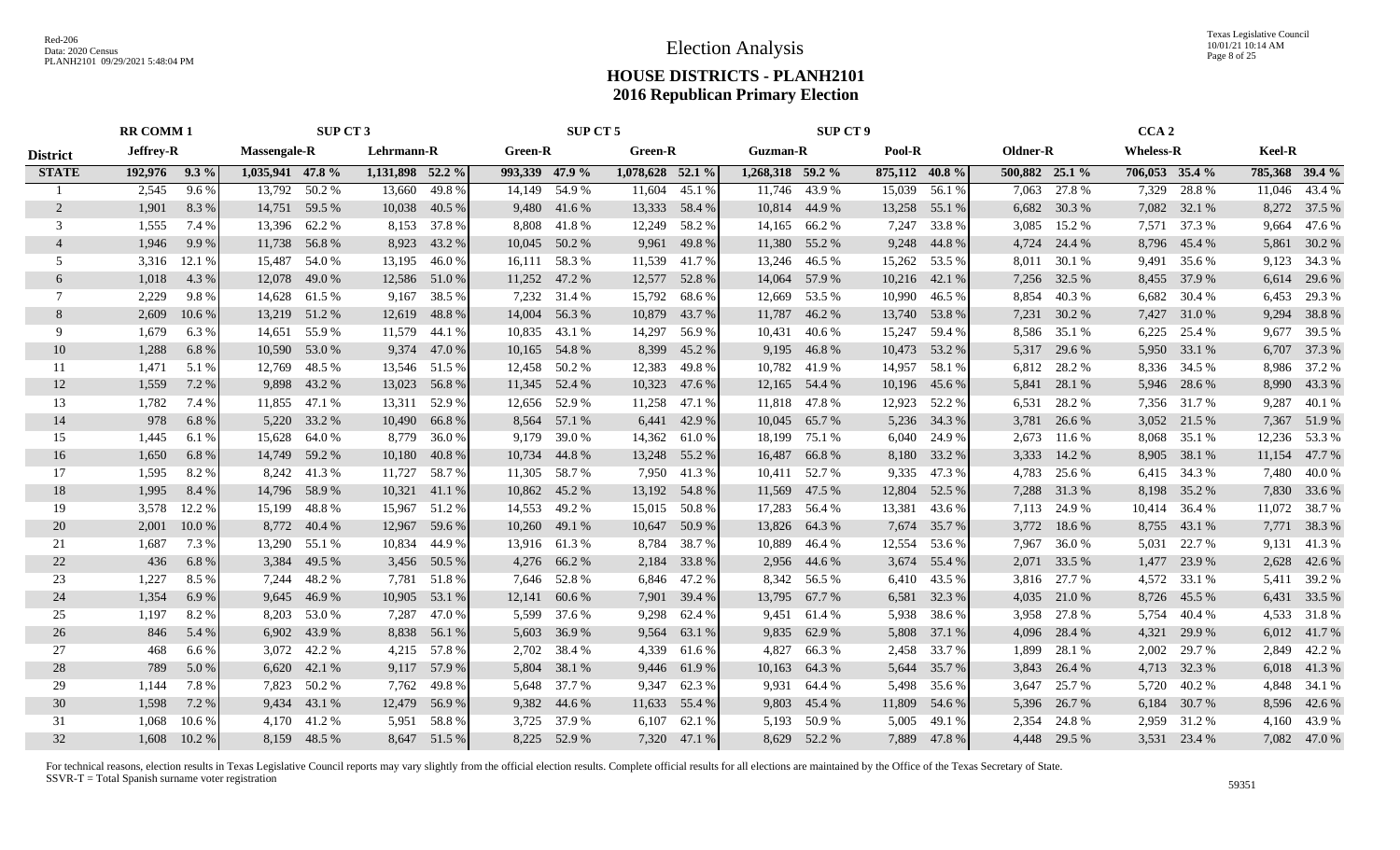Texas Legislative Council 10/01/21 10:14 AM Page 8 of 25

## **HOUSE DISTRICTS - PLANH2101 2016 Republican Primary Election**

|                 | <b>RR COMM 1</b> |              |                     | SUP CT 3       |                  |               |                | SUP CT 5      |                  |                 |                    | <b>SUP CT 9</b> |        |                |                |              | CCA <sub>2</sub> |              |        |                |
|-----------------|------------------|--------------|---------------------|----------------|------------------|---------------|----------------|---------------|------------------|-----------------|--------------------|-----------------|--------|----------------|----------------|--------------|------------------|--------------|--------|----------------|
| <b>District</b> | <b>Jeffrey-R</b> |              | <b>Massengale-R</b> |                | Lehrmann-R       |               | <b>Green-R</b> |               | <b>Green-R</b>   |                 | <b>Guzman-R</b>    |                 | Pool-R |                | Oldner-R       |              | <b>Wheless-R</b> |              | Keel-R |                |
| <b>STATE</b>    | 192,976 9.3 %    |              | 1,035,941 47.8 %    |                | 1,131,898 52.2 % |               | 993,339 47.9 % |               | 1,078,628 52.1 % |                 | $1,268,318$ 59.2 % |                 |        | 875,112 40.8 % | 500,882 25.1 % |              | 706,053 35.4 %   |              |        | 785,368 39.4 % |
|                 | 2,545            | $9.6\%$      |                     | 13,792 50.2 %  |                  | 13,660 49.8 % | 14,149         | 54.9 %        |                  | 11,604 45.1 %   |                    | 11,746 43.9 %   |        | 15,039 56.1 %  |                | 7,063 27.8 % | 7,329            | 28.8%        |        | 11,046 43.4 %  |
| 2               | 1,901            | 8.3%         |                     | 14,751 59.5 %  |                  | 10,038 40.5 % |                | 9,480 41.6 %  |                  | 13,333 58.4 %   |                    | 10,814 44.9 %   |        | 13,258 55.1 %  |                | 6,682 30.3 % |                  | 7,082 32.1 % |        | 8,272 37.5 %   |
| 3               | 1,555            | 7.4 %        |                     | 13,396 62.2 %  | 8,153            | 37.8%         |                | 8,808 41.8 %  |                  | 12,249 58.2 %   |                    | 14,165 66.2 %   | 7,247  | 33.8%          | 3,085          | 15.2 %       |                  | 7,571 37.3 % | 9,664  | 47.6 %         |
| $\overline{4}$  | 1,946            | 9.9%         |                     | 11,738 56.8 %  | 8,923            | 43.2 %        |                | 10,045 50.2 % | 9,961            | 49.8%           |                    | 11,380 55.2 %   | 9,248  | 44.8%          | 4,724          | 24.4 %       |                  | 8,796 45.4 % | 5,861  | 30.2 %         |
| 5               | 3,316            | 12.1 %       | 15,487              | 54.0%          | 13,195           | 46.0%         | 16,111         | 58.3%         | 11,539           | 41.7%           |                    | 13,246 46.5 %   | 15,262 | 53.5 %         | 8,011          | 30.1 %       | 9,491            | 35.6 %       |        | 9,123 34.3 %   |
| 6               | 1,018            | 4.3 %        |                     | 12,078 49.0 %  |                  | 12,586 51.0 % |                | 11,252 47.2 % |                  | 12,577 52.8 %   |                    | 14,064 57.9 %   |        | 10,216 42.1 %  |                | 7,256 32.5 % | 8,455            | 37.9 %       |        | 6,614 29.6 %   |
| $7\phantom{.0}$ | 2,229            | 9.8%         |                     | 14,628 61.5 %  | 9,167            | 38.5 %        |                | 7,232 31.4 %  | 15,792           | 68.6 %          |                    | 12,669 53.5 %   |        | 10,990 46.5 %  | 8,854          | 40.3%        | 6,682            | 30.4 %       |        | 6,453 29.3 %   |
| 8               | 2,609            | 10.6%        |                     | 13,219 51.2 %  |                  | 12,619 48.8 % | 14,004         | 56.3%         |                  | 10,879 43.7 %   |                    | 11,787 46.2 %   |        | 13,740 53.8 %  |                | 7,231 30.2 % | 7,427            | 31.0 %       |        | 9,294 38.8 %   |
| 9               | 1,679            | 6.3 %        | 14,651              | 55.9%          | 11,579           | 44.1 %        | 10,835         | 43.1 %        | 14,297           | 56.9%           | 10,431             | 40.6 %          | 15,247 | 59.4 %         | 8,586          | 35.1 %       | 6,225            | 25.4 %       |        | 9,677 39.5 %   |
| 10              | 1,288            | 6.8%         | 10,590              | 53.0 %         |                  | 9,374 47.0 %  | 10,165         | 54.8%         | 8,399            | 45.2 %          |                    | 9,195 46.8 %    | 10,473 | 53.2 %         |                | 5,317 29.6 % | 5,950            | 33.1 %       |        | 6,707 37.3 %   |
| 11              | 1,471            | 5.1 %        | 12,769              | 48.5 %         |                  | 13,546 51.5 % |                | 12,458 50.2 % | 12,383           | 49.8 %          |                    | 10,782 41.9 %   | 14,957 | 58.1 %         | 6,812          | 28.2 %       | 8,336            | 34.5 %       |        | 8,986 37.2 %   |
| 12              | 1,559            | 7.2 %        |                     | 9,898 43.2 %   |                  | 13,023 56.8 % |                | 11,345 52.4 % |                  | 10,323 47.6 %   |                    | 12,165 54.4 %   |        | 10,196 45.6 %  | 5,841          | 28.1 %       | 5,946            | 28.6 %       |        | 8,990 43.3 %   |
| 13              | 1,782            | 7.4 %        |                     | 11,855 47.1 %  |                  | 13,311 52.9 % | 12,656 52.9 %  |               |                  | 11,258 47.1 %   |                    | 11,818 47.8 %   | 12,923 | 52.2 %         | 6,531          | 28.2%        |                  | 7,356 31.7 % |        | 9,287 40.1 %   |
| 14              | 978              | 6.8%         | 5,220               | 33.2 %         |                  | 10,490 66.8 % |                | 8,564 57.1 %  |                  | 6,441 42.9 %    |                    | 10,045 65.7 %   |        | 5,236 34.3 %   | 3,781          | 26.6 %       |                  | 3,052 21.5 % |        | 7,367 51.9 %   |
| 15              | 1,445            | 6.1 %        |                     | 15,628 64.0 %  | 8,779            | 36.0%         | 9,179          | 39.0 %        |                  | 14,362 61.0 %   |                    | 18,199 75.1 %   | 6,040  | 24.9 %         | 2,673          | 11.6 %       | 8,068            | 35.1 %       |        | 12,236 53.3 %  |
| 16              | 1,650            | 6.8%         |                     | 14,749 59.2 %  | 10,180           | 40.8%         |                | 10,734 44.8 % |                  | 13,248 55.2 %   | 16,487             | 66.8%           |        | 8,180 33.2 %   | 3,333          | 14.2 %       | 8,905            | 38.1 %       |        | 11,154 47.7 %  |
| 17              | 1,595            | 8.2%         |                     | 8,242 41.3 %   | 11,727           | 58.7%         | 11,305         | 58.7 %        | 7,950            | 41.3%           | 10,411             | 52.7 %          | 9,335  | 47.3 %         | 4,783          | 25.6 %       |                  | 6,415 34.3 % |        | 7,480 40.0 %   |
| 18              | 1,995            | 8.4 %        | 14,796              | 58.9%          |                  | 10,321 41.1 % | 10,862         | 45.2 %        |                  | 13,192 54.8 %   | 11,569             | 47.5 %          | 12,804 | 52.5 %         | 7,288          | 31.3%        | 8,198            | 35.2 %       |        | 7,830 33.6 %   |
| 19              | 3,578            | 12.2 %       | 15,199              | 48.8%          |                  | 15,967 51.2 % | 14,553         | 49.2 %        |                  | 15,015 50.8 %   | 17,283             | 56.4 %          | 13,381 | 43.6 %         | 7,113          | 24.9 %       | 10,414           | 36.4 %       |        | 11,072 38.7 %  |
| 20              | 2,001            | 10.0%        |                     | 8,772 40.4 %   |                  | 12,967 59.6 % |                | 10,260 49.1 % | 10,647           | 50.9 %          | 13,826             | 64.3 %          | 7,674  | 35.7 %         | 3,772          | 18.6%        | 8,755            | 43.1 %       |        | 7,771 38.3 %   |
| 21              | 1,687            | 7.3 %        |                     | 13,290 55.1 %  | 10,834           | 44.9%         |                | 13,916 61.3%  | 8,784            | 38.7 %          | 10,889             | 46.4 %          | 12,554 | 53.6 %         | 7,967          | 36.0%        | 5,031            | 22.7 %       |        | 9,131 41.3 %   |
| 22              | 436              | 6.8%         | 3,384               | 49.5 %         |                  | 3,456 50.5 %  |                | 4,276 66.2 %  | 2,184            | 33.8%           | 2,956              | 44.6 %          | 3,674  | 55.4 %         | 2,071          | 33.5 %       | 1,477            | 23.9 %       |        | 2,628 42.6 %   |
| 23              | 1,227            | 8.5 %        | 7,244               | 48.2%          |                  | 7,781 51.8 %  |                | 7,646 52.8 %  |                  | 6,846 47.2 %    |                    | 8,342 56.5 %    |        | 6,410 43.5 %   |                | 3,816 27.7 % | 4,572            | 33.1 %       |        | 5,411 39.2 %   |
| 24              | 1,354            | 6.9%         | 9,645               | 46.9%          | 10,905           | 53.1 %        | 12,141         | 60.6 %        |                  | 7,901 39.4 %    |                    | 13,795 67.7 %   | 6,581  | 32.3 %         |                | 4,035 21.0 % |                  | 8,726 45.5 % |        | 6,431 33.5 %   |
| 25              | 1,197            | 8.2%         | 8,203               | 53.0 %         | 7,287            | 47.0 %        | 5,599          | 37.6 %        | 9,298            | 62.4 %          |                    | 9,451 61.4 %    | 5,938  | 38.6 %         | 3,958          | 27.8 %       | 5,754            | 40.4 %       |        | 4,533 31.8 %   |
| 26              | 846              | 5.4 %        | 6,902               | 43.9%          | 8,838            | 56.1 %        | 5,603          | 36.9%         | 9,564            | 63.1 %          | 9,835              | 62.9 %          | 5,808  | 37.1 %         | 4,096          | 28.4 %       | 4,321            | 29.9 %       |        | 6,012 41.7 %   |
| 27              | 468              | 6.6 %        | 3,072               | 42.2 %         | 4,215            | 57.8%         | 2,702          | 38.4 %        | 4,339            | 61.6 %          | 4,827              | 66.3%           | 2,458  | 33.7 %         | 1,899          | 28.1 %       | 2,002            | 29.7 %       |        | 2,849 42.2 %   |
| 28              | 789              | 5.0%         |                     | $6,620$ 42.1 % |                  | 9,117 57.9 %  | 5,804          | 38.1 %        | 9,446            | 61.9 %          | 10,163             | 64.3 %          | 5,644  | 35.7 %         | 3,843          | 26.4 %       | 4,713            | 32.3 %       |        | 6,018 41.3 %   |
| 29              | 1,144            | 7.8%         |                     | 7,823 50.2 %   | 7,762            | 49.8%         |                | 5,648 37.7 %  | 9,347            | 62.3 %          | 9,931              | 64.4 %          | 5,498  | 35.6 %         | 3,647          | 25.7 %       | 5,720            | 40.2 %       |        | 4,848 34.1 %   |
| 30              | 1,598            | 7.2 %        | 9,434               | 43.1 %         |                  | 12,479 56.9 % |                | 9,382 44.6 %  | 11,633           | 55.4 %          | 9,803              | 45.4 %          | 11,809 | 54.6 %         | 5,396          | 26.7%        | 6,184            | 30.7%        |        | 8,596 42.6 %   |
| 31              | 1,068            | 10.6 %       |                     | 4,170 41.2 %   |                  | 5,951 58.8 %  |                | 3,725 37.9 %  |                  | $6,107$ $62.1%$ |                    | 5,193 50.9 %    | 5,005  | 49.1 %         | 2,354          | 24.8%        | 2,959            | 31.2%        |        | 4,160 43.9 %   |
| 32              |                  | 1,608 10.2 % |                     | 8,159 48.5 %   |                  | 8,647 51.5 %  |                | 8,225 52.9 %  |                  | 7,320 47.1 %    |                    | 8,629 52.2 %    |        | 7,889 47.8 %   |                | 4,448 29.5 % |                  | 3,531 23.4 % |        | 7,082 47.0 %   |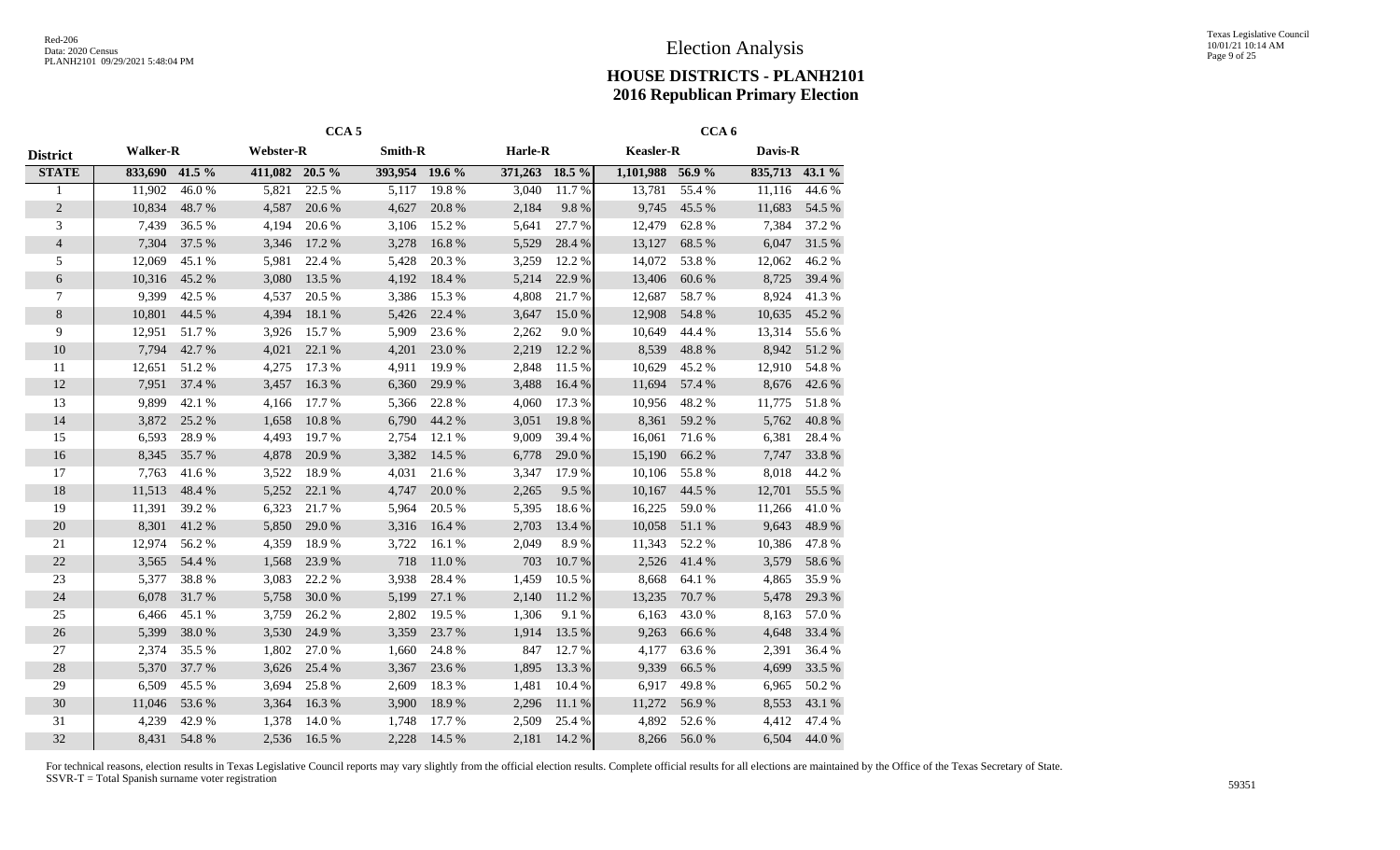|                  |                 |        |                  | CCA <sub>5</sub> |                |        |                |        |                  | CCA <sub>6</sub> |                |        |
|------------------|-----------------|--------|------------------|------------------|----------------|--------|----------------|--------|------------------|------------------|----------------|--------|
| <b>District</b>  | <b>Walker-R</b> |        | <b>Webster-R</b> |                  | <b>Smith-R</b> |        | <b>Harle-R</b> |        | <b>Keasler-R</b> |                  | Davis-R        |        |
| <b>STATE</b>     | 833,690         | 41.5 % | 411,082 20.5 %   |                  | 393,954 19.6 % |        | 371,263 18.5 % |        | 1,101,988 56.9 % |                  | 835,713 43.1 % |        |
| 1                | 11,902          | 46.0%  | 5,821            | 22.5 %           | 5,117          | 19.8%  | 3,040          | 11.7%  | 13,781           | 55.4 %           | 11,116         | 44.6 % |
| $\sqrt{2}$       | 10,834          | 48.7%  | 4,587            | 20.6 %           | 4,627          | 20.8%  | 2,184          | 9.8%   | 9,745            | 45.5 %           | 11,683         | 54.5 % |
| 3                | 7,439           | 36.5%  | 4,194            | 20.6 %           | 3,106          | 15.2 % | 5,641          | 27.7 % | 12,479           | 62.8%            | 7,384          | 37.2 % |
| $\overline{4}$   | 7,304           | 37.5 % | 3,346            | 17.2 %           | 3,278          | 16.8%  | 5,529          | 28.4%  | 13,127           | 68.5 %           | 6,047          | 31.5 % |
| 5                | 12,069          | 45.1 % | 5,981            | 22.4 %           | 5,428          | 20.3%  | 3,259          | 12.2 % | 14,072           | 53.8%            | 12,062         | 46.2%  |
| $\boldsymbol{6}$ | 10,316          | 45.2%  | 3,080            | 13.5 %           | 4,192          | 18.4%  | 5,214          | 22.9%  | 13,406           | 60.6%            | 8,725          | 39.4 % |
| 7                | 9,399           | 42.5 % | 4,537            | 20.5 %           | 3,386          | 15.3 % | 4,808          | 21.7 % | 12,687           | 58.7%            | 8,924          | 41.3%  |
| 8                | 10,801          | 44.5 % | 4,394            | 18.1 %           | 5,426          | 22.4 % | 3,647          | 15.0%  | 12,908           | 54.8%            | 10,635         | 45.2 % |
| 9                | 12,951          | 51.7%  | 3,926            | 15.7 %           | 5,909          | 23.6 % | 2,262          | 9.0%   | 10,649           | 44.4 %           | 13,314         | 55.6%  |
| 10               | 7,794           | 42.7%  | 4,021            | 22.1 %           | 4,201          | 23.0%  | 2,219          | 12.2 % | 8,539            | 48.8%            | 8,942          | 51.2%  |
| 11               | 12,651          | 51.2%  | 4,275            | 17.3 %           | 4,911          | 19.9%  | 2,848          | 11.5 % | 10,629           | 45.2%            | 12,910         | 54.8%  |
| 12               | 7,951           | 37.4 % | 3,457            | 16.3%            | 6,360          | 29.9%  | 3,488          | 16.4 % | 11,694           | 57.4 %           | 8,676          | 42.6 % |
| 13               | 9,899           | 42.1 % | 4,166            | 17.7 %           | 5,366          | 22.8%  | 4,060          | 17.3 % | 10,956           | 48.2%            | 11,775         | 51.8%  |
| 14               | 3,872           | 25.2%  | 1,658            | 10.8%            | 6,790          | 44.2%  | 3,051          | 19.8%  | 8,361            | 59.2%            | 5,762          | 40.8 % |
| 15               | 6,593           | 28.9%  | 4,493            | 19.7%            | 2,754          | 12.1 % | 9,009          | 39.4 % | 16,061           | 71.6%            | 6,381          | 28.4%  |
| 16               | 8,345           | 35.7%  | 4,878            | 20.9%            | 3,382          | 14.5 % | 6,778          | 29.0%  | 15,190           | 66.2%            | 7,747          | 33.8%  |
| 17               | 7,763           | 41.6%  | 3,522            | 18.9%            | 4,031          | 21.6 % | 3,347          | 17.9 % | 10,106           | 55.8%            | 8,018          | 44.2 % |
| 18               | 11,513          | 48.4%  | 5,252            | 22.1 %           | 4,747          | 20.0%  | 2,265          | 9.5%   | 10,167           | 44.5 %           | 12,701         | 55.5 % |
| 19               | 11,391          | 39.2 % | 6,323            | 21.7%            | 5,964          | 20.5 % | 5,395          | 18.6%  | 16,225           | 59.0%            | 11,266         | 41.0%  |
| 20               | 8,301           | 41.2%  | 5,850            | 29.0 %           | 3,316          | 16.4 % | 2,703          | 13.4 % | 10,058           | 51.1 %           | 9,643          | 48.9%  |
| 21               | 12,974          | 56.2%  | 4,359            | 18.9%            | 3,722          | 16.1 % | 2,049          | 8.9%   | 11,343           | 52.2 %           | 10,386         | 47.8%  |
| 22               | 3,565           | 54.4 % | 1,568            | 23.9%            | 718            | 11.0%  | 703            | 10.7%  | 2,526            | 41.4%            | 3,579          | 58.6%  |
| 23               | 5,377           | 38.8%  | 3,083            | 22.2 %           | 3,938          | 28.4%  | 1,459          | 10.5 % | 8,668            | 64.1 %           | 4,865          | 35.9%  |
| 24               | 6,078           | 31.7%  | 5,758            | 30.0%            | 5,199          | 27.1 % | 2,140          | 11.2 % | 13,235           | 70.7%            | 5,478          | 29.3 % |
| 25               | 6,466           | 45.1 % | 3,759            | 26.2%            | 2,802          | 19.5 % | 1,306          | 9.1 %  | 6,163            | 43.0%            | 8,163          | 57.0%  |
| 26               | 5,399           | 38.0%  | 3,530            | 24.9%            | 3,359          | 23.7 % | 1,914          | 13.5 % | 9,263            | 66.6%            | 4,648          | 33.4 % |
| 27               | 2,374           | 35.5 % | 1,802            | 27.0%            | 1,660          | 24.8%  | 847            | 12.7 % | 4,177            | 63.6%            | 2,391          | 36.4 % |
| 28               | 5,370           | 37.7 % | 3,626            | 25.4 %           | 3,367          | 23.6 % | 1,895          | 13.3 % | 9,339            | 66.5 %           | 4,699          | 33.5 % |
| 29               | 6,509           | 45.5 % | 3,694            | 25.8%            | 2,609          | 18.3%  | 1,481          | 10.4 % | 6,917            | 49.8%            | 6,965          | 50.2%  |
| 30               | 11,046          | 53.6%  | 3,364            | 16.3%            | 3,900          | 18.9%  | 2,296          | 11.1 % | 11,272           | 56.9%            | 8,553          | 43.1 % |
| 31               | 4,239           | 42.9%  | 1,378            | 14.0%            | 1,748          | 17.7 % | 2,509          | 25.4 % | 4,892            | 52.6%            | 4,412          | 47.4 % |
| 32               | 8,431           | 54.8%  | 2,536            | 16.5 %           | 2,228          | 14.5 % | 2,181          | 14.2 % | 8,266            | 56.0%            | 6,504          | 44.0 % |
|                  |                 |        |                  |                  |                |        |                |        |                  |                  |                |        |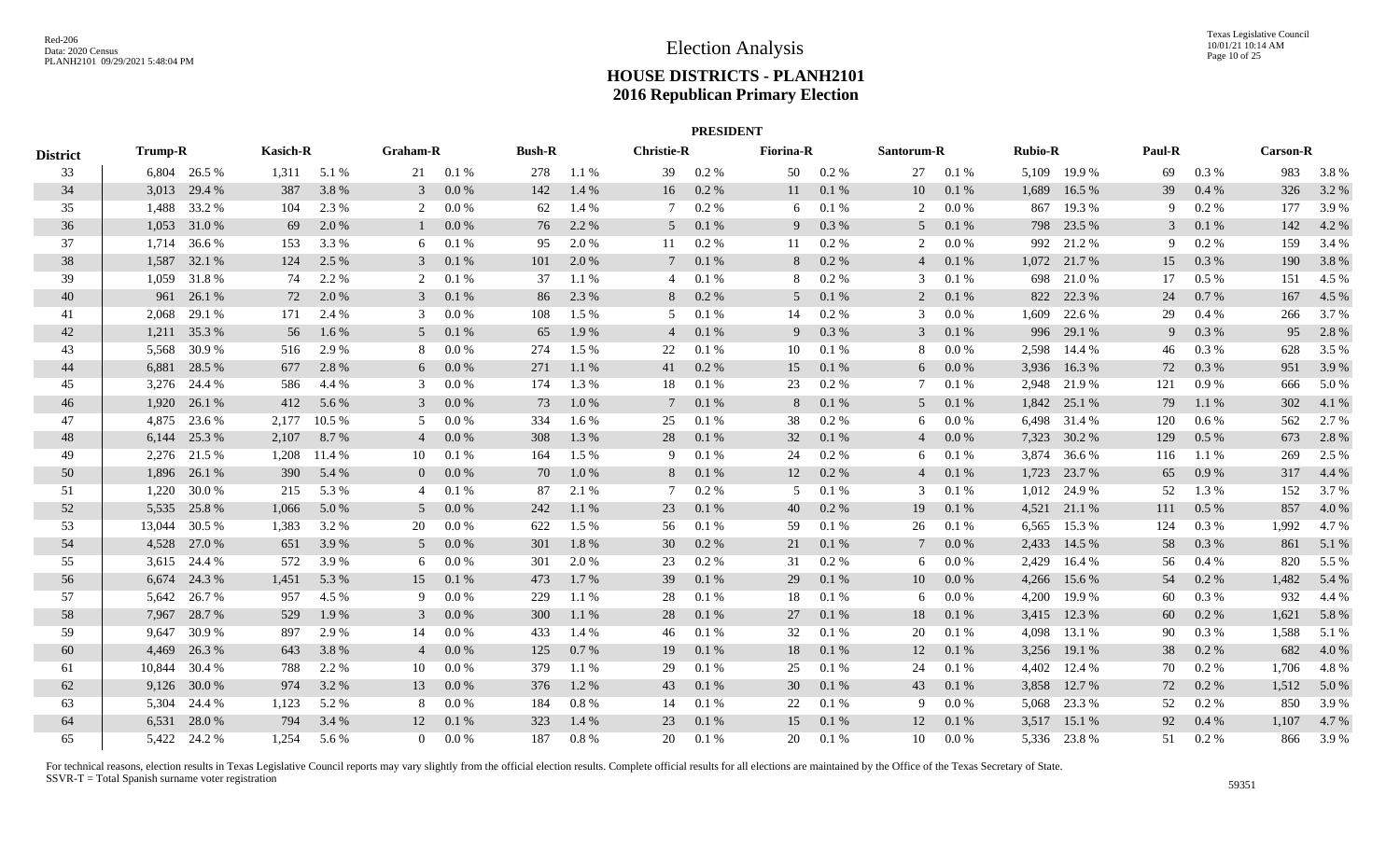|                 | <b>PRESIDENT</b> |              |                 |               |                 |         |               |          |                   |          |                  |          |                 |         |                |              |        |          |                 |       |
|-----------------|------------------|--------------|-----------------|---------------|-----------------|---------|---------------|----------|-------------------|----------|------------------|----------|-----------------|---------|----------------|--------------|--------|----------|-----------------|-------|
| <b>District</b> | <b>Trump-R</b>   |              | <b>Kasich-R</b> |               | <b>Graham-R</b> |         | <b>Bush-R</b> |          | <b>Christie-R</b> |          | <b>Fiorina-R</b> |          | Santorum-R      |         | <b>Rubio-R</b> |              | Paul-R |          | <b>Carson-R</b> |       |
| 33              |                  | 6,804 26.5 % |                 | $1,311$ 5.1 % | 21              | 0.1%    | 278           | 1.1 %    | 39                | 0.2 %    | 50               | $0.2 \%$ | 27              | 0.1%    |                | 5,109 19.9 % | 69     | $0.3\%$  | 983             | 3.8%  |
| 34              |                  | 3,013 29.4 % | 387             | 3.8%          | 3               | 0.0 %   | 142           | 1.4 %    | 16                | 0.2 %    | 11               | 0.1%     | 10              | 0.1%    | 1,689          | 16.5 %       | 39     | 0.4%     | 326             | 3.2 % |
| 35              | 1,488            | 33.2 %       | 104             | 2.3 %         | 2               | 0.0 %   | 62            | 1.4 %    | 7                 | 0.2 %    | 6                | 0.1%     | 2               | 0.0 %   | 867            | 19.3%        | -9     | 0.2 %    | 177             | 3.9%  |
| 36              |                  | 1,053 31.0 % | 69              | 2.0%          |                 | 0.0 %   | 76            | 2.2 %    | 5                 | 0.1 %    | 9                | 0.3%     | 5               | 0.1 %   |                | 798 23.5 %   | 3      | 0.1 %    | 142             | 4.2 % |
| 37              | 1.714            | 36.6 %       | 153             | 3.3 %         | 6               | 0.1%    | 95            | 2.0%     | 11                | 0.2 %    | 11               | 0.2 %    | 2               | $0.0\%$ | 992            | 21.2 %       | -9     | 0.2 %    | 159             | 3.4 % |
| 38              | 1,587            | 32.1 %       | 124             | 2.5 %         | 3               | 0.1%    | 101           | 2.0%     | $7\phantom{.0}$   | 0.1 %    | 8                | 0.2 %    | $\overline{4}$  | 0.1%    | 1,072          | 21.7 %       | 15     | 0.3%     | 190             | 3.8%  |
| 39              | 1,059            | 31.8%        | 74              | 2.2 %         | 2               | 0.1%    | 37            | 1.1%     | 4                 | 0.1%     | 8                | $0.2~\%$ | 3               | 0.1%    | 698            | 21.0%        | 17     | 0.5%     | 151             | 4.5 % |
| 40              | 961              | 26.1 %       | 72              | 2.0 %         | 3               | 0.1%    | 86            | 2.3 %    | 8                 | $0.2 \%$ | 5                | 0.1 %    | 2               | 0.1 %   | 822            | 22.3 %       | 24     | 0.7%     | 167             | 4.5 % |
| 41              | 2,068            | 29.1 %       | 171             | 2.4 %         | 3               | 0.0 %   | 108           | $1.5\%$  | 5                 | 0.1%     | 14               | 0.2 %    | 3               | 0.0 %   | 1,609          | 22.6 %       | 29     | 0.4%     | 266             | 3.7 % |
| 42              | 1,211            | 35.3%        | 56              | 1.6 %         | 5               | 0.1%    | 65            | 1.9%     | 4                 | 0.1 %    | 9                | 0.3%     | 3               | 0.1 %   | 996            | 29.1 %       | 9      | 0.3 %    | 95              | 2.8%  |
| 43              | 5,568            | 30.9%        | 516             | 2.9 %         | 8               | 0.0 %   | 274           | 1.5 %    | 22                | 0.1%     | 10               | 0.1%     | 8               | $0.0\%$ |                | 2,598 14.4 % | 46     | 0.3 %    | 628             | 3.5 % |
| 44              |                  | 6,881 28.5 % | 677             | 2.8 %         | 6               | $0.0\%$ | 271           | 1.1 %    | 41                | 0.2 %    | 15               | 0.1 %    | 6               | 0.0 %   |                | 3,936 16.3 % | 72     | 0.3 %    | 951             | 3.9 % |
| 45              |                  | 3,276 24.4 % | 586             | 4.4 %         | 3               | 0.0 %   | 174           | 1.3%     | 18                | 0.1%     | 23               | 0.2 %    | 7               | 0.1%    |                | 2,948 21.9 % | 121    | 0.9%     | 666             | 5.0%  |
| 46              | 1,920            | 26.1 %       | 412             | 5.6 %         | 3               | 0.0 %   | 73            | 1.0%     | $7\phantom{.0}$   | 0.1%     | 8                | 0.1 %    | 5               | 0.1 %   |                | 1,842 25.1 % | 79     | 1.1%     | 302             | 4.1 % |
| 47              | 4,875            | 23.6 %       | 2,177           | 10.5 %        | 5               | 0.0 %   | 334           | 1.6 %    | 25                | 0.1%     | 38               | $0.2 \%$ | 6               | 0.0 %   | 6,498          | 31.4 %       | 120    | $0.6\%$  | 562             | 2.7 % |
| 48              | 6,144            | 25.3 %       | 2,107           | 8.7%          | 4               | 0.0 %   | 308           | 1.3%     | 28                | 0.1 %    | 32               | 0.1%     | $\overline{4}$  | $0.0\%$ | 7,323          | 30.2 %       | 129    | 0.5 %    | 673             | 2.8 % |
| 49              |                  | 2,276 21.5 % | 1,208           | 11.4 %        | 10              | 0.1%    | 164           | 1.5 %    | 9                 | 0.1%     | 24               | $0.2 \%$ | 6               | 0.1%    | 3,874          | 36.6 %       | 116    | 1.1 %    | 269             | 2.5 % |
| 50              |                  | 1,896 26.1%  | 390             | 5.4 %         | $\overline{0}$  | 0.0 %   | 70            | 1.0%     | 8                 | 0.1 %    | 12               | 0.2 %    | $\overline{4}$  | 0.1 %   | 1,723          | 23.7 %       | 65     | 0.9%     | 317             | 4.4 % |
| 51              | 1,220            | 30.0 %       | 215             | 5.3 %         | $\overline{4}$  | 0.1%    | 87            | 2.1 %    | 7                 | 0.2 %    | 5                | 0.1%     | 3               | 0.1%    | 1,012          | 24.9 %       | 52     | 1.3 %    | 152             | 3.7 % |
| 52              |                  | 5,535 25.8 % | 1,066           | 5.0 %         | 5               | 0.0 %   | 242           | 1.1 %    | 23                | 0.1 %    | 40               | 0.2 %    | 19              | 0.1 %   |                | 4,521 21.1 % | 111    | $0.5\%$  | 857             | 4.0 % |
| 53              | 13,044           | 30.5 %       | 1,383           | 3.2 %         | 20              | $0.0\%$ | 622           | 1.5 %    | 56                | 0.1%     | 59               | 0.1%     | 26              | 0.1%    | 6,565          | 15.3 %       | 124    | 0.3 %    | 1,992           | 4.7%  |
| 54              | 4,528            | 27.0 %       | 651             | 3.9%          | 5               | 0.0 %   | 301           | 1.8%     | 30                | 0.2 %    | 21               | 0.1 %    | $7\phantom{.0}$ | $0.0\%$ | 2,433          | 14.5 %       | 58     | 0.3 %    | 861             | 5.1 % |
| 55              | 3,615            | 24.4 %       | 572             | 3.9%          | 6               | 0.0 %   | 301           | 2.0%     | 23                | 0.2 %    | 31               | 0.2 %    | 6               | 0.0 %   | 2,429          | 16.4%        | 56     | 0.4%     | 820             | 5.5 % |
| 56              | 6,674            | 24.3 %       | 1,451           | 5.3 %         | 15              | 0.1%    | 473           | 1.7%     | 39                | 0.1%     | 29               | 0.1 %    | 10              | 0.0 %   | 4,266          | 15.6 %       | 54     | $0.2 \%$ | 1,482           | 5.4 % |
| 57              | 5,642            | 26.7 %       | 957             | 4.5 %         | 9               | 0.0 %   | 229           | 1.1 %    | 28                | 0.1%     | 18               | 0.1 %    | 6               | $0.0\%$ | 4,200          | 19.9 %       | 60     | $0.3\%$  | 932             | 4.4 % |
| 58              | 7,967            | 28.7%        | 529             | 1.9%          | 3               | 0.0 %   | 300           | 1.1 %    | 28                | 0.1 %    | 27               | 0.1%     | 18              | 0.1 %   | 3,415          | 12.3 %       | 60     | $0.2 \%$ | 1,621           | 5.8 % |
| 59              | 9,647            | 30.9%        | 897             | 2.9 %         | 14              | 0.0 %   | 433           | 1.4 %    | 46                | 0.1%     | 32               | 0.1%     | 20              | 0.1%    | 4,098          | 13.1 %       | 90     | 0.3 %    | 1,588           | 5.1 % |
| 60              | 4,469            | 26.3 %       | 643             | 3.8 %         | $\overline{4}$  | 0.0 %   | 125           | 0.7%     | 19                | 0.1 %    | 18               | 0.1%     | 12              | 0.1 %   | 3,256          | 19.1 %       | 38     | $0.2 \%$ | 682             | 4.0%  |
| 61              | 10,844           | 30.4 %       | 788             | 2.2 %         | 10              | 0.0 %   | 379           | 1.1 %    | 29                | 0.1%     | 25               | 0.1%     | 24              | 0.1%    | 4,402          | 12.4 %       | 70     | 0.2 %    | 1,706           | 4.8%  |
| 62              | 9,126            | 30.0 %       | 974             | 3.2 %         | 13              | 0.0 %   | 376           | 1.2 %    | 43                | 0.1 %    | 30               | 0.1 %    | 43              | 0.1 %   | 3,858          | 12.7 %       | 72     | $0.2 \%$ | 1,512           | 5.0%  |
| 63              | 5,304            | 24.4 %       | 1,123           | 5.2 %         | 8               | 0.0 %   | 184           | 0.8%     | 14                | 0.1%     | 22               | 0.1%     | -9              | 0.0 %   | 5,068          | 23.3 %       | 52     | 0.2 %    | 850             | 3.9%  |
| 64              | 6,531            | 28.0%        | 794             | 3.4 %         | 12              | 0.1%    | 323           | 1.4 %    | 23                | 0.1%     | 15               | 0.1 %    | 12              | 0.1%    | 3,517          | 15.1 %       | 92     | 0.4%     | 1,107           | 4.7%  |
| 65              |                  | 5,422 24.2 % | 1.254           | 5.6 %         | $\overline{0}$  | $0.0\%$ | 187           | $0.8 \%$ | 20                | $0.1\%$  | 20               | 0.1%     | 10              | $0.0\%$ |                | 5,336 23.8 % | 51     | $0.2\%$  | 866             | 3.9 % |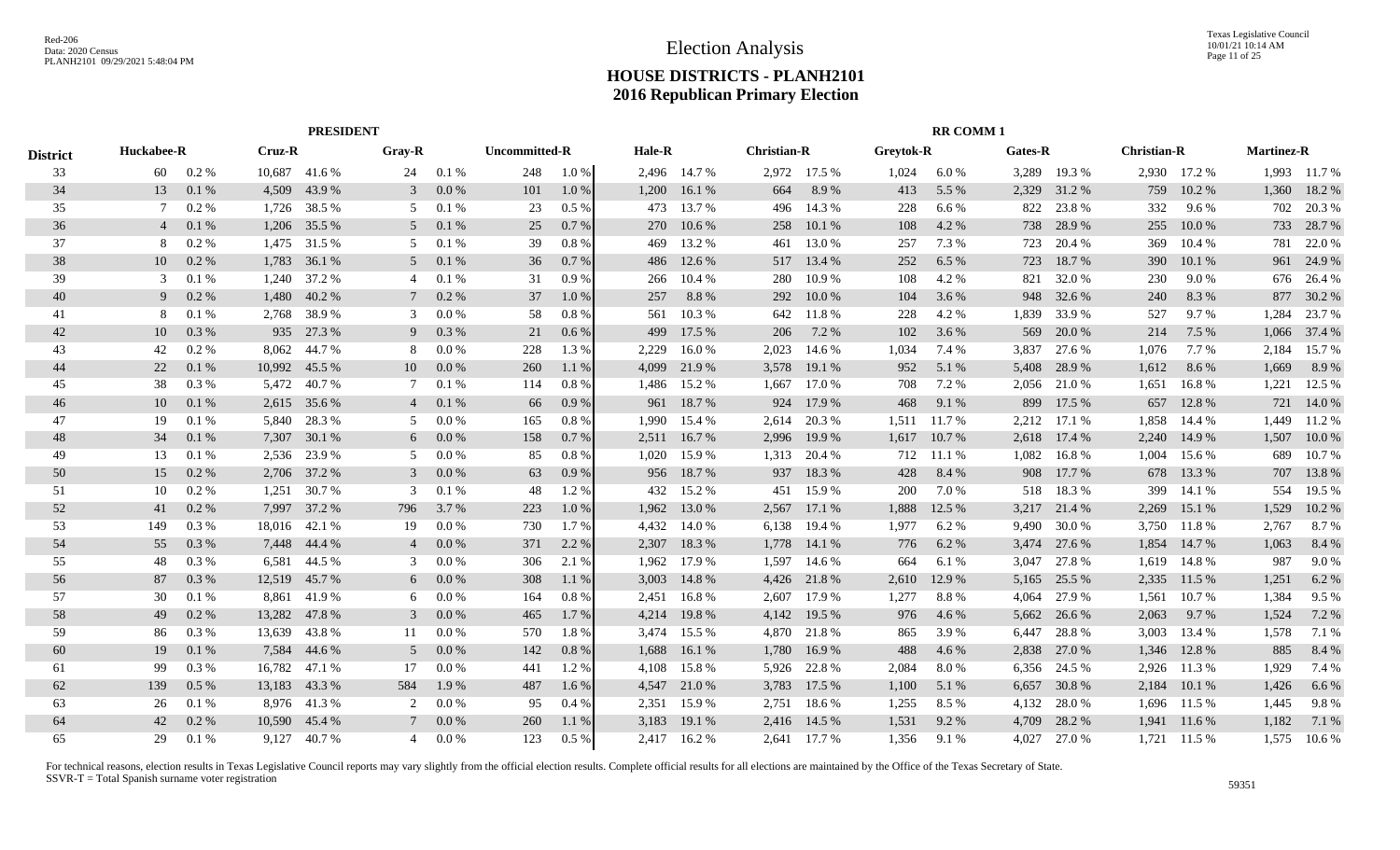|                 |                | <b>PRESIDENT</b> |        |        |                |       |                      |         |        |              |                    |              |           | <b>RR COMM1</b> |         |        |                    |              |                   |              |
|-----------------|----------------|------------------|--------|--------|----------------|-------|----------------------|---------|--------|--------------|--------------------|--------------|-----------|-----------------|---------|--------|--------------------|--------------|-------------------|--------------|
| <b>District</b> | Huckabee-R     |                  | Cruz-R |        | Gray-R         |       | <b>Uncommitted-R</b> |         | Hale-R |              | <b>Christian-R</b> |              | Greytok-R |                 | Gates-R |        | <b>Christian-R</b> |              | <b>Martinez-R</b> |              |
| 33              | 60             | $0.2\%$          | 10,687 | 41.6 % | 24             | 0.1%  | 248                  | $1.0\%$ |        | 2,496 14.7 % |                    | 2.972 17.5 % | 1,024     | 6.0 %           | 3,289   | 19.3 % |                    | 2,930 17.2 % |                   | 1,993 11.7 % |
| 34              | 13             | 0.1%             | 4,509  | 43.9%  | 3              | 0.0 % | 101                  | 1.0%    | 1,200  | 16.1 %       | 664                | 8.9%         | 413       | 5.5 %           | 2,329   | 31.2 % | 759                | 10.2 %       | 1,360             | 18.2 %       |
| 35              | 7              | 0.2 %            | 1,726  | 38.5 % | 5              | 0.1%  | 23                   | 0.5%    | 473    | 13.7 %       | 496                | 14.3 %       | 228       | 6.6 %           | 822     | 23.8%  | 332                | $9.6\%$      | 702               | 20.3 %       |
| 36              | $\overline{4}$ | 0.1%             | 1,206  | 35.5 % | 5              | 0.1%  | 25                   | 0.7%    | 270    | 10.6 %       | 258                | 10.1%        | 108       | 4.2 %           | 738     | 28.9%  | 255                | 10.0 %       | 733               | 28.7 %       |
| 37              | 8              | 0.2%             | 1,475  | 31.5 % | 5              | 0.1%  | 39                   | 0.8%    | 469    | 13.2 %       | 461                | 13.0 %       | 257       | 7.3 %           | 723     | 20.4 % | 369                | 10.4 %       | 781               | 22.0 %       |
| 38              | 10             | 0.2 %            | 1,783  | 36.1 % | 5              | 0.1%  | 36                   | 0.7%    | 486    | 12.6 %       | 517                | 13.4 %       | 252       | 6.5 %           | 723     | 18.7%  | 390                | 10.1 %       | 961               | 24.9 %       |
| 39              | 3              | 0.1%             | 1,240  | 37.2 % | $\overline{4}$ | 0.1%  | 31                   | 0.9%    | 266    | 10.4 %       | 280                | 10.9%        | 108       | 4.2%            | 821     | 32.0 % | 230                | $9.0\%$      | 676               | 26.4 %       |
| 40              | 9              | 0.2 %            | 1,480  | 40.2 % |                | 0.2 % | 37                   | 1.0 %   | 257    | 8.8%         | 292                | 10.0%        | 104       | 3.6 %           | 948     | 32.6 % | 240                | 8.3 %        | 877               | 30.2 %       |
| 41              | 8              | 0.1%             | 2,768  | 38.9%  | 3              | 0.0 % | -58                  | 0.8%    | 561    | 10.3%        | 642                | 11.8%        | 228       | 4.2 %           | 1,839   | 33.9%  | 527                | 9.7%         | 1,284             | 23.7 %       |
| 42              | 10             | 0.3%             | 935    | 27.3 % | 9              | 0.3 % | 21                   | 0.6%    | 499    | 17.5 %       | 206                | 7.2 %        | 102       | 3.6 %           | 569     | 20.0 % | 214                | 7.5 %        | 1,066             | 37.4 %       |
| 43              | 42             | 0.2%             | 8,062  | 44.7 % | 8              | 0.0 % | 228                  | 1.3%    | 2,229  | 16.0%        | 2,023              | 14.6 %       | 1,034     | 7.4 %           | 3,837   | 27.6 % | 1,076              | 7.7 %        | 2,184             | 15.7 %       |
| 44              | 22             | 0.1%             | 10,992 | 45.5 % | 10             | 0.0 % | 260                  | 1.1 %   | 4,099  | 21.9 %       | 3,578              | 19.1 %       | 952       | 5.1 %           | 5,408   | 28.9%  | 1,612              | 8.6 %        | 1,669             | 8.9 %        |
| 45              | 38             | 0.3%             | 5,472  | 40.7%  |                | 0.1%  | 114                  | 0.8 %   | 1,486  | 15.2 %       | 1,667              | 17.0 %       | 708       | 7.2 %           | 2,056   | 21.0%  | 1,651              | 16.8%        | 1,221             | 12.5 %       |
| 46              | 10             | 0.1%             | 2,615  | 35.6 % | $\overline{4}$ | 0.1%  | 66                   | 0.9%    | 961    | 18.7%        | 924                | 17.9 %       | 468       | 9.1 %           | 899     | 17.5 % | 657                | 12.8%        | 721               | 14.0 %       |
| 47              | 19             | 0.1%             | 5,840  | 28.3 % | .5             | 0.0 % | 165                  | 0.8%    | 1,990  | 15.4 %       | 2,614              | 20.3 %       | 1,511     | 11.7 %          | 2,212   | 17.1 % | 1,858              | 14.4 %       | 1,449             | 11.2 %       |
| 48              | 34             | 0.1%             | 7,307  | 30.1 % | 6              | 0.0 % | 158                  | 0.7%    | 2,511  | 16.7 %       | 2,996              | 19.9 %       | 1,617     | 10.7 %          | 2,618   | 17.4 % | 2,240              | 14.9 %       | 1,507             | 10.0 %       |
| 49              | 13             | 0.1%             | 2,536  | 23.9 % | 5              | 0.0 % | 85                   | 0.8%    | 1,020  | 15.9 %       | 1,313              | 20.4 %       | 712       | 11.1 %          | 1,082   | 16.8%  | 1,004              | 15.6 %       | 689               | 10.7%        |
| 50              | 15             | 0.2%             | 2,706  | 37.2 % | 3              | 0.0 % | 63                   | 0.9%    | 956    | 18.7%        | 937                | 18.3%        | 428       | 8.4 %           | 908     | 17.7 % | 678                | 13.3 %       | 707               | 13.8 %       |
| 51              | 10             | 0.2 %            | 1,251  | 30.7 % | 3              | 0.1%  | 48                   | 1.2 %   | 432    | 15.2 %       | 451                | 15.9%        | 200       | 7.0%            | 518     | 18.3%  | 399                | 14.1 %       | 554               | 19.5 %       |
| 52              | 41             | 0.2 %            | 7,997  | 37.2 % | 796            | 3.7 % | 223                  | 1.0 %   | 1,962  | 13.0 %       | 2,567              | 17.1 %       | 1,888     | 12.5 %          | 3,217   | 21.4 % | 2,269              | 15.1 %       | 1,529             | 10.2 %       |
| 53              | 149            | 0.3 %            | 18,016 | 42.1 % | 19             | 0.0 % | 730                  | 1.7 %   | 4,432  | 14.0 %       | 6,138              | 19.4 %       | 1,977     | 6.2 %           | 9,490   | 30.0 % | 3,750              | 11.8%        | 2,767             | 8.7 %        |
| 54              | 55             | 0.3%             | 7,448  | 44.4 % | $\overline{4}$ | 0.0 % | 371                  | 2.2 %   | 2,307  | 18.3%        | 1,778              | 14.1 %       | 776       | 6.2 %           | 3,474   | 27.6 % | 1,854              | 14.7 %       | 1,063             | 8.4 %        |
| 55              | 48             | 0.3 %            | 6,581  | 44.5 % | 3              | 0.0 % | 306                  | 2.1 %   | 1,962  | 17.9 %       | 1,597              | 14.6 %       | 664       | 6.1 %           | 3,047   | 27.8%  | 1,619              | 14.8%        | 987               | 9.0%         |
| 56              | 87             | 0.3 %            | 12,519 | 45.7 % | 6              | 0.0 % | 308                  | 1.1 %   | 3,003  | 14.8%        | 4,426              | 21.8%        | 2,610     | 12.9 %          | 5,165   | 25.5 % | 2,335              | 11.5 %       | 1,251             | 6.2 %        |
| 57              | 30             | 0.1%             | 8,861  | 41.9%  | 6              | 0.0 % | 164                  | 0.8 %   | 2,451  | 16.8%        | 2,607              | 17.9 %       | 1,277     | 8.8%            | 4,064   | 27.9 % | 1,561              | 10.7 %       | 1,384             | 9.5 %        |
| 58              | 49             | 0.2%             | 13,282 | 47.8%  | 3              | 0.0 % | 465                  | 1.7 %   | 4,214  | 19.8%        | 4,142              | 19.5 %       | 976       | 4.6 %           | 5,662   | 26.6 % | 2,063              | 9.7 %        | 1,524             | 7.2 %        |
| 59              | 86             | 0.3 %            | 13,639 | 43.8%  | 11             | 0.0 % | 570                  | 1.8%    | 3,474  | 15.5 %       | 4,870              | 21.8%        | 865       | 3.9%            | 6,447   | 28.8%  | 3,003              | 13.4 %       | 1,578             | 7.1 %        |
| 60              | 19             | 0.1%             | 7,584  | 44.6 % | 5              | 0.0 % | 142                  | 0.8 %   | 1,688  | 16.1%        | 1,780              | 16.9%        | 488       | 4.6 %           | 2,838   | 27.0 % | 1,346              | 12.8%        | 885               | 8.4 %        |
| 61              | 99             | 0.3%             | 16,782 | 47.1 % | 17             | 0.0 % | 441                  | 1.2 %   | 4,108  | 15.8%        | 5,926              | 22.8 %       | 2,084     | 8.0%            | 6,356   | 24.5 % | 2,926              | 11.3 %       | 1,929             | 7.4 %        |
| 62              | 139            | $0.5\%$          | 13,183 | 43.3 % | 584            | 1.9 % | 487                  | 1.6 %   | 4,547  | 21.0 %       | 3,783              | 17.5 %       | 1,100     | 5.1 %           | 6,657   | 30.8%  | 2,184              | 10.1%        | 1,426             | 6.6 %        |
| 63              | 26             | 0.1%             | 8,976  | 41.3%  |                | 0.0 % | 95                   | 0.4%    | 2,351  | 15.9%        | 2,751              | 18.6 %       | 1,255     | 8.5 %           | 4,132   | 28.0%  | 1,696              | 11.5 %       | 1,445             | 9.8%         |
| 64              | 42             | 0.2 %            | 10,590 | 45.4 % |                | 0.0 % | 260                  | 1.1 %   | 3,183  | 19.1 %       | 2,416              | 14.5 %       | 1,531     | 9.2 %           | 4,709   | 28.2 % | 1,941              | 11.6 %       | 1,182             | 7.1 %        |
| 65              | 29             | 0.1%             | 9,127  | 40.7 % | 4              | 0.0 % | 123                  | 0.5%    | 2,417  | 16.2 %       |                    | 2.641 17.7 % | 1,356     | 9.1 %           | 4,027   | 27.0 % | 1,721              | 11.5 %       | 1,575             | 10.6%        |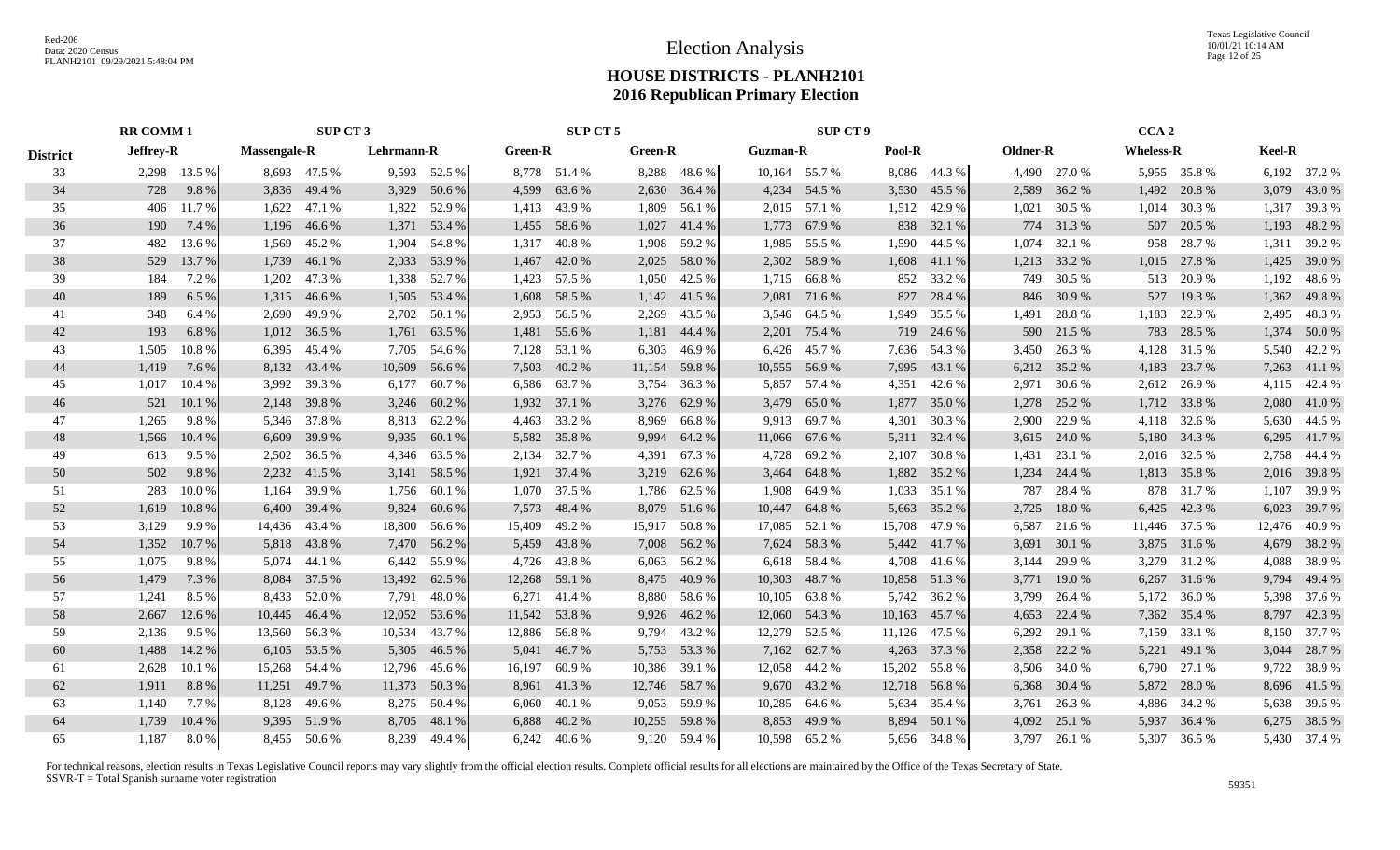Texas Legislative Council 10/01/21 10:14 AM Page 12 of 25

## **HOUSE DISTRICTS - PLANH2101 2016 Republican Primary Election**

|                 | <b>RR COMM 1</b> |              |                     | SUP CT 3      |            |              |                | SUP CT 5       |                |                |                 | <b>SUP CT 9</b> |        |              |          |              | CCA <sub>2</sub> |               |        |               |
|-----------------|------------------|--------------|---------------------|---------------|------------|--------------|----------------|----------------|----------------|----------------|-----------------|-----------------|--------|--------------|----------|--------------|------------------|---------------|--------|---------------|
| <b>District</b> | <b>Jeffrey-R</b> |              | <b>Massengale-R</b> |               | Lehrmann-R |              | <b>Green-R</b> |                | <b>Green-R</b> |                | <b>Guzman-R</b> |                 | Pool-R |              | Oldner-R |              | <b>Wheless-R</b> |               | Keel-R |               |
| 33              |                  | 2,298 13.5 % |                     | 8,693 47.5 %  |            | 9,593 52.5 % |                | 8,778 51.4 %   |                | 8,288 48.6 %   |                 | 10,164 55.7 %   |        | 8,086 44.3 % |          | 4,490 27.0 % |                  | 5,955 35.8 %  |        | 6,192 37.2 %  |
| 34              | 728              | 9.8%         | 3,836               | 49.4 %        | 3,929      | 50.6 %       | 4,599          | 63.6 %         |                | 2,630 36.4 %   |                 | 4,234 54.5 %    | 3,530  | 45.5 %       | 2,589    | 36.2 %       | 1,492            | 20.8%         |        | 3,079 43.0 %  |
| 35              | 406              | 11.7%        | 1,622               | 47.1 %        | 1,822      | 52.9 %       | 1,413          | 43.9 %         | 1,809          | 56.1 %         |                 | 2,015 57.1 %    | 1,512  | 42.9 %       | 1,021    | 30.5 %       | 1,014            | 30.3 %        |        | 1,317 39.3 %  |
| 36              | 190              | 7.4 %        |                     | 1,196 46.6 %  | 1,371      | 53.4 %       | 1,455          | 58.6 %         | 1,027          | 41.4 %         |                 | 1,773 67.9 %    | 838    | 32.1 %       |          | 774 31.3 %   | 507              | 20.5 %        |        | 1,193 48.2 %  |
| 37              | 482              | 13.6 %       |                     | 1,569 45.2 %  | 1,904      | 54.8%        | 1,317          | 40.8%          | 1,908          | 59.2 %         | 1,985           | 55.5 %          | 1,590  | 44.5 %       | 1,074    | 32.1 %       | 958              | 28.7 %        |        | 1,311 39.2 %  |
| 38              | 529              | 13.7 %       | 1,739               | 46.1%         | 2,033      | 53.9%        | 1,467          | 42.0 %         | 2,025          | 58.0%          |                 | 2,302 58.9 %    | 1,608  | 41.1 %       | 1,213    | 33.2 %       | 1,015            | 27.8 %        |        | 1,425 39.0 %  |
| 39              | 184              | 7.2 %        | 1,202               | 47.3 %        | 1,338      | 52.7 %       |                | 1,423 57.5 %   | 1,050          | 42.5 %         |                 | 1,715 66.8%     | 852    | 33.2 %       | 749      | 30.5 %       | 513              | 20.9%         |        | 1,192 48.6 %  |
| 40              | 189              | 6.5 %        | 1,315               | 46.6 %        | 1,505      | 53.4 %       |                | 1,608 58.5 %   |                | $1,142$ 41.5 % |                 | 2,081 71.6 %    | 827    | 28.4 %       | 846      | 30.9 %       | 527              | 19.3 %        |        | 1,362 49.8 %  |
| 41              | 348              | 6.4%         | 2,690               | 49.9 %        | 2,702      | 50.1 %       |                | 2,953 56.5 %   | 2,269          | 43.5 %         |                 | 3,546 64.5 %    | 1,949  | 35.5 %       | 1,491    | 28.8%        | 1,183            | 22.9 %        |        | 2,495 48.3 %  |
| 42              | 193              | 6.8%         | 1,012               | 36.5 %        | 1,761      | 63.5 %       |                | 1,481 55.6 %   | 1,181          | 44.4 %         |                 | 2,201 75.4 %    |        | 719 24.6 %   | 590      | 21.5 %       | 783              | 28.5 %        |        | 1,374 50.0 %  |
| 43              | 1,505            | 10.8%        | 6,395               | 45.4 %        |            | 7,705 54.6 % |                | 7,128 53.1 %   | 6,303          | 46.9 %         |                 | 6,426 45.7 %    | 7,636  | 54.3 %       | 3,450    | 26.3 %       | 4,128            | 31.5 %        |        | 5,540 42.2 %  |
| 44              | 1,419            | 7.6 %        |                     | 8,132 43.4 %  | 10,609     | 56.6 %       |                | 7,503 40.2 %   | 11,154         | 59.8%          | 10,555 56.9 %   |                 | 7,995  | 43.1 %       | 6,212    | 35.2 %       | 4,183            | 23.7 %        |        | 7,263 41.1 %  |
| 45              | 1,017            | 10.4 %       |                     | 3,992 39.3 %  |            | 6,177 60.7 % |                | 6,586 63.7 %   | 3,754          | 36.3 %         |                 | 5,857 57.4 %    | 4,351  | 42.6 %       | 2,971    | 30.6 %       |                  | 2,612 26.9 %  |        | 4,115 42.4 %  |
| 46              | 521              | 10.1%        |                     | 2,148 39.8 %  | 3,246      | 60.2%        |                | 1,932 37.1 %   |                | 3,276 62.9 %   |                 | 3,479 65.0 %    | 1,877  | 35.0 %       | 1,278    | 25.2 %       |                  | 1,712 33.8 %  |        | 2,080 41.0 %  |
| 47              | 1,265            | 9.8%         |                     | 5,346 37.8 %  |            | 8,813 62.2 % | 4,463          | 33.2 %         |                | 8,969 66.8%    |                 | 9,913 69.7 %    | 4,301  | 30.3 %       | 2,900    | 22.9 %       |                  | 4,118 32.6 %  |        | 5,630 44.5 %  |
| 48              | 1,566            | 10.4%        |                     | 6,609 39.9 %  | 9,935      | 60.1 %       |                | 5,582 35.8 %   | 9,994          | 64.2 %         | 11,066 67.6 %   |                 | 5,311  | 32.4 %       |          | 3,615 24.0 % |                  | 5,180 34.3 %  |        | 6,295 41.7 %  |
| 49              | 613              | 9.5 %        | 2,502               | 36.5 %        |            | 4,346 63.5 % |                | 2,134 32.7 %   | 4,391          | 67.3 %         | 4,728           | 69.2 %          | 2,107  | 30.8 %       | 1,431    | 23.1 %       |                  | 2,016 32.5 %  |        | 2,758 44.4 %  |
| 50              | 502              | 9.8%         | 2,232               | 41.5 %        |            | 3,141 58.5 % |                | 1,921 37.4 %   |                | 3,219 62.6 %   | 3,464           | 64.8%           | 1,882  | 35.2 %       | 1,234    | 24.4 %       |                  | 1,813 35.8 %  |        | 2,016 39.8 %  |
| 51              | 283              | 10.0%        | 1,164               | 39.9 %        | 1,756      | 60.1 %       | 1,070          | 37.5 %         |                | 1,786 62.5 %   | 1,908           | 64.9 %          | 1,033  | 35.1 %       | 787      | 28.4 %       | 878              | 31.7 %        |        | 1,107 39.9 %  |
| 52              | 1,619            | 10.8%        |                     | 6,400 39.4 %  |            | 9,824 60.6 % |                | 7,573 48.4 %   |                | 8,079 51.6 %   | 10,447          | 64.8%           | 5,663  | 35.2 %       | 2,725    | 18.0%        |                  | 6,425 42.3 %  |        | 6,023 39.7 %  |
| 53              | 3,129            | 9.9%         |                     | 14,436 43.4 % | 18,800     | 56.6 %       | 15,409         | 49.2 %         |                | 15,917 50.8 %  | 17,085          | 52.1 %          | 15,708 | 47.9 %       | 6,587    | 21.6 %       |                  | 11,446 37.5 % |        | 12,476 40.9 % |
| 54              | 1,352            | 10.7 %       |                     | 5,818 43.8%   |            | 7,470 56.2 % | 5,459          | 43.8%          |                | 7,008 56.2 %   |                 | 7,624 58.3 %    | 5,442  | 41.7 %       | 3,691    | 30.1 %       |                  | 3,875 31.6 %  |        | 4,679 38.2 %  |
| 55              | 1,075            | 9.8%         | 5,074               | 44.1 %        | 6,442      | 55.9%        |                | 4,726 43.8 %   | 6,063          | 56.2 %         |                 | 6,618 58.4 %    | 4,708  | 41.6 %       | 3,144    | 29.9 %       | 3,279            | 31.2 %        |        | 4,088 38.9 %  |
| 56              | 1,479            | 7.3 %        | 8,084               | 37.5 %        | 13,492     | 62.5 %       |                | 12,268 59.1 %  | 8,475          | 40.9%          | 10,303          | 48.7 %          | 10,858 | 51.3%        |          | 3,771 19.0 % | 6,267            | 31.6 %        |        | 9,794 49.4 %  |
| 57              | 1,241            | 8.5 %        | 8,433               | 52.0 %        | 7,791      | 48.0%        |                | 6,271 41.4 %   | 8,880          | 58.6 %         | 10,105          | 63.8%           | 5,742  | 36.2 %       | 3,799    | 26.4 %       | 5,172            | 36.0%         |        | 5,398 37.6 %  |
| 58              | 2,667            | 12.6 %       | 10,445              | 46.4 %        | 12,052     | 53.6 %       | 11,542 53.8 %  |                | 9,926          | 46.2 %         | 12,060          | 54.3 %          | 10,163 | 45.7 %       | 4,653    | 22.4 %       | 7,362            | 35.4 %        |        | 8,797 42.3 %  |
| 59              | 2,136            | 9.5 %        | 13,560              | 56.3 %        | 10,534     | 43.7 %       | 12,886 56.8 %  |                | 9,794          | 43.2 %         |                 | 12,279 52.5 %   | 11,126 | 47.5 %       | 6,292    | 29.1 %       | 7,159            | 33.1 %        |        | 8,150 37.7 %  |
| 60              | 1,488            | 14.2 %       |                     | 6,105 53.5 %  | 5,305      | 46.5 %       | 5,041          | 46.7 %         |                | 5,753 53.3 %   |                 | 7,162 62.7 %    | 4,263  | 37.3 %       | 2,358    | 22.2 %       | 5,221            | 49.1 %        |        | 3,044 28.7 %  |
| 61              | 2,628            | 10.1 %       |                     | 15,268 54.4 % | 12,796     | 45.6 %       | 16,197         | 60.9%          |                | 10,386 39.1 %  |                 | 12,058 44.2 %   | 15,202 | 55.8 %       |          | 8,506 34.0 % | 6,790            | 27.1 %        |        | 9,722 38.9 %  |
| 62              | 1,911            | 8.8%         | 11,251              | 49.7 %        | 11,373     | 50.3 %       |                | 8,961 41.3 %   |                | 12,746 58.7 %  |                 | 9,670 43.2 %    |        | 12,718 56.8% | 6,368    | 30.4 %       | 5,872            | 28.0 %        |        | 8,696 41.5 %  |
| 63              | 1,140            | 7.7 %        | 8,128               | 49.6 %        | 8,275      | 50.4 %       | 6,060          | 40.1 %         |                | 9,053 59.9 %   | 10,285          | 64.6 %          | 5,634  | 35.4 %       | 3,761    | 26.3 %       |                  | 4,886 34.2 %  |        | 5,638 39.5 %  |
| 64              | 1,739            | 10.4 %       | 9,395               | 51.9%         | 8,705      | 48.1 %       | 6,888          | 40.2 %         |                | 10,255 59.8 %  | 8,853           | 49.9 %          | 8,894  | 50.1 %       | 4,092    | 25.1 %       | 5,937            | 36.4 %        |        | 6,275 38.5 %  |
| 65              | 1,187            | 8.0 %        |                     | 8,455 50.6 %  |            | 8,239 49.4 % |                | $6,242$ 40.6 % |                | 9,120 59.4 %   |                 | 10,598 65.2 %   |        | 5,656 34.8 % | 3,797    | 26.1 %       |                  | 5,307 36.5 %  |        | 5,430 37.4 %  |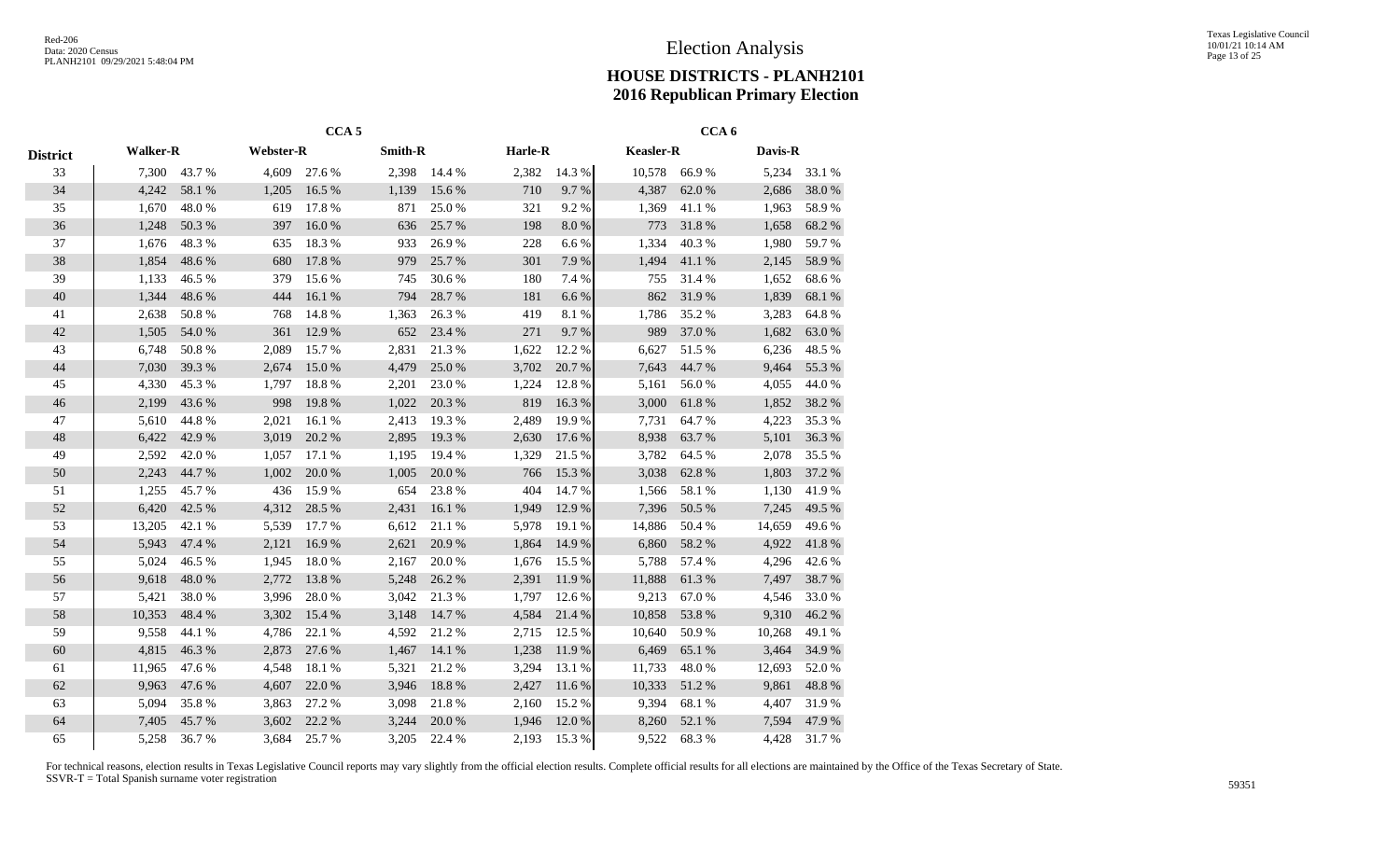|                 |                 |              |                  | $CCA$ 5 |                |        |         |           |                  | CCA <sub>6</sub> |         |            |
|-----------------|-----------------|--------------|------------------|---------|----------------|--------|---------|-----------|------------------|------------------|---------|------------|
| <b>District</b> | <b>Walker-R</b> |              | <b>Webster-R</b> |         | <b>Smith-R</b> |        | Harle-R |           | <b>Keasler-R</b> |                  | Davis-R |            |
| 33              |                 | 7,300 43.7 % | 4,609            | 27.6 %  | 2,398          | 14.4 % | 2,382   | 14.3 %    | 10,578           | 66.9%            | 5,234   | 33.1 %     |
| 34              | 4,242           | 58.1 %       | 1,205            | 16.5 %  | 1,139          | 15.6 % | 710     | 9.7%      | 4,387            | 62.0 %           | 2,686   | 38.0%      |
| 35              | 1,670           | 48.0%        | 619              | 17.8%   | 871            | 25.0%  | 321     | 9.2%      | 1,369            | 41.1%            | 1,963   | 58.9%      |
| 36              | 1,248           | 50.3 %       | 397              | 16.0%   | 636            | 25.7 % | 198     | 8.0%      | 773              | 31.8%            | 1,658   | 68.2%      |
| 37              | 1,676           | 48.3%        | 635              | 18.3%   | 933            | 26.9%  | 228     | 6.6%      | 1,334            | 40.3%            | 1,980   | 59.7%      |
| 38              | 1,854           | 48.6%        | 680              | 17.8 %  | 979            | 25.7 % | 301     | 7.9%      | 1,494            | 41.1 %           | 2,145   | 58.9%      |
| 39              | 1,133           | 46.5 %       | 379              | 15.6 %  | 745            | 30.6%  | 180     | 7.4 %     | 755              | 31.4 %           | 1,652   | 68.6%      |
| $40\,$          | 1,344           | 48.6%        | 444              | 16.1 %  | 794            | 28.7%  | 181     | 6.6%      | 862              | 31.9%            | 1,839   | 68.1 %     |
| 41              | 2,638           | 50.8%        | 768              | 14.8%   | 1,363          | 26.3%  | 419     | $8.1\ \%$ | 1,786            | 35.2%            | 3,283   | 64.8%      |
| 42              | 1,505           | 54.0%        | 361              | 12.9 %  | 652            | 23.4 % | 271     | 9.7%      | 989              | 37.0 %           | 1,682   | 63.0%      |
| 43              | 6,748           | 50.8%        | 2,089            | 15.7 %  | 2,831          | 21.3%  | 1,622   | 12.2 %    | 6,627            | 51.5 %           | 6,236   | 48.5 %     |
| 44              | 7,030           | 39.3 %       | 2,674            | 15.0%   | 4,479          | 25.0%  | 3,702   | 20.7%     | 7,643            | 44.7 %           | 9,464   | 55.3%      |
| 45              | 4,330           | 45.3%        | 1,797            | 18.8%   | 2,201          | 23.0%  | 1,224   | 12.8%     | 5,161            | 56.0%            | 4,055   | 44.0%      |
| 46              | 2,199           | 43.6%        | 998              | 19.8%   | 1,022          | 20.3 % | 819     | 16.3%     | 3,000            | 61.8%            | 1,852   | 38.2 %     |
| 47              | 5,610           | 44.8%        | 2,021            | 16.1 %  | 2,413          | 19.3 % | 2,489   | 19.9%     | 7,731            | 64.7%            | 4,223   | 35.3 %     |
| 48              | 6,422           | 42.9%        | 3,019            | 20.2 %  | 2,895          | 19.3%  | 2,630   | 17.6 %    | 8,938            | 63.7%            | 5,101   | 36.3%      |
| 49              | 2,592           | 42.0%        | 1,057            | 17.1 %  | 1,195          | 19.4 % | 1,329   | 21.5 %    | 3,782            | 64.5 %           | 2,078   | 35.5 %     |
| 50              | 2,243           | 44.7%        | 1,002            | 20.0%   | 1,005          | 20.0%  | 766     | 15.3 %    | 3,038            | 62.8%            | 1,803   | 37.2 %     |
| 51              | 1,255           | 45.7%        | 436              | 15.9%   | 654            | 23.8%  | 404     | 14.7 %    | 1,566            | 58.1 %           | 1,130   | 41.9%      |
| 52              | 6,420           | 42.5 %       | 4,312            | 28.5 %  | 2,431          | 16.1%  | 1,949   | 12.9%     | 7,396            | 50.5 %           | 7,245   | 49.5 %     |
| 53              | 13,205          | 42.1 %       | 5,539            | 17.7 %  | 6,612          | 21.1 % | 5,978   | 19.1 %    | 14,886           | 50.4 %           | 14,659  | 49.6%      |
| 54              | 5,943           | 47.4 %       | 2,121            | 16.9%   | 2,621          | 20.9%  | 1,864   | 14.9%     | 6,860            | 58.2%            | 4,922   | $41.8\ \%$ |
| 55              | 5,024           | 46.5%        | 1,945            | 18.0%   | 2,167          | 20.0%  | 1,676   | 15.5 %    | 5,788            | 57.4 %           | 4,296   | 42.6 %     |
| 56              | 9,618           | 48.0%        | 2,772            | 13.8 %  | 5,248          | 26.2%  | 2,391   | 11.9%     | 11,888           | 61.3%            | 7,497   | 38.7%      |
| 57              | 5,421           | 38.0%        | 3,996            | 28.0%   | 3,042          | 21.3%  | 1,797   | 12.6 %    | 9,213            | 67.0%            | 4,546   | 33.0%      |
| 58              | 10,353          | 48.4 %       | 3,302            | 15.4 %  | 3,148          | 14.7 % | 4,584   | 21.4 %    | 10,858           | 53.8%            | 9,310   | 46.2%      |
| 59              | 9,558           | 44.1 %       | 4,786            | 22.1 %  | 4,592          | 21.2%  | 2,715   | 12.5 %    | 10,640           | 50.9%            | 10,268  | 49.1 %     |
| 60              | 4,815           | 46.3%        | 2,873            | 27.6 %  | 1,467          | 14.1 % | 1,238   | 11.9 %    | 6,469            | 65.1 %           | 3,464   | 34.9%      |
| 61              | 11,965          | 47.6%        | 4,548            | 18.1%   | 5,321          | 21.2%  | 3,294   | 13.1 %    | 11,733           | 48.0%            | 12,693  | 52.0%      |
| 62              | 9,963           | 47.6 %       | 4,607            | 22.0 %  | 3,946          | 18.8%  | 2,427   | 11.6 %    | 10,333           | 51.2%            | 9,861   | 48.8 %     |
| 63              | 5,094           | 35.8%        | 3,863            | 27.2 %  | 3,098          | 21.8%  | 2,160   | 15.2%     | 9,394            | 68.1%            | 4,407   | 31.9%      |
| 64              | 7,405           | 45.7%        | 3,602            | 22.2 %  | 3,244          | 20.0%  | 1,946   | 12.0%     | 8,260            | 52.1 %           | 7,594   | 47.9%      |
| 65              | 5,258           | 36.7%        | 3,684            | 25.7 %  | 3,205          | 22.4 % | 2,193   | 15.3%     | 9,522            | 68.3%            | 4,428   | 31.7%      |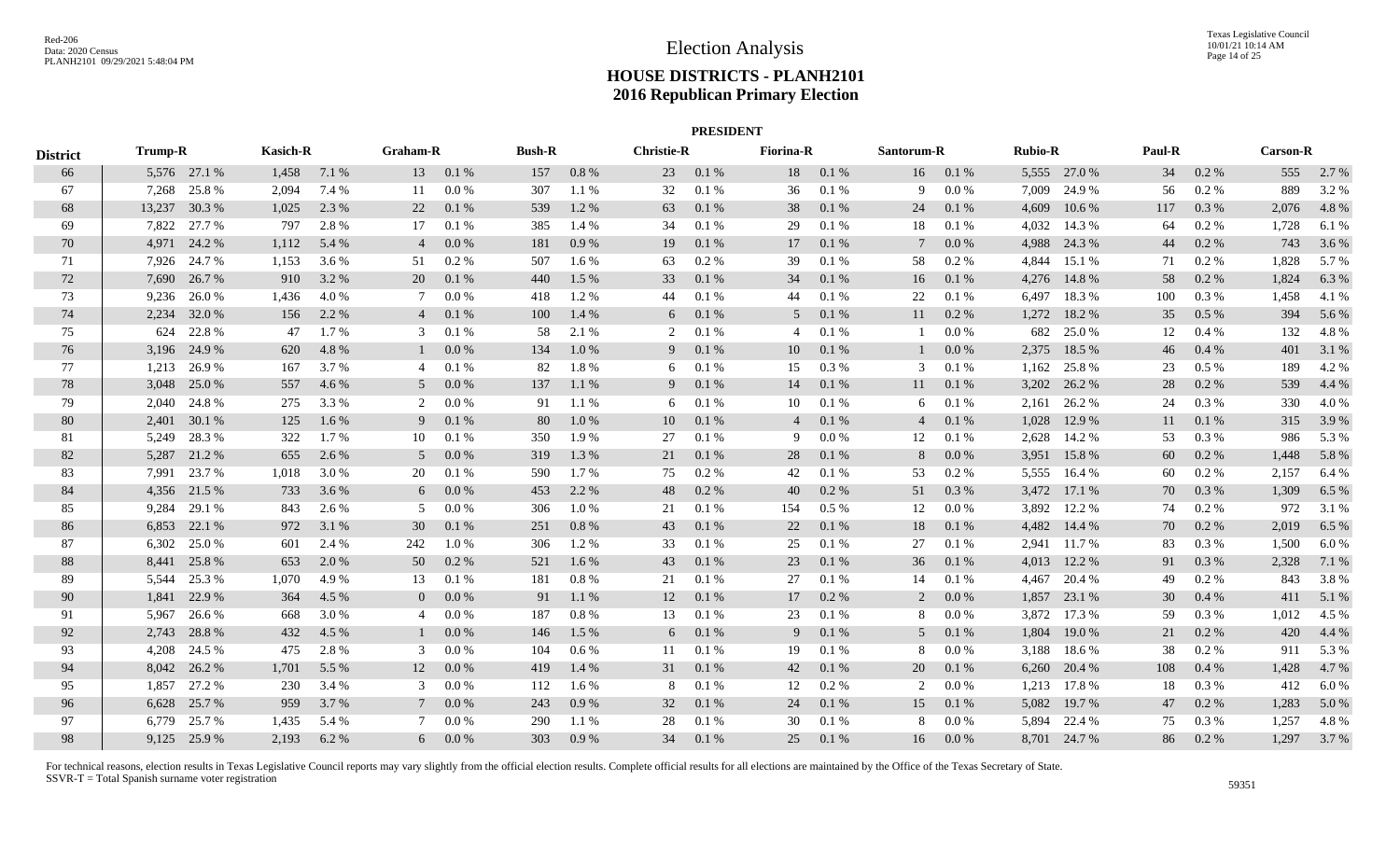|                 |                |              |                                    |       |                |               |     |                   |    | <b>PRESIDENT</b> |                |            |                |                |       |              |     |                 |       |           |
|-----------------|----------------|--------------|------------------------------------|-------|----------------|---------------|-----|-------------------|----|------------------|----------------|------------|----------------|----------------|-------|--------------|-----|-----------------|-------|-----------|
| <b>District</b> | <b>Trump-R</b> |              | <b>Kasich-R</b><br><b>Graham-R</b> |       |                | <b>Bush-R</b> |     | <b>Christie-R</b> |    | <b>Fiorina-R</b> |                | Santorum-R |                | <b>Rubio-R</b> |       | Paul-R       |     | <b>Carson-R</b> |       |           |
| 66              |                | 5,576 27.1 % | 1,458                              | 7.1 % | 13             | 0.1%          | 157 | 0.8%              | 23 | 0.1%             | 18             | 0.1%       | 16             | 0.1%           |       | 5,555 27.0 % | 34  | $0.2 \%$        |       | 555 2.7 % |
| 67              |                | 7,268 25.8 % | 2,094                              | 7.4 % | 11             | 0.0 %         | 307 | 1.1 %             | 32 | 0.1%             | 36             | 0.1 %      | 9              | 0.0 %          | 7,009 | 24.9 %       | 56  | 0.2 %           | 889   | 3.2%      |
| 68              | 13,237         | 30.3 %       | 1,025                              | 2.3 % | 22             | 0.1%          | 539 | 1.2%              | 63 | 0.1%             | 38             | 0.1 %      | 24             | 0.1 %          | 4,609 | 10.6%        | 117 | 0.3%            | 2,076 | 4.8%      |
| 69              | 7,822          | 27.7 %       | 797                                | 2.8%  | 17             | 0.1%          | 385 | 1.4 %             | 34 | 0.1%             | 29             | 0.1 %      | 18             | 0.1%           | 4,032 | 14.3 %       | 64  | 0.2%            | 1,728 | 6.1%      |
| 70              | 4,971          | 24.2 %       | 1,112                              | 5.4 % |                | 0.0 %         | 181 | 0.9%              | 19 | 0.1%             | 17             | 0.1 %      | 7              | 0.0 %          | 4,988 | 24.3 %       | 44  | $0.2 \%$        | 743   | 3.6 %     |
| 71              | 7,926          | 24.7 %       | 1,153                              | 3.6 % | 51             | 0.2 %         | 507 | 1.6 %             | 63 | 0.2 %            | 39             | 0.1%       | 58             | $0.2 \%$       | 4,844 | 15.1 %       | 71  | $0.2\%$         | 1,828 | 5.7 %     |
| 72              | 7,690          | 26.7 %       | 910                                | 3.2 % | 20             | 0.1%          | 440 | 1.5 %             | 33 | 0.1%             | 34             | 0.1 %      | 16             | 0.1 %          | 4,276 | 14.8%        | 58  | 0.2 %           | 1,824 | 6.3%      |
| 73              | 9,236          | 26.0%        | 1,436                              | 4.0%  |                | 0.0 %         | 418 | 1.2%              | 44 | 0.1%             | 44             | 0.1 %      | 22             | 0.1%           | 6,497 | 18.3%        | 100 | 0.3 %           | 1,458 | 4.1 %     |
| 74              | 2,234          | 32.0%        | 156                                | 2.2 % |                | 0.1%          | 100 | 1.4 %             | 6  | 0.1%             | 5 <sup>5</sup> | 0.1 %      | 11             | 0.2%           | 1,272 | 18.2 %       | 35  | 0.5 %           | 394   | 5.6 %     |
| 75              | 624            | 22.8%        | 47                                 | 1.7%  | 3              | 0.1%          | 58  | 2.1 %             | 2  | 0.1 %            | 4              | 0.1%       | 1              | 0.0 %          | 682   | 25.0%        | 12  | 0.4 %           | 132   | 4.8%      |
| 76              |                | 3,196 24.9 % | 620                                | 4.8%  |                | 0.0 %         | 134 | 1.0%              | 9  | 0.1 %            | 10             | 0.1 %      | 1              | 0.0 %          | 2,375 | 18.5 %       | 46  | 0.4%            | 401   | 3.1 %     |
| 77              |                | 1,213 26.9 % | 167                                | 3.7 % | $\overline{4}$ | 0.1%          | 82  | 1.8%              | 6  | 0.1%             | 15             | 0.3 %      | 3              | 0.1%           | 1,162 | 25.8%        | 23  | $0.5\%$         | 189   | 4.2%      |
| 78              | 3,048          | 25.0 %       | 557                                | 4.6 % | 5              | 0.0 %         | 137 | 1.1 %             | 9  | 0.1%             | 14             | 0.1 %      | 11             | 0.1 %          | 3,202 | 26.2 %       | 28  | $0.2 \%$        | 539   | 4.4 %     |
| 79              | 2,040          | 24.8%        | 275                                | 3.3 % | 2              | 0.0 %         | 91  | 1.1 %             | 6  | 0.1%             | 10             | 0.1%       | 6              | 0.1%           |       | 2,161 26.2 % | 24  | 0.3 %           | 330   | 4.0%      |
| 80              | 2,401          | 30.1 %       | 125                                | 1.6 % | 9              | 0.1%          | 80  | 1.0%              | 10 | 0.1%             | $\overline{4}$ | 0.1 %      | $\overline{4}$ | 0.1 %          | 1,028 | 12.9 %       | 11  | 0.1%            | 315   | 3.9%      |
| 81              | 5,249          | 28.3%        | 322                                | 1.7%  | 10             | 0.1%          | 350 | 1.9%              | 27 | 0.1%             | 9              | $0.0\ \%$  | 12             | 0.1 %          | 2,628 | 14.2 %       | 53  | 0.3%            | 986   | 5.3 %     |
| 82              | 5,287          | 21.2%        | 655                                | 2.6 % | 5              | 0.0 %         | 319 | 1.3 %             | 21 | 0.1%             | 28             | 0.1%       | 8              | 0.0 %          | 3,951 | 15.8%        | 60  | $0.2\%$         | 1,448 | 5.8 %     |
| 83              | 7,991          | 23.7 %       | 1,018                              | 3.0 % | 20             | 0.1%          | 590 | 1.7 %             | 75 | 0.2 %            | 42             | 0.1 %      | 53             | $0.2 \%$       | 5,555 | 16.4 %       | 60  | $0.2 \%$        | 2,157 | 6.4 %     |
| 84              |                | 4,356 21.5 % | 733                                | 3.6 % | 6              | 0.0 %         | 453 | 2.2 %             | 48 | 0.2 %            | 40             | 0.2 %      | 51             | 0.3%           | 3,472 | 17.1 %       | 70  | 0.3 %           | 1,309 | 6.5 %     |
| 85              | 9,284          | 29.1 %       | 843                                | 2.6 % | 5              | 0.0 %         | 306 | 1.0 %             | 21 | 0.1%             | 154            | $0.5\ \%$  | 12             | 0.0 %          | 3,892 | 12.2 %       | 74  | 0.2 %           | 972   | 3.1 %     |
| 86              |                | 6,853 22.1 % | 972                                | 3.1 % | 30             | 0.1%          | 251 | 0.8 %             | 43 | 0.1%             | 22             | 0.1 %      | 18             | 0.1 %          |       | 4,482 14.4 % | 70  | 0.2 %           | 2,019 | 6.5 %     |
| 87              | 6,302          | 25.0%        | 601                                | 2.4 % | 242            | 1.0%          | 306 | 1.2%              | 33 | 0.1%             | 25             | 0.1 %      | 27             | 0.1 %          |       | 2,941 11.7 % | 83  | 0.3%            | 1,500 | 6.0%      |
| 88              | 8,441          | 25.8%        | 653                                | 2.0 % | 50             | 0.2 %         | 521 | 1.6 %             | 43 | 0.1 %            | 23             | 0.1 %      | 36             | 0.1%           | 4,013 | 12.2 %       | 91  | 0.3 %           | 2,328 | 7.1 %     |
| 89              | 5,544          | 25.3 %       | 1,070                              | 4.9%  | 13             | 0.1%          | 181 | 0.8%              | 21 | 0.1%             | 27             | 0.1 %      | 14             | 0.1%           | 4,467 | 20.4 %       | 49  | 0.2 %           | 843   | 3.8%      |
| 90              | 1,841          | 22.9 %       | 364                                | 4.5 % | $\overline{0}$ | 0.0 %         | 91  | 1.1%              | 12 | 0.1%             | 17             | 0.2 %      | 2              | 0.0 %          | 1,857 | 23.1 %       | 30  | 0.4%            | 411   | 5.1 %     |
| 91              | 5,967          | 26.6 %       | 668                                | 3.0 % | $\overline{4}$ | 0.0 %         | 187 | 0.8%              | 13 | 0.1%             | 23             | 0.1%       | 8              | 0.0 %          | 3,872 | 17.3 %       | 59  | 0.3 %           | 1,012 | 4.5 %     |
| 92              | 2,743          | 28.8%        | 432                                | 4.5 % |                | 0.0 %         | 146 | 1.5 %             | 6  | 0.1%             | 9              | 0.1 %      | 5 <sup>5</sup> | 0.1%           | 1,804 | 19.0 %       | 21  | 0.2 %           | 420   | 4.4 %     |
| 93              | 4,208          | 24.5 %       | 475                                | 2.8%  | 3              | 0.0 %         | 104 | 0.6 %             | 11 | 0.1%             | 19             | 0.1%       | 8              | $0.0\ \%$      | 3,188 | 18.6%        | 38  | 0.2 %           | 911   | 5.3 %     |
| 94              |                | 8,042 26.2 % | 1,701                              | 5.5 % | 12             | 0.0 %         | 419 | 1.4 %             | 31 | 0.1%             | 42             | 0.1 %      | 20             | 0.1 %          | 6,260 | 20.4 %       | 108 | 0.4%            | 1,428 | 4.7%      |
| 95              | 1,857          | 27.2 %       | 230                                | 3.4 % | 3              | 0.0 %         | 112 | 1.6 %             | 8  | 0.1%             | 12             | $0.2 \%$   | 2              | 0.0 %          | 1,213 | 17.8%        | 18  | $0.3\%$         | 412   | 6.0%      |
| 96              |                | 6,628 25.7 % | 959                                | 3.7 % |                | 0.0 %         | 243 | 0.9%              | 32 | 0.1%             | 24             | 0.1 %      | 15             | 0.1%           | 5,082 | 19.7 %       | 47  | $0.2 \%$        | 1,283 | 5.0%      |
| 97              | 6.779          | 25.7 %       | 1,435                              | 5.4 % |                | 0.0 %         | 290 | 1.1%              | 28 | 0.1%             | 30             | 0.1%       | 8              | 0.0 %          | 5,894 | 22.4 %       | 75  | 0.3 %           | 1,257 | 4.8%      |
| 98              |                | 9,125 25.9 % | 2,193                              | 6.2 % | 6              | 0.0 %         | 303 | 0.9%              | 34 | 0.1%             | 25             | 0.1%       | 16             | 0.0 %          |       | 8,701 24.7 % | 86  | 0.2 %           | 1,297 | 3.7 %     |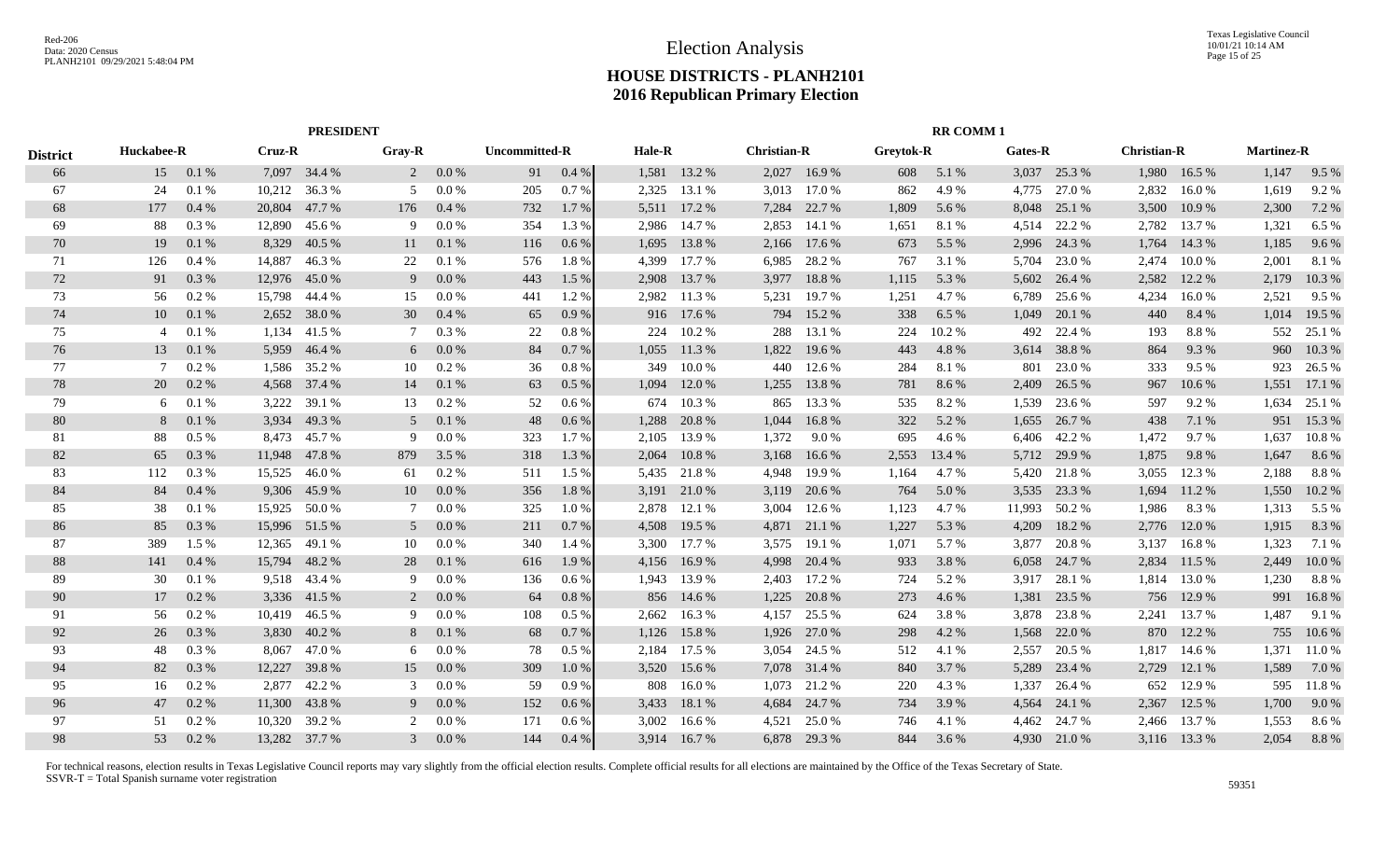|                 |                 |                      |        | <b>PRESIDENT</b> |               |         |                      |         |        |              |                    |              |                  | <b>RR COMM1</b> |         |              |                    |              |                   |        |
|-----------------|-----------------|----------------------|--------|------------------|---------------|---------|----------------------|---------|--------|--------------|--------------------|--------------|------------------|-----------------|---------|--------------|--------------------|--------------|-------------------|--------|
| <b>District</b> |                 | Huckabee-R<br>Cruz-R |        |                  | <b>Gray-R</b> |         | <b>Uncommitted-R</b> |         | Hale-R |              | <b>Christian-R</b> |              | <b>Greytok-R</b> |                 | Gates-R |              | <b>Christian-R</b> |              | <b>Martinez-R</b> |        |
| 66              | 15              | 0.1%                 |        | 7,097 34.4 %     | 2             | 0.0 %   | 91                   | 0.4%    | 1,581  | 13.2 %       |                    | 2,027 16.9 % | 608              | 5.1 %           |         | 3,037 25.3 % | 1,980              | 16.5 %       | 1,147             | 9.5 %  |
| 67              | 24              | 0.1%                 | 10,212 | 36.3%            | .5            | 0.0 %   | 205                  | 0.7%    | 2,325  | 13.1 %       | 3,013              | 17.0 %       | 862              | 4.9%            | 4,775   | 27.0 %       | 2,832              | 16.0%        | 1,619             | 9.2%   |
| 68              | 177             | $0.4\%$              | 20,804 | 47.7 %           | 176           | 0.4%    | 732                  | 1.7 %   | 5,511  | 17.2 %       | 7,284              | 22.7 %       | 1,809            | 5.6 %           | 8,048   | 25.1 %       | 3,500              | 10.9%        | 2,300             | 7.2 %  |
| 69              | 88              | 0.3%                 | 12,890 | 45.6 %           | 9             | 0.0 %   | 354                  | 1.3 %   | 2,986  | 14.7 %       | 2,853              | 14.1 %       | 1,651            | 8.1%            | 4,514   | 22.2 %       | 2,782              | 13.7 %       | 1,321             | 6.5 %  |
| 70              | 19              | 0.1%                 | 8,329  | 40.5 %           | 11            | 0.1%    | 116                  | 0.6%    | 1,695  | 13.8%        | 2,166              | 17.6 %       | 673              | 5.5 %           | 2,996   | 24.3 %       | 1,764              | 14.3 %       | 1,185             | 9.6%   |
| 71              | 126             | 0.4%                 | 14,887 | 46.3%            | 22            | 0.1%    | 576                  | 1.8%    | 4,399  | 17.7 %       | 6,985              | 28.2 %       | 767              | 3.1 %           | 5,704   | 23.0 %       | 2,474              | 10.0 %       | 2,001             | 8.1 %  |
| 72              | 91              | 0.3 %                | 12,976 | 45.0%            | 9             | 0.0 %   | 443                  | 1.5 %   | 2,908  | 13.7 %       | 3,977              | 18.8%        | 1,115            | 5.3 %           | 5,602   | 26.4 %       | 2,582              | 12.2 %       | 2,179             | 10.3%  |
| 73              | 56              | 0.2 %                | 15,798 | 44.4 %           | 15            | 0.0 %   | 441                  | 1.2 %   | 2,982  | 11.3 %       | 5,231              | 19.7 %       | 1,251            | 4.7 %           | 6,789   | 25.6 %       | 4,234              | 16.0%        | 2,521             | 9.5%   |
| 74              | 10              | 0.1%                 | 2,652  | 38.0%            | 30            | 0.4%    | 65                   | 0.9%    |        | 916 17.6 %   | 794                | 15.2 %       | 338              | 6.5 %           | 1,049   | 20.1 %       | 440                | 8.4 %        | 1,014             | 19.5 % |
| 75              | $\overline{4}$  | 0.1%                 | 1,134  | 41.5 %           |               | 0.3 %   | 22                   | 0.8%    | 224    | 10.2%        | 288                | 13.1 %       | 224              | 10.2%           | 492     | 22.4 %       | 193                | 8.8%         | 552               | 25.1 % |
| 76              | 13              | 0.1%                 | 5,959  | 46.4 %           | 6             | 0.0 %   | 84                   | 0.7%    | 1,055  | 11.3 %       | 1,822              | 19.6 %       | 443              | 4.8%            | 3,614   | 38.8%        | 864                | 9.3%         | 960               | 10.3 % |
| 77              | $7\phantom{.0}$ | 0.2 %                | 1,586  | 35.2 %           | 10            | 0.2 %   | 36                   | 0.8%    | 349    | 10.0%        | 440                | 12.6 %       | 284              | 8.1%            | 801     | 23.0%        | 333                | 9.5 %        | 923               | 26.5 % |
| 78              | 20              | $0.2\%$              | 4,568  | 37.4 %           | 14            | 0.1%    | 63                   | $0.5\%$ | 1,094  | 12.0 %       | 1,255              | 13.8%        | 781              | 8.6 %           | 2,409   | 26.5 %       | 967                | 10.6 %       | 1,551             | 17.1 % |
| 79              | 6               | 0.1%                 | 3,222  | 39.1 %           | 13            | $0.2\%$ | 52                   | 0.6%    | 674    | 10.3%        | 865                | 13.3 %       | 535              | 8.2%            | 1,539   | 23.6 %       | 597                | 9.2%         | 1,634             | 25.1 % |
| 80              | 8               | 0.1%                 | 3,934  | 49.3 %           | .5            | 0.1%    | 48                   | 0.6%    | 1,288  | 20.8%        | 1,044              | 16.8%        | 322              | 5.2 %           | 1,655   | 26.7%        | 438                | 7.1 %        | 951               | 15.3 % |
| 81              | 88              | 0.5%                 | 8,473  | 45.7 %           | 9             | 0.0 %   | 323                  | 1.7%    | 2,105  | 13.9 %       | 1,372              | 9.0%         | 695              | 4.6 %           | 6,406   | 42.2 %       | 1,472              | 9.7%         | 1,637             | 10.8%  |
| 82              | 65              | 0.3%                 | 11,948 | 47.8%            | 879           | 3.5 %   | 318                  | 1.3%    | 2,064  | 10.8%        | 3,168              | 16.6 %       | 2,553            | 13.4 %          | 5,712   | 29.9 %       | 1,875              | 9.8%         | 1,647             | 8.6%   |
| 83              | 112             | 0.3%                 | 15,525 | 46.0 %           | 61            | 0.2 %   | 511                  | $1.5\%$ |        | 5,435 21.8 % | 4,948              | 19.9 %       | 1,164            | 4.7 %           | 5,420   | 21.8%        | 3,055              | 12.3 %       | 2,188             | 8.8%   |
| 84              | 84              | 0.4%                 | 9,306  | 45.9%            | 10            | 0.0 %   | 356                  | 1.8%    | 3,191  | 21.0 %       | 3,119              | 20.6 %       | 764              | 5.0%            | 3,535   | 23.3 %       | 1,694              | 11.2 %       | 1,550             | 10.2 % |
| 85              | 38              | 0.1%                 | 15,925 | 50.0%            |               | 0.0 %   | 325                  | 1.0%    | 2,878  | 12.1 %       | 3,004              | 12.6 %       | 1,123            | 4.7 %           | 11,993  | 50.2 %       | 1,986              | 8.3%         | 1,313             | 5.5 %  |
| 86              | 85              | 0.3 %                | 15,996 | 51.5 %           | 5             | 0.0 %   | 211                  | 0.7%    | 4,508  | 19.5 %       | 4,871              | 21.1 %       | 1,227            | 5.3 %           | 4,209   | 18.2 %       | 2,776              | 12.0 %       | 1,915             | 8.3%   |
| 87              | 389             | 1.5 %                | 12,365 | 49.1 %           | 10            | 0.0 %   | 340                  | 1.4%    | 3,300  | 17.7 %       | 3,575              | 19.1 %       | 1,071            | 5.7 %           | 3,877   | 20.8%        | 3,137              | 16.8%        | 1,323             | 7.1 %  |
| 88              | 141             | 0.4%                 | 15,794 | 48.2%            | 28            | 0.1%    | 616                  | 1.9 %   | 4,156  | 16.9%        | 4,998              | 20.4 %       | 933              | 3.8%            | 6,058   | 24.7 %       | 2,834              | 11.5 %       | 2,449             | 10.0%  |
| 89              | 30              | 0.1%                 | 9,518  | 43.4 %           | -9            | 0.0 %   | 136                  | 0.6%    | 1,943  | 13.9 %       | 2,403              | 17.2 %       | 724              | 5.2 %           | 3,917   | 28.1 %       | 1,814              | 13.0 %       | 1,230             | 8.8%   |
| 90              | 17              | $0.2\%$              |        | 3,336 41.5 %     | 2             | 0.0 %   | 64                   | 0.8%    | 856    | 14.6 %       | 1,225              | 20.8%        | 273              | 4.6 %           | 1,381   | 23.5 %       | 756                | 12.9 %       | 991               | 16.8%  |
| 91              | 56              | 0.2 %                | 10.419 | 46.5 %           | 9             | $0.0\%$ | 108                  | 0.5 %   | 2.662  | 16.3%        | 4,157              | 25.5 %       | 624              | 3.8%            | 3,878   | 23.8%        | 2.241              | 13.7 %       | 1,487             | 9.1 %  |
| 92              | 26              | 0.3 %                | 3,830  | 40.2%            | 8             | 0.1%    | 68                   | 0.7%    | 1,126  | 15.8%        | 1,926              | 27.0 %       | 298              | 4.2 %           | 1,568   | 22.0 %       | 870                | 12.2 %       | 755               | 10.6%  |
| 93              | 48              | 0.3%                 | 8,067  | 47.0 %           | 6             | 0.0 %   | 78                   | 0.5%    | 2,184  | 17.5 %       | 3,054              | 24.5 %       | 512              | 4.1 %           | 2,557   | 20.5 %       | 1,817              | 14.6 %       | 1,371             | 11.0%  |
| 94              | 82              | 0.3 %                | 12,227 | 39.8 %           | 15            | 0.0 %   | 309                  | 1.0%    | 3,520  | 15.6 %       | 7,078              | 31.4 %       | 840              | 3.7 %           | 5,289   | 23.4 %       | 2,729              | 12.1 %       | 1,589             | 7.0 %  |
| 95              | 16              | 0.2 %                | 2,877  | 42.2 %           | 3             | 0.0 %   | 59                   | 0.9%    | 808    | 16.0%        | 1,073              | 21.2 %       | 220              | 4.3 %           | 1,337   | 26.4 %       | 652                | 12.9 %       | 595               | 11.8%  |
| 96              | 47              | 0.2 %                | 11,300 | 43.8%            | 9             | 0.0 %   | 152                  | $0.6\%$ | 3,433  | 18.1 %       | 4,684              | 24.7 %       | 734              | 3.9%            | 4,564   | 24.1 %       | 2,367              | 12.5 %       | 1,700             | 9.0%   |
| 97              | 51              | 0.2 %                | 10,320 | 39.2 %           | 2             | 0.0 %   | 171                  | 0.6%    | 3,002  | 16.6 %       | 4,521              | 25.0 %       | 746              | 4.1 %           | 4,462   | 24.7 %       | 2,466              | 13.7 %       | 1,553             | 8.6%   |
| 98              | 53              | 0.2 %                |        | 13,282 37.7 %    | 3             | 0.0 %   | 144                  | 0.4%    |        | 3,914 16.7 % |                    | 6,878 29.3 % | 844              | 3.6 %           |         | 4,930 21.0 % |                    | 3,116 13.3 % | 2,054             | 8.8%   |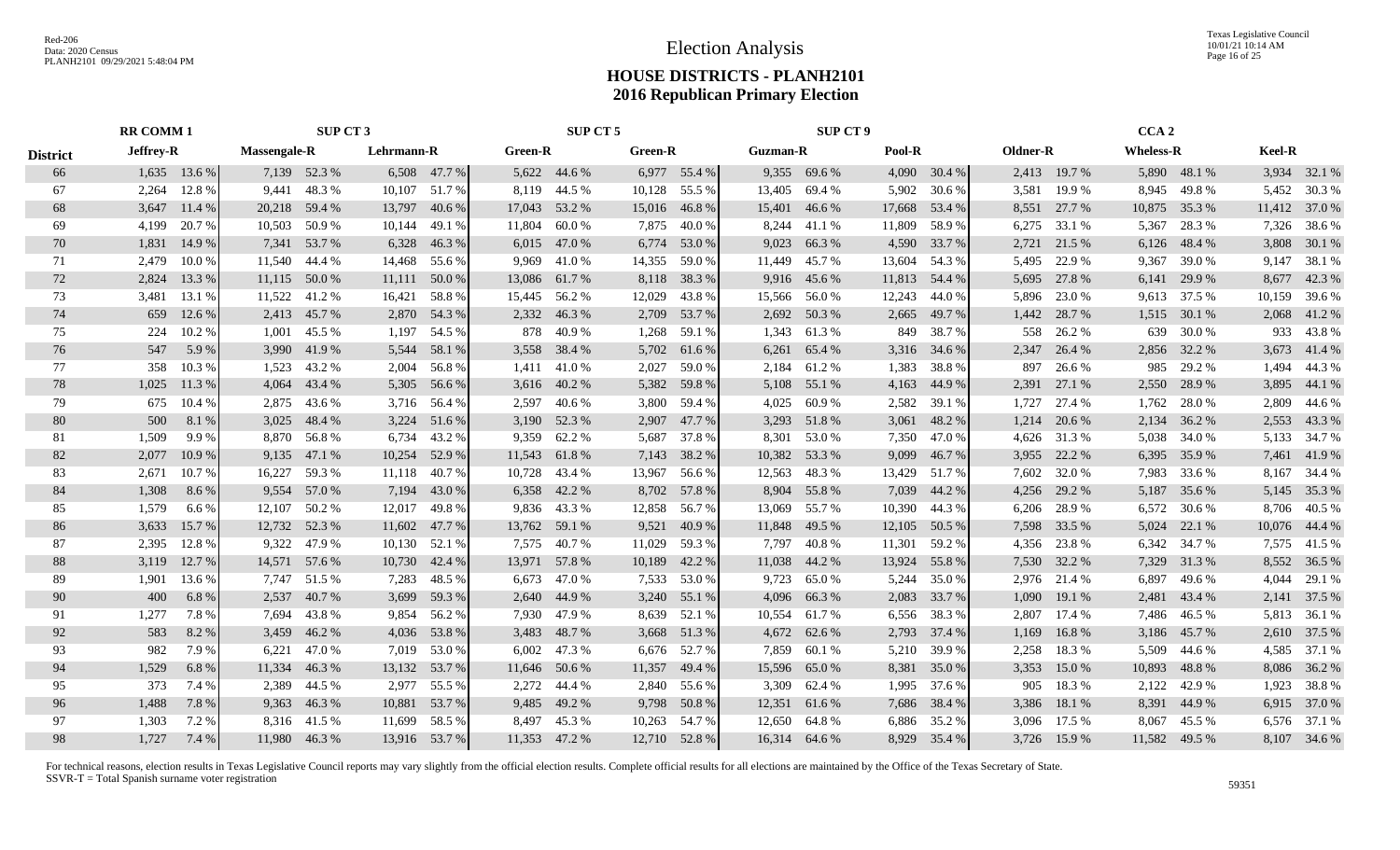Texas Legislative Council 10/01/21 10:14 AM Page 16 of 25

## **HOUSE DISTRICTS - PLANH2101 2016 Republican Primary Election**

|                 | <b>RR COMM 1</b> |                |                     | SUP CT 3      |            |                 |         | SUP CT 5      |                |               |                 | <b>SUP CT 9</b> |        |               |          |              | CCA <sub>2</sub> |               |        |               |
|-----------------|------------------|----------------|---------------------|---------------|------------|-----------------|---------|---------------|----------------|---------------|-----------------|-----------------|--------|---------------|----------|--------------|------------------|---------------|--------|---------------|
| <b>District</b> | Jeffrey-R        |                | <b>Massengale-R</b> |               | Lehrmann-R |                 | Green-R |               | <b>Green-R</b> |               | <b>Guzman-R</b> |                 | Pool-R |               | Oldner-R |              | <b>Wheless-R</b> |               | Keel-R |               |
| 66              |                  | $1,635$ 13.6 % |                     | 7,139 52.3 %  |            | 6,508 47.7 %    |         | 5,622 44.6 %  |                | 6,977 55.4 %  |                 | 9,355 69.6 %    |        | 4,090 30.4 %  |          | 2,413 19.7 % |                  | 5,890 48.1 %  |        | 3,934 32.1 %  |
| 67              | 2,264            | 12.8 %         | 9,441               | 48.3%         |            | 10,107 51.7 %   | 8,119   | 44.5 %        |                | 10,128 55.5 % | 13,405          | 69.4%           | 5,902  | 30.6 %        | 3,581    | 19.9%        | 8,945            | 49.8%         |        | 5,452 30.3 %  |
| 68              |                  | 3,647 11.4 %   |                     | 20,218 59.4 % | 13,797     | 40.6 %          |         | 17,043 53.2 % |                | 15,016 46.8 % |                 | 15,401 46.6 %   | 17,668 | 53.4 %        |          | 8,551 27.7 % | 10,875           | 35.3 %        |        | 11,412 37.0 % |
| 69              | 4,199            | 20.7 %         |                     | 10,503 50.9 % | 10,144     | 49.1 %          | 11,804  | 60.0 %        | 7,875          | 40.0 %        |                 | 8,244 41.1 %    | 11,809 | 58.9%         |          | 6,275 33.1 % | 5,367            | 28.3 %        |        | 7,326 38.6 %  |
| 70              | 1,831            | 14.9 %         |                     | 7,341 53.7 %  | 6,328      | 46.3%           |         | 6,015 47.0 %  |                | 6,774 53.0 %  | 9,023           | 66.3%           | 4,590  | 33.7 %        |          | 2,721 21.5 % | 6,126            | 48.4 %        |        | 3,808 30.1 %  |
| 71              | 2,479            | 10.0%          |                     | 11,540 44.4 % | 14,468     | 55.6 %          | 9,969   | 41.0%         | 14,355         | 59.0%         | 11,449          | 45.7 %          | 13,604 | 54.3 %        | 5,495    | 22.9 %       | 9,367            | 39.0%         |        | 9,147 38.1 %  |
| 72              | 2,824            | 13.3 %         |                     | 11,115 50.0 % |            | $11,111$ 50.0 % |         | 13,086 61.7 % |                | 8,118 38.3 %  |                 | 9,916 45.6 %    | 11,813 | 54.4 %        | 5,695    | 27.8%        | 6,141            | 29.9 %        |        | 8,677 42.3 %  |
| 73              | 3,481            | 13.1 %         | 11,522              | 41.2%         | 16,421     | 58.8%           |         | 15,445 56.2 % | 12,029         | 43.8%         |                 | 15,566 56.0 %   | 12,243 | 44.0%         |          | 5,896 23.0 % |                  | 9,613 37.5 %  |        | 10,159 39.6 % |
| 74              | 659              | 12.6 %         |                     | 2,413 45.7 %  |            | 2,870 54.3 %    |         | 2,332 46.3 %  |                | 2,709 53.7 %  |                 | 2,692 50.3%     | 2,665  | 49.7 %        |          | 1,442 28.7 % |                  | 1,515 30.1 %  |        | 2,068 41.2 %  |
| 75              | 224              | 10.2%          | 1,001               | 45.5 %        | 1,197      | 54.5 %          |         | 878 40.9%     | 1,268          | 59.1 %        |                 | 1,343 61.3%     |        | 849 38.7 %    |          | 558 26.2 %   | 639              | 30.0%         |        | 933 43.8 %    |
| 76              | 547              | 5.9 %          |                     | 3,990 41.9 %  | 5,544      | 58.1 %          |         | 3,558 38.4 %  |                | 5,702 61.6 %  |                 | 6,261 65.4 %    | 3,316  | 34.6 %        | 2,347    | 26.4 %       | 2,856            | 32.2 %        |        | 3,673 41.4 %  |
| 77              | 358              | 10.3 %         |                     | 1,523 43.2 %  | 2,004      | 56.8%           |         | 1,411 41.0 %  | 2,027          | 59.0 %        |                 | 2,184 61.2 %    | 1,383  | 38.8 %        | 897      | 26.6 %       | 985              | 29.2 %        | 1,494  | 44.3 %        |
| 78              | 1,025            | 11.3 %         |                     | 4,064 43.4 %  |            | 5,305 56.6 %    |         | 3,616 40.2 %  |                | 5,382 59.8 %  |                 | 5,108 55.1 %    | 4,163  | 44.9 %        |          | 2,391 27.1 % | 2,550            | 28.9%         |        | 3,895 44.1 %  |
| 79              | 675              | 10.4 %         |                     | 2,875 43.6 %  |            | 3,716 56.4 %    |         | 2,597 40.6 %  | 3,800          | 59.4 %        |                 | 4,025 60.9%     | 2,582  | 39.1 %        | 1,727    | 27.4 %       | 1,762            | 28.0%         |        | 2,809 44.6 %  |
| 80              | 500              | 8.1 %          | 3,025               | 48.4 %        |            | 3,224 51.6 %    |         | 3,190 52.3 %  | 2,907          | 47.7 %        |                 | 3,293 51.8 %    | 3,061  | 48.2 %        | 1,214    | 20.6 %       |                  | 2,134 36.2 %  |        | 2,553 43.3 %  |
| 81              | 1,509            | 9.9%           |                     | 8,870 56.8%   | 6,734      | 43.2 %          |         | 9,359 62.2 %  | 5,687          | 37.8 %        |                 | 8,301 53.0 %    |        | 7,350 47.0 %  |          | 4,626 31.3 % | 5,038            | 34.0 %        |        | 5,133 34.7 %  |
| 82              | 2,077            | 10.9%          |                     | 9,135 47.1 %  |            | 10,254 52.9 %   |         | 11,543 61.8 % |                | 7,143 38.2 %  |                 | 10,382 53.3 %   | 9,099  | 46.7 %        |          | 3,955 22.2 % | 6,395            | 35.9 %        |        | 7,461 41.9 %  |
| 83              | 2,671            | 10.7 %         | 16,227              | 59.3 %        |            | 11,118 40.7 %   |         | 10,728 43.4 % | 13,967         | 56.6 %        |                 | 12,563 48.3 %   |        | 13,429 51.7 % | 7,602    | 32.0 %       | 7,983            | 33.6 %        |        | 8,167 34.4 %  |
| 84              | 1,308            | 8.6 %          | 9,554               | 57.0 %        | 7,194      | 43.0 %          |         | 6,358 42.2 %  |                | 8,702 57.8 %  |                 | 8,904 55.8%     | 7,039  | 44.2 %        | 4,256    | 29.2 %       | 5,187            | 35.6 %        |        | 5,145 35.3 %  |
| 85              | 1,579            | 6.6%           | 12,107              | 50.2 %        | 12,017     | 49.8%           |         | 9,836 43.3 %  |                | 12,858 56.7 % | 13,069          | 55.7 %          |        | 10,390 44.3 % | 6,206    | 28.9%        | 6,572            | 30.6 %        |        | 8,706 40.5 %  |
| 86              | 3,633            | 15.7 %         |                     | 12,732 52.3 % |            | 11,602 47.7 %   |         | 13,762 59.1 % | 9,521          | 40.9%         |                 | 11,848 49.5 %   | 12,105 | 50.5 %        |          | 7,598 33.5 % | 5,024            | 22.1 %        |        | 10,076 44.4 % |
| 87              | 2,395            | 12.8%          |                     | 9,322 47.9 %  |            | 10,130 52.1 %   |         | 7,575 40.7%   | 11,029         | 59.3%         |                 | 7,797 40.8 %    |        | 11,301 59.2 % | 4,356    | 23.8%        | 6,342            | 34.7 %        |        | 7,575 41.5 %  |
| 88              | 3,119            | 12.7 %         |                     | 14,571 57.6 % | 10,730     | 42.4 %          |         | 13,971 57.8 % | 10,189         | 42.2 %        | 11,038          | 44.2 %          | 13,924 | 55.8%         | 7,530    | 32.2 %       | 7,329            | 31.3%         |        | 8,552 36.5 %  |
| 89              | 1,901            | 13.6 %         |                     | 7,747 51.5 %  | 7,283      | 48.5 %          |         | 6,673 47.0 %  | 7,533          | 53.0 %        | 9,723           | 65.0%           | 5,244  | 35.0 %        |          | 2,976 21.4 % | 6,897            | 49.6 %        |        | 4,044 29.1 %  |
| 90              | 400              | 6.8%           | 2,537               | 40.7 %        | 3,699      | 59.3 %          |         | 2,640 44.9 %  |                | 3,240 55.1 %  |                 | 4,096 66.3 %    | 2,083  | 33.7 %        |          | 1,090 19.1 % | 2,481            | 43.4 %        |        | 2,141 37.5 %  |
| 91              | 1,277            | 7.8%           |                     | 7,694 43.8 %  | 9,854      | 56.2%           |         | 7,930 47.9 %  | 8,639          | 52.1 %        |                 | 10,554 61.7 %   | 6,556  | 38.3 %        |          | 2,807 17.4 % | 7,486            | 46.5 %        |        | 5,813 36.1 %  |
| 92              | 583              | 8.2%           | 3,459               | 46.2 %        | 4,036      | 53.8%           | 3,483   | 48.7 %        | 3,668          | 51.3%         |                 | 4,672 62.6 %    | 2,793  | 37.4 %        | 1,169    | 16.8%        | 3,186            | 45.7 %        |        | 2,610 37.5 %  |
| 93              | 982              | 7.9 %          | 6,221               | 47.0 %        | 7,019      | 53.0%           | 6,002   | 47.3 %        | 6,676          | 52.7 %        | 7,859           | 60.1 %          | 5,210  | 39.9 %        | 2,258    | 18.3%        | 5,509            | 44.6 %        |        | 4,585 37.1 %  |
| 94              | 1,529            | 6.8%           |                     | 11,334 46.3 % |            | 13,132 53.7 %   |         | 11,646 50.6 % | 11,357         | 49.4 %        | 15,596          | 65.0%           | 8,381  | 35.0 %        | 3,353    | 15.0 %       | 10,893           | 48.8%         |        | 8,086 36.2 %  |
| 95              | 373              | 7.4 %          |                     | 2,389 44.5 %  |            | 2,977 55.5 %    |         | 2,272 44.4 %  | 2,840          | 55.6 %        | 3,309           | 62.4 %          | 1,995  | 37.6 %        | 905      | 18.3%        | 2,122            | 42.9%         |        | 1,923 38.8 %  |
| 96              | 1,488            | 7.8 %          |                     | 9,363 46.3 %  |            | 10,881 53.7%    |         | 9,485 49.2 %  |                | 9,798 50.8 %  | 12,351          | 61.6%           | 7,686  | 38.4 %        | 3,386    | 18.1 %       | 8,391            | 44.9%         |        | 6,915 37.0 %  |
| 97              | 1,303            | 7.2 %          |                     | 8,316 41.5 %  |            | 11,699 58.5 %   |         | 8,497 45.3 %  |                | 10,263 54.7 % | 12,650          | 64.8%           |        | 6,886 35.2 %  | 3,096    | 17.5 %       | 8,067            | 45.5 %        |        | 6,576 37.1 %  |
| 98              | 1,727            | 7.4 %          |                     | 11,980 46.3 % |            | 13,916 53.7 %   |         | 11,353 47.2 % |                | 12,710 52.8 % |                 | 16,314 64.6 %   |        | 8,929 35.4 %  |          | 3,726 15.9 % |                  | 11,582 49.5 % |        | 8,107 34.6 %  |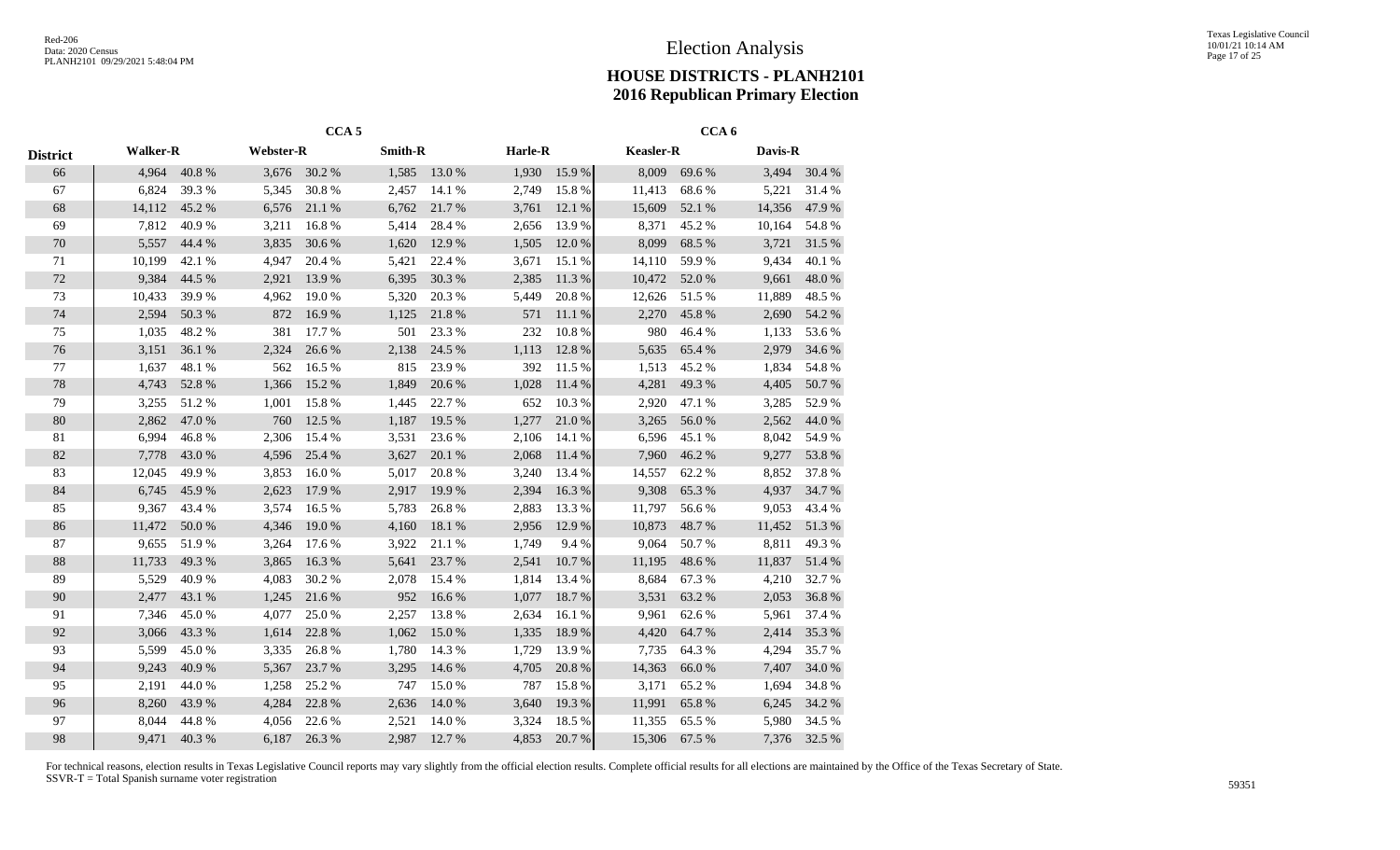|                 |                 |        |           | CCA <sub>5</sub> |                |        |         |           |                  | CCA <sub>6</sub> |         |            |
|-----------------|-----------------|--------|-----------|------------------|----------------|--------|---------|-----------|------------------|------------------|---------|------------|
| <b>District</b> | <b>Walker-R</b> |        | Webster-R |                  | <b>Smith-R</b> |        | Harle-R |           | <b>Keasler-R</b> |                  | Davis-R |            |
| 66              | 4,964           | 40.8%  | 3,676     | 30.2 %           | 1,585          | 13.0 % | 1,930   | 15.9%     | 8,009            | 69.6%            | 3,494   | 30.4 %     |
| 67              | 6,824           | 39.3%  | 5,345     | 30.8%            | 2,457          | 14.1 % | 2,749   | 15.8 %    | 11,413           | 68.6%            | 5,221   | 31.4 %     |
| 68              | 14,112          | 45.2%  | 6,576     | $21.1\text{ }\%$ | 6,762          | 21.7%  | 3,761   | 12.1 %    | 15,609           | 52.1 %           | 14,356  | 47.9%      |
| 69              | 7,812           | 40.9%  | 3,211     | 16.8%            | 5,414          | 28.4 % | 2,656   | 13.9%     | 8,371            | 45.2%            | 10,164  | 54.8 %     |
| $70\,$          | 5,557           | 44.4 % | 3,835     | 30.6 %           | 1,620          | 12.9 % | 1,505   | 12.0 %    | 8,099            | 68.5 %           | 3,721   | 31.5 %     |
| 71              | 10,199          | 42.1 % | 4,947     | 20.4 %           | 5,421          | 22.4 % | 3,671   | 15.1 %    | 14,110           | 59.9%            | 9,434   | 40.1 %     |
| $72\,$          | 9,384           | 44.5 % | 2,921     | 13.9%            | 6,395          | 30.3 % | 2,385   | 11.3 %    | 10,472           | 52.0 %           | 9,661   | 48.0%      |
| 73              | 10,433          | 39.9%  | 4,962     | 19.0%            | 5,320          | 20.3%  | 5,449   | 20.8%     | 12,626           | 51.5 %           | 11,889  | 48.5 %     |
| 74              | 2,594           | 50.3 % | 872       | 16.9%            | 1,125          | 21.8%  | 571     | 11.1 %    | 2,270            | 45.8%            | 2,690   | 54.2 %     |
| 75              | 1,035           | 48.2%  | 381       | 17.7 %           | 501            | 23.3 % | 232     | 10.8%     | 980              | 46.4%            | 1,133   | 53.6 %     |
| 76              | 3,151           | 36.1 % | 2,324     | 26.6%            | 2,138          | 24.5 % | 1,113   | 12.8%     | 5,635            | 65.4 %           | 2,979   | 34.6 %     |
| 77              | 1,637           | 48.1 % | 562       | 16.5 %           | 815            | 23.9%  | 392     | 11.5 %    | 1,513            | 45.2 %           | 1,834   | 54.8 %     |
| 78              | 4,743           | 52.8%  | 1,366     | 15.2 %           | 1,849          | 20.6%  | 1,028   | 11.4 %    | 4,281            | 49.3%            | 4,405   | 50.7%      |
| 79              | 3,255           | 51.2%  | 1,001     | 15.8%            | 1,445          | 22.7 % | 652     | 10.3%     | 2,920            | 47.1 %           | 3,285   | 52.9%      |
| $80\,$          | 2,862           | 47.0 % | 760       | 12.5 %           | 1,187          | 19.5 % | 1,277   | 21.0%     | 3,265            | 56.0%            | 2,562   | 44.0%      |
| 81              | 6,994           | 46.8%  | 2,306     | 15.4 %           | 3,531          | 23.6 % | 2,106   | 14.1 %    | 6,596            | 45.1 %           | 8,042   | 54.9%      |
| 82              | 7,778           | 43.0 % | 4,596     | 25.4 %           | 3,627          | 20.1 % | 2,068   | 11.4 %    | 7,960            | 46.2%            | 9,277   | 53.8%      |
| 83              | 12,045          | 49.9%  | 3,853     | 16.0%            | 5,017          | 20.8%  | 3,240   | 13.4 %    | 14,557           | 62.2 %           | 8,852   | 37.8%      |
| 84              | 6,745           | 45.9%  | 2,623     | 17.9 %           | 2,917          | 19.9 % | 2,394   | 16.3 %    | 9,308            | 65.3%            | 4,937   | 34.7 %     |
| 85              | 9,367           | 43.4 % | 3,574     | 16.5 %           | 5,783          | 26.8%  | 2,883   | 13.3 %    | 11,797           | 56.6%            | 9,053   | 43.4 %     |
| 86              | 11,472          | 50.0%  | 4,346     | 19.0%            | 4,160          | 18.1 % | 2,956   | 12.9 %    | 10,873           | 48.7%            | 11,452  | $51.3\ \%$ |
| $87\,$          | 9,655           | 51.9%  | 3,264     | 17.6 %           | 3,922          | 21.1%  | 1,749   | 9.4%      | 9,064            | 50.7%            | 8,811   | 49.3%      |
| 88              | 11,733          | 49.3%  | 3,865     | 16.3%            | 5,641          | 23.7 % | 2,541   | 10.7%     | 11,195           | 48.6%            | 11,837  | 51.4 %     |
| 89              | 5,529           | 40.9%  | 4,083     | 30.2 %           | 2,078          | 15.4 % | 1,814   | 13.4 %    | 8,684            | 67.3 %           | 4,210   | 32.7 %     |
| $90\,$          | 2,477           | 43.1 % | 1,245     | 21.6 %           | 952            | 16.6%  | 1,077   | 18.7%     | 3,531            | 63.2%            | 2,053   | 36.8%      |
| 91              | 7,346           | 45.0%  | 4,077     | 25.0%            | 2,257          | 13.8%  | 2,634   | 16.1%     | 9,961            | 62.6%            | 5,961   | 37.4 %     |
| 92              | 3,066           | 43.3 % | 1,614     | 22.8 %           | 1,062          | 15.0%  | 1,335   | 18.9%     | 4,420            | 64.7%            | 2,414   | 35.3 %     |
| 93              | 5,599           | 45.0%  | 3,335     | 26.8%            | 1,780          | 14.3 % | 1,729   | 13.9%     | 7,735            | 64.3 %           | 4,294   | 35.7%      |
| 94              | 9,243           | 40.9%  | 5,367     | 23.7 %           | 3,295          | 14.6 % | 4,705   | $20.8~\%$ | 14,363           | 66.0%            | 7,407   | 34.0 %     |
| 95              | 2,191           | 44.0%  | 1,258     | 25.2 %           | 747            | 15.0%  | 787     | 15.8%     | 3,171            | 65.2%            | 1,694   | 34.8%      |
| 96              | 8,260           | 43.9%  | 4,284     | 22.8 %           | 2,636          | 14.0%  | 3,640   | 19.3%     | 11,991           | 65.8%            | 6,245   | 34.2 %     |
| 97              | 8,044           | 44.8%  | 4,056     | 22.6 %           | 2,521          | 14.0%  | 3,324   | 18.5 %    | 11,355           | 65.5 %           | 5,980   | 34.5 %     |
| 98              | 9,471           | 40.3 % | 6,187     | 26.3%            | 2,987          | 12.7 % | 4,853   | 20.7%     | 15,306           | 67.5 %           | 7,376   | 32.5 %     |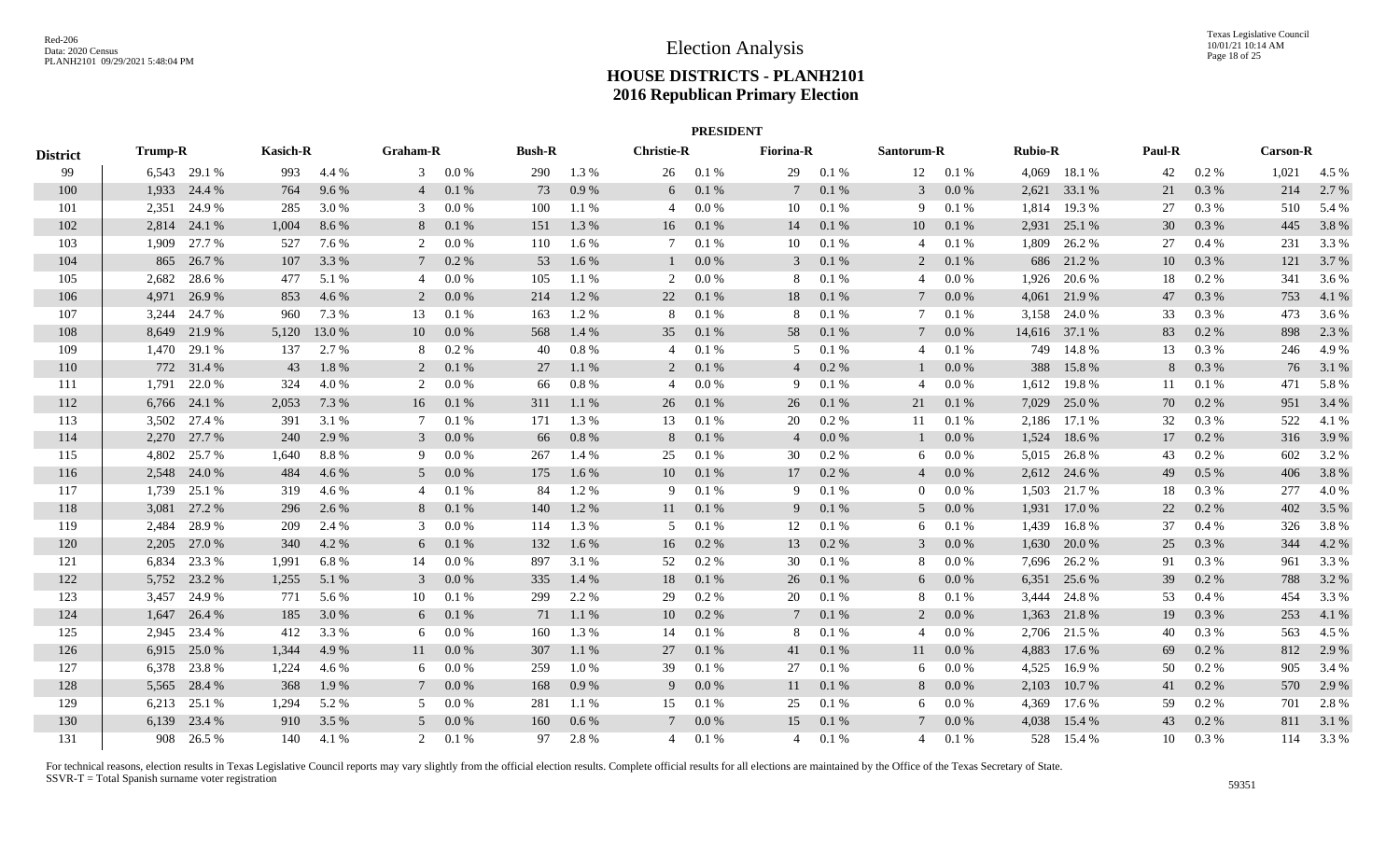|                 |                |              |       |                                    |                |               |     |                   |                | <b>PRESIDENT</b> |                 |            |                 |                |       |               |    |                 |       |       |
|-----------------|----------------|--------------|-------|------------------------------------|----------------|---------------|-----|-------------------|----------------|------------------|-----------------|------------|-----------------|----------------|-------|---------------|----|-----------------|-------|-------|
| <b>District</b> | <b>Trump-R</b> |              |       | <b>Kasich-R</b><br><b>Graham-R</b> |                | <b>Bush-R</b> |     | <b>Christie-R</b> |                | <b>Fiorina-R</b> |                 | Santorum-R |                 | <b>Rubio-R</b> |       | Paul-R        |    | <b>Carson-R</b> |       |       |
| 99              |                | 6,543 29.1 % | 993   | 4.4 %                              | 3              | $0.0\%$       | 290 | 1.3 %             | 26             | 0.1%             | 29              | 0.1%       |                 | 12 0.1 %       |       | 4,069 18.1 %  | 42 | $0.2\%$         | 1,021 | 4.5 % |
| 100             |                | 1,933 24.4 % | 764   | 9.6%                               | $\overline{4}$ | 0.1%          | 73  | $0.9\ \%$         | 6              | 0.1 %            | $7\phantom{.0}$ | 0.1 %      | $\mathbf{3}$    | 0.0 %          | 2,621 | 33.1 %        | 21 | 0.3 %           | 214   | 2.7 % |
| 101             | 2,351          | 24.9%        | 285   | 3.0%                               | 3              | 0.0 %         | 100 | 1.1 %             | 4              | $0.0\%$          | 10              | 0.1%       | 9               | 0.1%           | 1,814 | 19.3 %        | 27 | 0.3%            | 510   | 5.4 % |
| 102             |                | 2,814 24.1 % | 1,004 | 8.6%                               | 8              | 0.1%          | 151 | 1.3 %             | 16             | 0.1 %            | 14              | 0.1 %      | 10              | 0.1 %          | 2,931 | 25.1 %        | 30 | 0.3 %           | 445   | 3.8%  |
| 103             | 1,909          | 27.7 %       | 527   | 7.6 %                              | 2              | $0.0\,\%$     | 110 | 1.6 %             | 7              | 0.1%             | 10              | 0.1%       | 4               | 0.1%           | 1,809 | 26.2 %        | 27 | 0.4%            | 231   | 3.3 % |
| 104             | 865            | 26.7%        | 107   | 3.3 %                              | 7              | $0.2\%$       | 53  | 1.6 %             |                | $0.0\%$          | 3               | 0.1 %      | 2               | 0.1 %          | 686   | 21.2%         | 10 | 0.3%            | 121   | 3.7 % |
| 105             | 2,682          | 28.6%        | 477   | 5.1 %                              | 4              | $0.0\ \%$     | 105 | 1.1%              | 2              | 0.0 %            | 8               | $0.1\ \%$  | 4               | $0.0\%$        | 1,926 | 20.6%         | 18 | 0.2 %           | 341   | 3.6 % |
| 106             | 4,971          | 26.9%        | 853   | 4.6 %                              | 2              | 0.0 %         | 214 | 1.2 %             | 22             | 0.1 %            | 18              | 0.1 %      | $7\phantom{.0}$ | 0.0 %          | 4,061 | 21.9 %        | 47 | 0.3 %           | 753   | 4.1 % |
| 107             | 3,244          | 24.7 %       | 960   | 7.3 %                              | 13             | 0.1%          | 163 | 1.2%              | 8              | 0.1%             | 8               | 0.1%       | 7               | 0.1%           |       | 3,158 24.0 %  | 33 | $0.3\%$         | 473   | 3.6 % |
| 108             |                | 8,649 21.9 % | 5,120 | 13.0 %                             | 10             | 0.0 %         | 568 | 1.4 %             | 35             | 0.1 %            | 58              | $0.1\ \%$  | $\tau$          | 0.0 %          |       | 14,616 37.1 % | 83 | 0.2 %           | 898   | 2.3 % |
| 109             |                | 1,470 29.1 % | 137   | 2.7 %                              | 8              | 0.2 %         | 40  | $0.8\ \%$         | $\overline{4}$ | 0.1%             | 5               | 0.1%       | 4               | 0.1%           |       | 749 14.8 %    | 13 | 0.3%            | 246   | 4.9 % |
| 110             |                | 772 31.4 %   | 43    | 1.8%                               | $\overline{2}$ | 0.1 %         | 27  | 1.1 %             | $\overline{2}$ | 0.1 %            | 4               | 0.2 %      | $\mathbf{1}$    | 0.0 %          | 388   | 15.8%         | 8  | 0.3 %           | 76    | 3.1 % |
| 111             | 1.791          | 22.0 %       | 324   | 4.0%                               | 2              | $0.0\%$       | 66  | $0.8\ \%$         | $\overline{4}$ | $0.0\%$          | 9               | 0.1%       | 4               | $0.0\%$        | 1,612 | 19.8%         | 11 | 0.1%            | 471   | 5.8%  |
| 112             | 6,766          | 24.1 %       | 2,053 | 7.3 %                              | 16             | 0.1%          | 311 | 1.1 %             | 26             | 0.1%             | 26              | 0.1%       | 21              | 0.1%           | 7,029 | 25.0%         | 70 | $0.2\%$         | 951   | 3.4 % |
| 113             | 3,502          | 27.4 %       | 391   | 3.1 %                              | 7              | 0.1%          | 171 | 1.3 %             | 13             | 0.1%             | 20              | 0.2 %      | 11              | 0.1%           | 2,186 | 17.1 %        | 32 | 0.3%            | 522   | 4.1 % |
| 114             | 2,270          | 27.7 %       | 240   | 2.9 %                              | 3              | 0.0 %         | 66  | $0.8\ \%$         | 8              | 0.1 %            | $\overline{4}$  | $0.0\ \%$  | $\perp$         | 0.0 %          | 1,524 | 18.6 %        | 17 | 0.2 %           | 316   | 3.9%  |
| 115             | 4,802          | 25.7 %       | 1,640 | 8.8%                               | 9              | $0.0\%$       | 267 | 1.4 %             | 25             | 0.1%             | 30              | 0.2 %      | 6               | $0.0\%$        | 5,015 | 26.8%         | 43 | $0.2\%$         | 602   | 3.2 % |
| 116             |                | 2,548 24.0 % | 484   | 4.6 %                              | 5              | 0.0 %         | 175 | 1.6 %             | 10             | 0.1 %            | 17              | 0.2 %      | $\overline{4}$  | 0.0 %          |       | 2,612 24.6 %  | 49 | 0.5 %           | 406   | 3.8 % |
| 117             | 1,739          | 25.1 %       | 319   | 4.6 %                              | $\overline{4}$ | 0.1%          | -84 | 1.2%              | 9              | 0.1%             | 9               | 0.1%       | $\overline{0}$  | $0.0\%$        | 1,503 | 21.7 %        | 18 | 0.3 %           | 277   | 4.0%  |
| 118             |                | 3,081 27.2 % | 296   | 2.6 %                              | 8              | 0.1 %         | 140 | 1.2%              | 11             | 0.1 %            | 9               | 0.1 %      | 5               | $0.0\%$        | 1,931 | 17.0 %        | 22 | 0.2 %           | 402   | 3.5 % |
| 119             | 2,484          | 28.9%        | 209   | 2.4 %                              | 3              | $0.0\%$       | 114 | 1.3%              | 5              | 0.1%             | 12              | 0.1%       | 6               | 0.1%           | 1,439 | 16.8%         | 37 | 0.4%            | 326   | 3.8%  |
| 120             | 2,205          | 27.0 %       | 340   | 4.2 %                              | 6              | 0.1%          | 132 | 1.6%              | 16             | 0.2 %            | 13              | 0.2 %      | 3               | 0.0 %          | 1,630 | 20.0%         | 25 | 0.3%            | 344   | 4.2 % |
| 121             | 6,834          | 23.3 %       | 1,991 | 6.8%                               | 14             | 0.0 %         | 897 | 3.1 %             | 52             | 0.2%             | 30              | $0.1\ \%$  | 8               | $0.0\%$        | 7,696 | 26.2%         | 91 | 0.3 %           | 961   | 3.3 % |
| 122             | 5,752          | 23.2 %       | 1,255 | 5.1 %                              | 3              | 0.0 %         | 335 | 1.4 %             | 18             | 0.1%             | 26              | 0.1 %      | 6               | 0.0 %          | 6,351 | 25.6 %        | 39 | 0.2 %           | 788   | 3.2 % |
| 123             | 3,457          | 24.9 %       | 771   | 5.6 %                              | 10             | 0.1%          | 299 | 2.2 %             | 29             | 0.2 %            | 20              | 0.1%       | 8               | 0.1%           | 3,444 | 24.8%         | 53 | $0.4\%$         | 454   | 3.3 % |
| 124             | 1,647          | 26.4 %       | 185   | 3.0 %                              | 6              | 0.1%          | 71  | 1.1%              | 10             | 0.2 %            | $7\phantom{.0}$ | 0.1 %      | 2               | $0.0\%$        |       | 1,363 21.8 %  | 19 | 0.3 %           | 253   | 4.1 % |
| 125             |                | 2,945 23.4 % | 412   | 3.3 %                              | 6              | $0.0\%$       | 160 | 1.3 %             | 14             | 0.1%             | 8               | 0.1%       | 4               | $0.0\%$        |       | 2,706 21.5 %  | 40 | $0.3\%$         | 563   | 4.5 % |
| 126             |                | 6,915 25.0 % | 1,344 | 4.9 %                              | 11             | $0.0\%$       | 307 | 1.1 %             | 27             | 0.1%             | 41              | 0.1 %      | 11              | 0.0 %          | 4,883 | 17.6 %        | 69 | 0.2 %           | 812   | 2.9 % |
| 127             |                | 6,378 23.8 % | 1,224 | 4.6 %                              | 6              | $0.0\,\%$     | 259 | 1.0%              | 39             | 0.1%             | 27              | 0.1%       | 6               | $0.0\%$        | 4,525 | 16.9%         | 50 | $0.2\%$         | 905   | 3.4 % |
| 128             |                | 5,565 28.4 % | 368   | 1.9%                               | $\tau$         | $0.0\%$       | 168 | 0.9%              | 9              | $0.0\%$          | 11              | 0.1 %      | 8               | $0.0\%$        | 2,103 | 10.7 %        | 41 | $0.2\%$         | 570   | 2.9 % |
| 129             | 6,213          | 25.1 %       | 1,294 | 5.2 %                              | 5              | $0.0\%$       | 281 | 1.1 %             | 15             | 0.1%             | 25              | 0.1%       | 6               | $0.0\%$        | 4,369 | 17.6 %        | 59 | $0.2\%$         | 701   | 2.8%  |
| 130             | 6,139          | 23.4 %       | 910   | 3.5 %                              | 5              | 0.0 %         | 160 | $0.6\,\%$         | $\tau$         | 0.0 %            | 15              | 0.1 %      | $7\phantom{.0}$ | 0.0 %          | 4,038 | 15.4 %        | 43 | 0.2 %           | 811   | 3.1 % |
| 131             |                | 908 26.5 %   | 140   | 4.1 %                              | 2              | 0.1%          | 97  | 2.8%              | 4              | 0.1%             | 4               | 0.1%       | $\overline{4}$  | 0.1%           | 528   | 15.4 %        | 10 | $0.3\%$         | 114   | 3.3 % |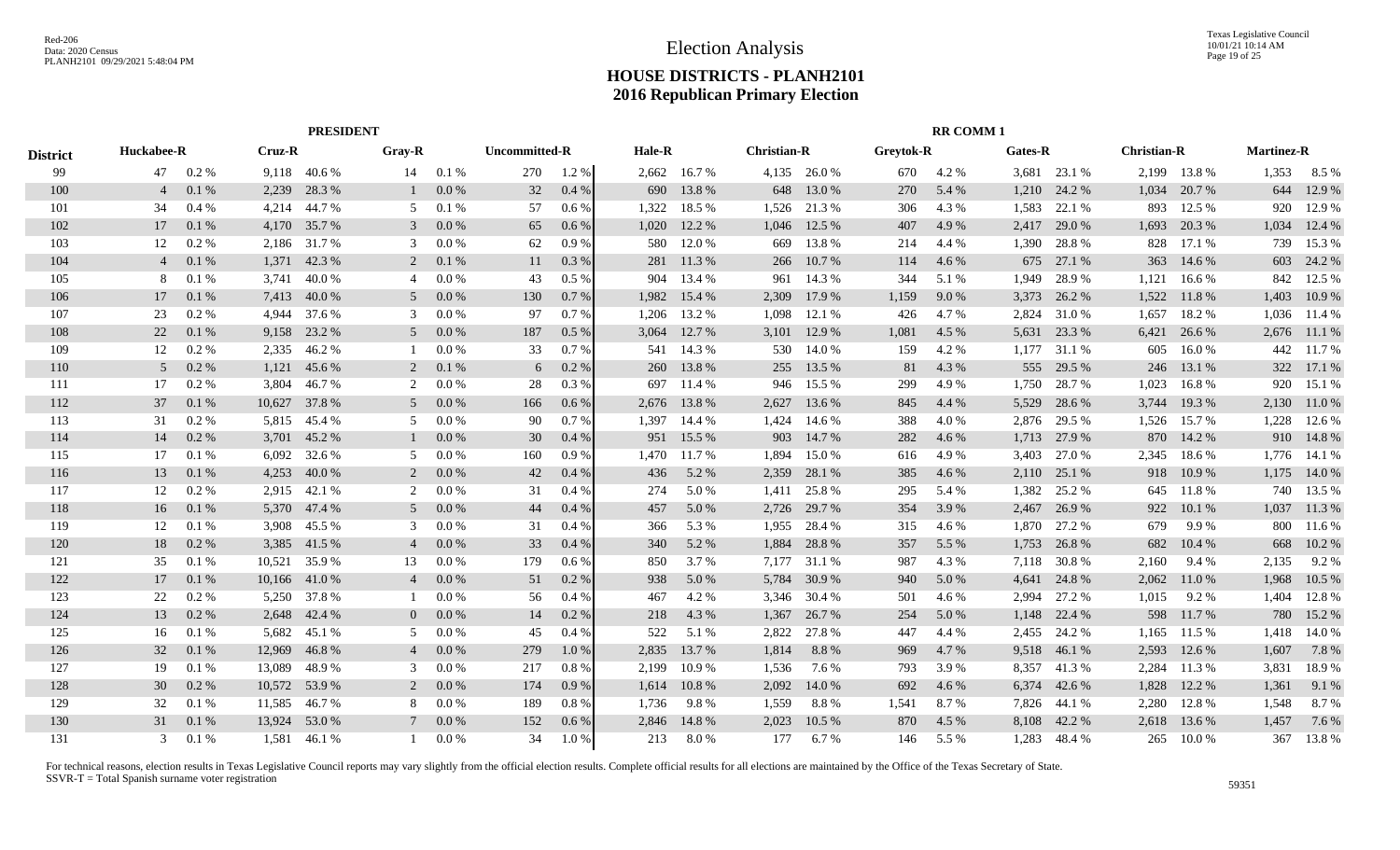|                 |                |          |               | <b>PRESIDENT</b> |                |           |                      |         |        |              |                    |              |                  | <b>RR COMM1</b> |         |              |                    |              |                   |         |
|-----------------|----------------|----------|---------------|------------------|----------------|-----------|----------------------|---------|--------|--------------|--------------------|--------------|------------------|-----------------|---------|--------------|--------------------|--------------|-------------------|---------|
| <b>District</b> | Huckabee-R     |          | <b>Cruz-R</b> |                  | Gray-R         |           | <b>Uncommitted-R</b> |         | Hale-R |              | <b>Christian-R</b> |              | <b>Greytok-R</b> |                 | Gates-R |              | <b>Christian-R</b> |              | <b>Martinez-R</b> |         |
| 99              | 47             | $0.2\%$  | 9,118         | 40.6 %           | 14             | 0.1%      | 270                  | 1.2 %   |        | 2,662 16.7%  |                    | 4,135 26.0 % | 670              | 4.2 %           |         | 3,681 23.1 % |                    | 2,199 13.8 % | 1,353             | $8.5\%$ |
| 100             | $\overline{4}$ | 0.1%     | 2,239         | 28.3%            |                | 0.0 %     | 32                   | 0.4%    | 690    | 13.8%        | 648                | 13.0 %       | 270              | 5.4 %           | 1,210   | 24.2 %       | 1,034              | 20.7%        | 644               | 12.9 %  |
| 101             | 34             | 0.4%     | 4,214         | 44.7 %           | .5             | 0.1%      | 57                   | $0.6\%$ | 1,322  | 18.5 %       | 1,526              | 21.3 %       | 306              | 4.3 %           | 1,583   | 22.1 %       | 893                | 12.5 %       | 920               | 12.9 %  |
| 102             | 17             | 0.1%     | 4,170         | 35.7 %           | 3              | 0.0 %     | 65                   | 0.6%    | 1,020  | 12.2 %       | 1,046              | 12.5 %       | 407              | 4.9%            | 2,417   | 29.0 %       | 1,693              | 20.3 %       | 1,034             | 12.4 %  |
| 103             | 12             | $0.2\%$  | 2,186         | 31.7 %           | 3              | 0.0 %     | 62                   | 0.9%    | 580    | 12.0 %       | 669                | 13.8%        | 214              | 4.4 %           | 1,390   | 28.8%        | 828                | 17.1 %       | 739               | 15.3 %  |
| 104             | $\overline{4}$ | 0.1%     | 1,371         | 42.3 %           | 2              | 0.1%      | 11                   | 0.3%    | 281    | 11.3 %       | 266                | 10.7%        | 114              | 4.6 %           | 675     | 27.1 %       | 363                | 14.6 %       | 603               | 24.2 %  |
| 105             | -8             | 0.1%     | 3,741         | 40.0%            | $\overline{4}$ | $0.0\ \%$ | 43                   | 0.5 %   | 904    | 13.4 %       | 961                | 14.3 %       | 344              | 5.1 %           | 1,949   | 28.9%        | 1,121              | 16.6 %       | 842               | 12.5 %  |
| 106             | 17             | 0.1%     | 7,413         | 40.0%            | $\overline{5}$ | 0.0 %     | 130                  | 0.7%    | 1,982  | 15.4 %       | 2,309              | 17.9 %       | 1,159            | 9.0%            | 3,373   | 26.2 %       | 1,522              | 11.8%        | 1,403             | 10.9%   |
| 107             | 23             | 0.2%     | 4.944         | 37.6 %           | $\mathcal{R}$  | 0.0 %     | 97                   | 0.7%    | 1,206  | 13.2 %       | 1,098              | 12.1 %       | 426              | 4.7 %           | 2,824   | 31.0 %       | 1,657              | 18.2 %       | 1,036             | 11.4 %  |
| 108             | 22             | 0.1%     | 9,158         | 23.2 %           | $\overline{5}$ | 0.0 %     | 187                  | 0.5 %   | 3,064  | 12.7 %       | 3,101              | 12.9 %       | 1,081            | 4.5 %           | 5,631   | 23.3 %       | 6,421              | 26.6 %       | 2,676             | 11.1 %  |
| 109             | 12             | 0.2 %    | 2,335         | 46.2%            |                | 0.0 %     | 33                   | 0.7%    | 541    | 14.3 %       | 530                | 14.0%        | 159              | 4.2 %           | 1,177   | 31.1 %       | 605                | 16.0%        | 442               | 11.7 %  |
| 110             | 5              | 0.2%     | 1,121         | 45.6 %           | 2              | 0.1%      | 6                    | 0.2 %   | 260    | 13.8%        | 255                | 13.5 %       | 81               | 4.3 %           | 555     | 29.5 %       | 246                | 13.1 %       | 322               | 17.1 %  |
| 111             | 17             | 0.2 %    | 3,804         | 46.7%            | 2              | 0.0 %     | 28                   | 0.3%    | 697    | 11.4 %       | 946                | 15.5 %       | 299              | 4.9%            | 1,750   | 28.7%        | 1,023              | 16.8%        | 920               | 15.1 %  |
| 112             | 37             | 0.1%     | 10,627        | 37.8%            | 5              | 0.0 %     | 166                  | $0.6\%$ | 2,676  | 13.8%        | 2,627              | 13.6 %       | 845              | 4.4 %           | 5,529   | 28.6 %       | 3,744              | 19.3%        | 2,130             | 11.0%   |
| 113             | 31             | 0.2 %    | 5,815         | 45.4 %           | $\overline{5}$ | 0.0 %     | 90                   | $0.7\%$ | 1.397  | 14.4 %       | 1,424              | 14.6 %       | 388              | 4.0%            | 2,876   | 29.5 %       | 1,526              | 15.7%        | 1,228             | 12.6 %  |
| 114             | 14             | 0.2 %    | 3,701         | 45.2 %           |                | 0.0 %     | 30                   | 0.4%    | 951    | 15.5 %       | 903                | 14.7%        | 282              | 4.6 %           | 1,713   | 27.9 %       | 870                | 14.2 %       | 910               | 14.8%   |
| 115             | 17             | 0.1%     | 6,092         | 32.6 %           | .5             | 0.0 %     | 160                  | 0.9%    |        | 1,470 11.7 % | 1,894              | 15.0%        | 616              | 4.9 %           | 3,403   | 27.0 %       | 2,345              | 18.6%        | 1,776             | 14.1 %  |
| 116             | 13             | 0.1%     | 4,253         | 40.0%            | 2              | 0.0 %     | 42                   | 0.4%    | 436    | 5.2 %        | 2,359              | 28.1 %       | 385              | 4.6 %           | 2,110   | 25.1 %       | 918                | 10.9%        | 1,175             | 14.0 %  |
| 117             | 12             | 0.2 %    | 2,915         | 42.1 %           | 2              | 0.0 %     | 31                   | $0.4\%$ | 274    | 5.0%         | 1,411              | 25.8%        | 295              | 5.4 %           | 1,382   | 25.2 %       | 645                | 11.8%        | 740               | 13.5 %  |
| 118             | 16             | 0.1%     | 5,370         | 47.4 %           | 5              | 0.0 %     | 44                   | 0.4%    | 457    | 5.0 %        | 2,726              | 29.7 %       | 354              | 3.9%            | 2,467   | 26.9%        | 922                | 10.1 %       | 1,037             | 11.3%   |
| 119             | 12             | 0.1%     | 3,908         | 45.5 %           | 3              | 0.0 %     | 31                   | 0.4%    | 366    | 5.3 %        | 1,955              | 28.4 %       | 315              | 4.6 %           | 1,870   | 27.2 %       | 679                | 9.9%         | 800               | 11.6 %  |
| 120             | 18             | 0.2 %    | 3,385         | 41.5 %           | $\overline{4}$ | 0.0 %     | 33                   | 0.4%    | 340    | 5.2 %        | 1,884              | 28.8%        | 357              | 5.5 %           | 1,753   | 26.8%        | 682                | 10.4 %       | 668               | 10.2%   |
| 121             | 35             | 0.1%     | 10,521        | 35.9%            | 13             | 0.0 %     | 179                  | 0.6 %   | 850    | 3.7 %        | 7,177              | 31.1 %       | 987              | 4.3 %           | 7,118   | 30.8%        | 2,160              | 9.4 %        | 2,135             | 9.2 %   |
| 122             | 17             | 0.1%     | 10,166        | 41.0%            | $\overline{4}$ | 0.0 %     | 51                   | 0.2 %   | 938    | 5.0%         | 5,784              | 30.9%        | 940              | 5.0%            | 4,641   | 24.8%        | 2,062              | 11.0 %       | 1,968             | 10.5 %  |
| 123             | 22             | $0.2 \%$ | 5,250         | 37.8%            |                | 0.0 %     | 56                   | 0.4%    | 467    | 4.2 %        | 3,346              | 30.4 %       | 501              | 4.6 %           | 2,994   | 27.2 %       | 1,015              | 9.2 %        | 1,404             | 12.8%   |
| 124             | 13             | 0.2 %    | 2,648         | 42.4 %           | $\overline{0}$ | 0.0 %     | 14                   | 0.2 %   | 218    | 4.3 %        | 1,367              | 26.7%        | 254              | 5.0%            | 1,148   | 22.4 %       | 598                | 11.7 %       | 780               | 15.2 %  |
| 125             | 16             | 0.1%     | 5,682         | 45.1 %           | 5              | 0.0 %     | 45                   | 0.4%    | 522    | 5.1 %        | 2,822              | 27.8%        | 447              | 4.4 %           | 2,455   | 24.2 %       | 1,165              | 11.5 %       | 1,418             | 14.0%   |
| 126             | 32             | 0.1%     | 12,969        | 46.8%            | $\overline{4}$ | 0.0 %     | 279                  | $1.0\%$ | 2,835  | 13.7 %       | 1,814              | 8.8%         | 969              | 4.7 %           | 9,518   | 46.1 %       | 2,593              | 12.6 %       | 1,607             | 7.8%    |
| 127             | 19             | 0.1%     | 13,089        | 48.9%            | $\mathcal{R}$  | 0.0 %     | 217                  | 0.8%    | 2,199  | 10.9%        | 1,536              | 7.6 %        | 793              | 3.9%            | 8,357   | 41.3%        | 2,284              | 11.3 %       | 3,831             | 18.9%   |
| 128             | 30             | 0.2 %    | 10,572        | 53.9%            |                | 0.0 %     | 174                  | 0.9%    | 1,614  | 10.8%        | 2,092              | 14.0%        | 692              | 4.6 %           | 6,374   | 42.6 %       | 1,828              | 12.2 %       | 1,361             | 9.1 %   |
| 129             | 32             | 0.1%     | 11,585        | 46.7%            | 8              | 0.0 %     | 189                  | 0.8%    | 1,736  | 9.8%         | 1,559              | 8.8%         | 1,541            | 8.7%            | 7,826   | 44.1 %       | 2,280              | 12.8%        | 1,548             | 8.7%    |
| 130             | 31             | 0.1%     | 13,924        | 53.0 %           |                | 0.0 %     | 152                  | 0.6%    | 2,846  | 14.8%        | 2,023              | 10.5 %       | 870              | 4.5 %           | 8,108   | 42.2 %       | 2,618              | 13.6 %       | 1,457             | 7.6 %   |
| 131             | $\mathcal{R}$  | 0.1%     | 1.581         | 46.1 %           |                | $0.0\%$   | 34                   | 1.0%    | 213    | 8.0%         | 177                | 6.7 %        | 146              | 5.5 %           | 1,283   | 48.4%        | 265                | 10.0%        | 367               | 13.8%   |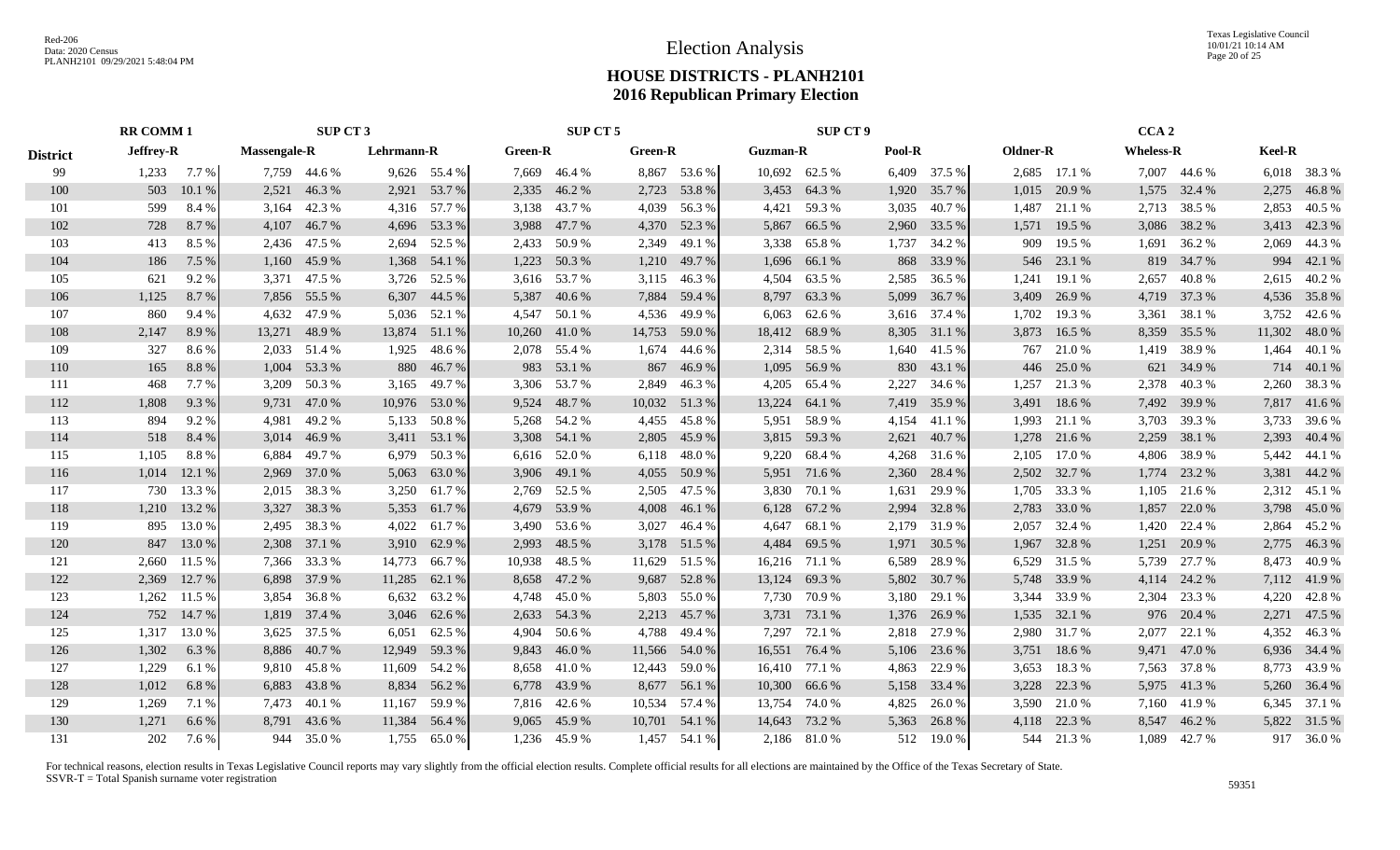Texas Legislative Council 10/01/21 10:14 AM Page 20 of 25

## **HOUSE DISTRICTS - PLANH2101 2016 Republican Primary Election**

|                 | <b>RR COMM 1</b> |               |                     |              | SUP CT 3   |                |                | SUP CT 5     |                |               |               | <b>SUP CT 9</b> |        |              |          |              | CCA <sub>2</sub> |              |        |              |
|-----------------|------------------|---------------|---------------------|--------------|------------|----------------|----------------|--------------|----------------|---------------|---------------|-----------------|--------|--------------|----------|--------------|------------------|--------------|--------|--------------|
| <b>District</b> | Jeffrey-R        |               | <b>Massengale-R</b> |              | Lehrmann-R |                | <b>Green-R</b> |              | <b>Green-R</b> |               | Guzman-R      |                 | Pool-R |              | Oldner-R |              | <b>Wheless-R</b> |              | Keel-R |              |
| 99              |                  | $1,233$ 7.7 % |                     | 7,759 44.6 % |            | $9,626$ 55.4 % |                | 7,669 46.4 % |                | 8,867 53.6 %  |               | 10,692 62.5 %   |        | 6,409 37.5 % |          | 2,685 17.1 % |                  | 7,007 44.6 % |        | 6,018 38.3 % |
| 100             | 503              | 10.1%         | 2,521               | 46.3%        |            | 2,921 53.7 %   | 2,335          | 46.2 %       |                | 2,723 53.8 %  |               | 3,453 64.3 %    |        | 1,920 35.7 % |          | 1,015 20.9 % |                  | 1,575 32.4 % | 2,275  | 46.8%        |
| 101             | 599              | 8.4 %         | 3,164               | 42.3 %       |            | 4,316 57.7 %   |                | 3,138 43.7 % |                | 4,039 56.3 %  |               | 4,421 59.3 %    | 3,035  | 40.7 %       | 1,487    | 21.1 %       |                  | 2,713 38.5 % | 2,853  | 40.5 %       |
| 102             | 728              | 8.7%          |                     | 4,107 46.7 % |            | 4,696 53.3 %   | 3,988          | 47.7 %       |                | 4,370 52.3 %  | 5,867         | 66.5 %          | 2,960  | 33.5 %       |          | 1,571 19.5 % | 3,086            | 38.2 %       |        | 3,413 42.3 % |
| 103             | 413              | 8.5 %         |                     | 2,436 47.5 % |            | 2,694 52.5 %   |                | 2,433 50.9 % | 2,349          | 49.1 %        |               | 3,338 65.8%     | 1,737  | 34.2 %       | 909      | 19.5 %       | 1,691            | 36.2 %       |        | 2,069 44.3 % |
| 104             | 186              | 7.5 %         |                     | 1,160 45.9 % | 1,368      | 54.1 %         | 1,223          | 50.3%        |                | 1,210 49.7 %  |               | 1,696 66.1 %    |        | 868 33.9 %   | 546      | 23.1 %       | 819              | 34.7 %       |        | 994 42.1 %   |
| 105             | 621              | 9.2%          |                     | 3,371 47.5 % |            | 3,726 52.5 %   |                | 3,616 53.7 % |                | 3,115 46.3 %  | 4,504         | 63.5 %          | 2,585  | 36.5 %       | 1,241    | 19.1 %       | 2,657            | 40.8%        |        | 2,615 40.2 % |
| 106             | 1,125            | 8.7%          |                     | 7,856 55.5 % |            | 6,307 44.5 %   | 5,387          | 40.6 %       |                | 7,884 59.4 %  |               | 8,797 63.3 %    | 5,099  | 36.7 %       | 3,409    | 26.9%        | 4,719            | 37.3 %       |        | 4,536 35.8 % |
| 107             | 860              | 9.4 %         | 4,632               | 47.9 %       | 5,036      | 52.1 %         | 4,547          | 50.1 %       | 4,536          | 49.9 %        |               | $6,063$ $62.6%$ | 3,616  | 37.4 %       | 1,702    | 19.3%        | 3,361            | 38.1 %       |        | 3,752 42.6 % |
| 108             | 2,147            | 8.9%          | 13,271              | 48.9%        | 13,874     | 51.1 %         | 10,260         | 41.0%        | 14,753         | 59.0 %        | 18,412        | 68.9%           | 8,305  | 31.1 %       | 3,873    | 16.5 %       | 8,359            | 35.5 %       | 11,302 | 48.0 %       |
| 109             | 327              | 8.6%          | 2,033               | 51.4 %       | 1,925      | 48.6%          |                | 2,078 55.4 % | 1,674          | 44.6 %        |               | 2,314 58.5 %    | 1,640  | 41.5 %       | 767      | 21.0%        | 1,419            | 38.9%        |        | 1,464 40.1 % |
| 110             | 165              | 8.8 %         | 1,004               | 53.3 %       | 880        | 46.7%          |                | 983 53.1 %   |                | 867 46.9%     |               | 1,095 56.9%     |        | 830 43.1 %   | 446      | 25.0 %       |                  | 621 34.9 %   |        | 714 40.1 %   |
| 111             | 468              | 7.7 %         |                     | 3,209 50.3 % |            | 3,165 49.7 %   |                | 3,306 53.7 % |                | 2,849 46.3 %  | 4,205         | 65.4 %          | 2,227  | 34.6 %       | 1,257    | 21.3 %       |                  | 2,378 40.3 % |        | 2,260 38.3 % |
| 112             | 1,808            | 9.3%          |                     | 9,731 47.0 % |            | 10,976 53.0 %  |                | 9,524 48.7 % |                | 10,032 51.3 % | 13,224        | 64.1 %          | 7,419  | 35.9 %       |          | 3,491 18.6 % |                  | 7,492 39.9 % |        | 7,817 41.6 % |
| 113             | 894              | 9.2 %         | 4.981               | 49.2 %       |            | 5,133 50.8 %   |                | 5,268 54.2 % |                | 4,455 45.8 %  |               | 5,951 58.9 %    | 4,154  | 41.1 %       | 1.993    | 21.1 %       |                  | 3,703 39.3 % |        | 3,733 39.6 % |
| 114             | 518              | 8.4 %         |                     | 3,014 46.9 % |            | 3,411 53.1 %   |                | 3,308 54.1 % | 2,805          | 45.9%         |               | 3,815 59.3%     | 2,621  | 40.7 %       |          | 1,278 21.6 % | 2,259            | 38.1 %       |        | 2,393 40.4 % |
| 115             | 1,105            | 8.8%          | 6,884               | 49.7 %       | 6,979      | 50.3 %         |                | 6,616 52.0 % |                | 6,118 48.0 %  |               | 9,220 68.4 %    | 4,268  | 31.6 %       | 2,105    | 17.0 %       | 4,806            | 38.9%        |        | 5,442 44.1 % |
| 116             | 1,014            | 12.1 %        | 2,969               | 37.0 %       | 5,063      | 63.0%          |                | 3,906 49.1 % | 4,055          | 50.9%         |               | 5,951 71.6 %    | 2,360  | 28.4 %       |          | 2,502 32.7 % | 1,774            | 23.2 %       |        | 3,381 44.2 % |
| 117             | 730              | 13.3 %        | 2,015               | 38.3 %       | 3,250      | 61.7%          |                | 2,769 52.5 % | 2,505          | 47.5 %        |               | 3,830 70.1 %    | 1,631  | 29.9 %       | 1,705    | 33.3 %       | 1,105            | 21.6 %       |        | 2,312 45.1 % |
| 118             |                  | 1,210 13.2 %  | 3,327               | 38.3 %       |            | 5,353 61.7 %   |                | 4,679 53.9 % | 4,008          | 46.1 %        |               | 6,128 67.2 %    | 2,994  | 32.8%        | 2,783    | 33.0 %       | 1,857            | 22.0 %       |        | 3,798 45.0 % |
| 119             |                  | 895 13.0 %    |                     | 2,495 38.3 % | 4,022      | 61.7 %         | 3,490          | 53.6 %       | 3,027          | 46.4 %        |               | 4,647 68.1 %    | 2,179  | 31.9%        | 2,057    | 32.4 %       | 1,420            | 22.4 %       |        | 2,864 45.2 % |
| 120             |                  | 847 13.0 %    |                     | 2,308 37.1 % | 3,910      | 62.9 %         | 2,993          | 48.5 %       |                | 3,178 51.5 %  | 4,484         | 69.5 %          | 1,971  | 30.5 %       | 1,967    | 32.8%        | 1,251            | 20.9 %       |        | 2,775 46.3 % |
| 121             |                  | 2,660 11.5 %  |                     | 7,366 33.3 % | 14,773     | 66.7%          | 10,938         | 48.5 %       | 11,629         | 51.5 %        |               | 16,216 71.1 %   | 6,589  | 28.9%        |          | 6,529 31.5 % | 5,739            | 27.7 %       |        | 8,473 40.9 % |
| 122             | 2,369            | 12.7 %        |                     | 6,898 37.9 % | 11,285     | 62.1 %         |                | 8,658 47.2 % | 9,687          | 52.8%         |               | 13,124 69.3 %   | 5,802  | 30.7 %       |          | 5,748 33.9 % |                  | 4,114 24.2 % |        | 7,112 41.9 % |
| 123             |                  | 1,262 11.5 %  | 3,854               | 36.8%        | 6,632      | 63.2 %         |                | 4,748 45.0 % | 5,803          | 55.0 %        |               | 7,730 70.9 %    | 3,180  | 29.1 %       |          | 3,344 33.9 % |                  | 2,304 23.3 % |        | 4,220 42.8%  |
| 124             |                  | 752 14.7 %    |                     | 1,819 37.4 % |            | 3,046 62.6 %   | 2,633          | 54.3 %       |                | 2,213 45.7 %  |               | 3,731 73.1 %    |        | 1,376 26.9 % | 1,535    | 32.1 %       | 976              | 20.4 %       |        | 2,271 47.5 % |
| 125             | 1,317            | 13.0%         | 3,625               | 37.5 %       | 6,051      | 62.5 %         | 4,904          | 50.6 %       |                | 4,788 49.4 %  | 7,297         | 72.1 %          | 2,818  | 27.9 %       | 2,980    | 31.7%        | 2,077            | 22.1 %       |        | 4,352 46.3 % |
| 126             | 1,302            | 6.3%          |                     | 8,886 40.7 % | 12,949     | 59.3%          | 9,843          | 46.0%        |                | 11,566 54.0 % | 16,551 76.4 % |                 | 5,106  | 23.6 %       | 3,751    | 18.6 %       |                  | 9,471 47.0 % |        | 6,936 34.4 % |
| 127             | 1,229            | 6.1 %         |                     | 9,810 45.8%  | 11,609     | 54.2 %         |                | 8,658 41.0 % |                | 12,443 59.0 % | 16,410 77.1 % |                 | 4,863  | 22.9 %       | 3,653    | 18.3%        |                  | 7,563 37.8 % |        | 8,773 43.9 % |
| 128             | 1,012            | 6.8%          |                     | 6,883 43.8 % | 8,834      | 56.2%          |                | 6,778 43.9 % |                | 8,677 56.1 %  | 10,300        | 66.6 %          | 5,158  | 33.4 %       | 3,228    | 22.3 %       | 5,975            | 41.3%        |        | 5,260 36.4 % |
| 129             | 1,269            | 7.1 %         |                     | 7,473 40.1 % | 11,167     | 59.9%          |                | 7,816 42.6 % |                | 10,534 57.4 % | 13,754 74.0 % |                 | 4,825  | 26.0 %       | 3,590    | 21.0 %       | 7,160            | 41.9%        |        | 6,345 37.1 % |
| 130             | 1,271            | 6.6%          |                     | 8,791 43.6 % | 11,384     | 56.4 %         |                | 9,065 45.9 % |                | 10,701 54.1 % | 14,643        | 73.2 %          | 5,363  | 26.8%        | 4.118    | 22.3 %       | 8,547            | 46.2%        |        | 5,822 31.5 % |
| 131             | 202              | 7.6 %         |                     | 944 35.0 %   |            | 1,755 65.0 %   |                | 1,236 45.9 % |                | 1,457 54.1 %  |               | 2,186 81.0 %    |        | 512 19.0 %   |          | 544 21.3 %   |                  | 1,089 42.7 % |        | 917 36.0 %   |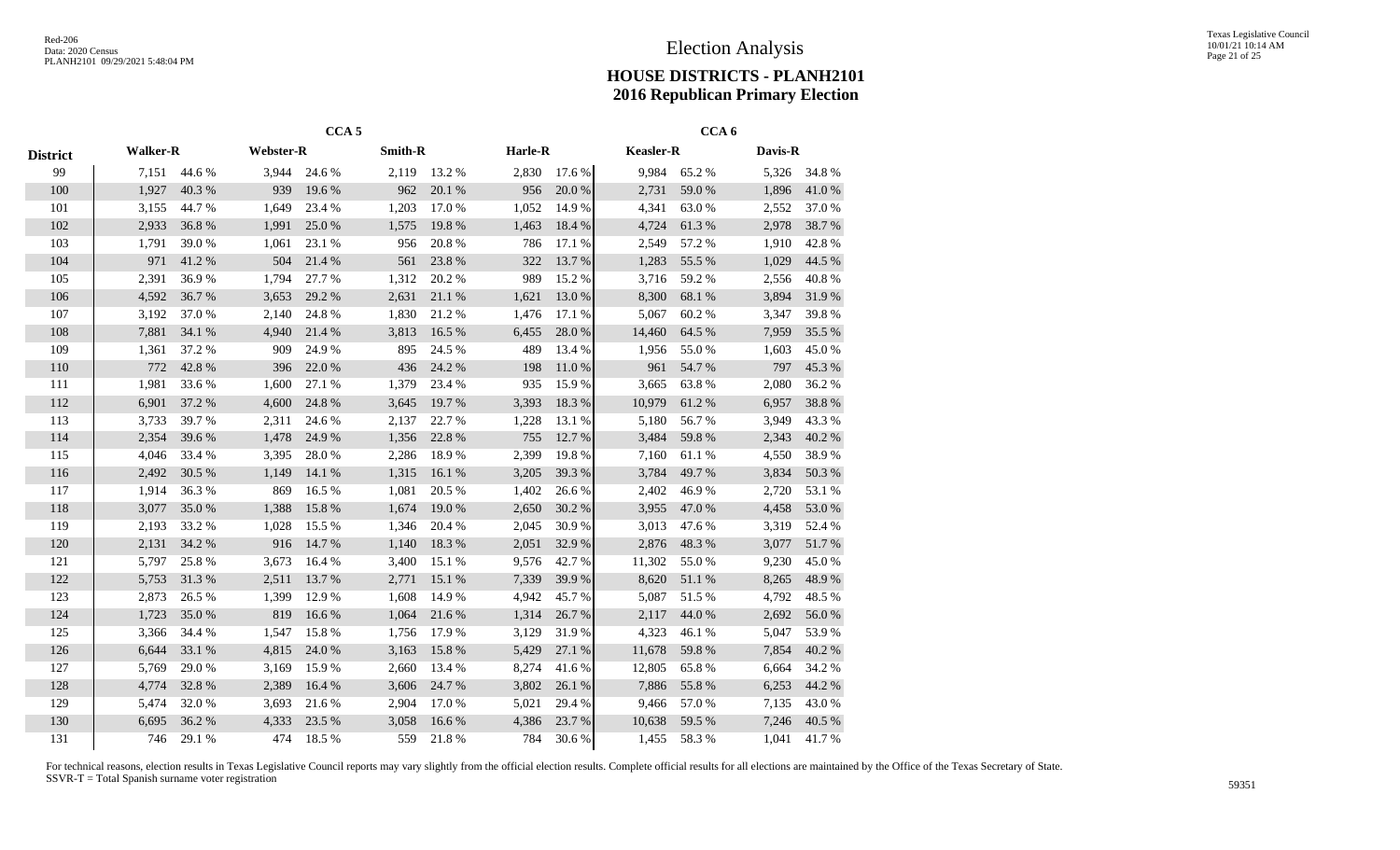|                 |                 |        |                  | CCA <sub>5</sub> |                |        |         |        |                  | CCA <sub>6</sub> |         |        |
|-----------------|-----------------|--------|------------------|------------------|----------------|--------|---------|--------|------------------|------------------|---------|--------|
| <b>District</b> | <b>Walker-R</b> |        | <b>Webster-R</b> |                  | <b>Smith-R</b> |        | Harle-R |        | <b>Keasler-R</b> |                  | Davis-R |        |
| 99              | 7,151           | 44.6 % | 3,944            | 24.6 %           | 2,119          | 13.2 % | 2,830   | 17.6 % | 9,984            | 65.2%            | 5,326   | 34.8 % |
| 100             | 1,927           | 40.3 % | 939              | 19.6 %           | 962            | 20.1 % | 956     | 20.0%  | 2,731            | 59.0%            | 1,896   | 41.0%  |
| 101             | 3,155           | 44.7 % | 1,649            | 23.4 %           | 1,203          | 17.0 % | 1,052   | 14.9%  | 4,341            | 63.0%            | 2,552   | 37.0%  |
| 102             | 2,933           | 36.8%  | 1,991            | 25.0%            | 1,575          | 19.8%  | 1,463   | 18.4 % | 4,724            | 61.3%            | 2,978   | 38.7%  |
| 103             | 1,791           | 39.0%  | 1,061            | 23.1 %           | 956            | 20.8 % | 786     | 17.1 % | 2,549            | 57.2 %           | 1,910   | 42.8%  |
| 104             | 971             | 41.2%  | 504              | 21.4%            | 561            | 23.8%  | 322     | 13.7 % | 1,283            | 55.5 %           | 1,029   | 44.5 % |
| 105             | 2,391           | 36.9%  | 1,794            | 27.7 %           | 1,312          | 20.2 % | 989     | 15.2 % | 3,716            | 59.2%            | 2,556   | 40.8%  |
| 106             | 4,592           | 36.7%  | 3,653            | 29.2 %           | 2,631          | 21.1 % | 1,621   | 13.0%  | 8,300            | 68.1 %           | 3,894   | 31.9%  |
| 107             | 3,192           | 37.0%  | 2,140            | 24.8%            | 1,830          | 21.2%  | 1,476   | 17.1 % | 5,067            | 60.2%            | 3,347   | 39.8%  |
| 108             | 7,881           | 34.1 % | 4,940            | 21.4 %           | 3,813          | 16.5 % | 6,455   | 28.0%  | 14,460           | 64.5 %           | 7,959   | 35.5 % |
| 109             | 1,361           | 37.2 % | 909              | 24.9%            | 895            | 24.5 % | 489     | 13.4 % | 1,956            | 55.0%            | 1,603   | 45.0%  |
| 110             | 772             | 42.8%  | 396              | 22.0%            | 436            | 24.2 % | 198     | 11.0%  | 961              | 54.7%            | 797     | 45.3%  |
| 111             | 1,981           | 33.6%  | 1,600            | 27.1 %           | 1,379          | 23.4 % | 935     | 15.9%  | 3,665            | 63.8%            | 2,080   | 36.2%  |
| 112             | 6,901           | 37.2 % | 4,600            | 24.8%            | 3,645          | 19.7%  | 3,393   | 18.3%  | 10,979           | 61.2%            | 6,957   | 38.8 % |
| 113             | 3,733           | 39.7 % | 2,311            | 24.6 %           | 2,137          | 22.7 % | 1,228   | 13.1 % | 5,180            | 56.7%            | 3,949   | 43.3 % |
| 114             | 2,354           | 39.6%  | 1,478            | 24.9 %           | 1,356          | 22.8 % | 755     | 12.7 % | 3,484            | 59.8%            | 2,343   | 40.2 % |
| 115             | 4,046           | 33.4 % | 3,395            | 28.0%            | 2,286          | 18.9%  | 2,399   | 19.8%  | 7,160            | 61.1%            | 4,550   | 38.9%  |
| 116             | 2,492           | 30.5 % | 1,149            | 14.1 %           | 1,315          | 16.1 % | 3,205   | 39.3 % | 3,784            | 49.7%            | 3,834   | 50.3%  |
| 117             | 1,914           | 36.3%  | 869              | 16.5 %           | 1,081          | 20.5 % | 1,402   | 26.6 % | 2,402            | 46.9%            | 2,720   | 53.1 % |
| 118             | 3,077           | 35.0%  | 1,388            | 15.8%            | 1,674          | 19.0%  | 2,650   | 30.2 % | 3,955            | 47.0 %           | 4,458   | 53.0%  |
| 119             | 2,193           | 33.2 % | 1,028            | 15.5 %           | 1,346          | 20.4 % | 2,045   | 30.9%  | 3,013            | 47.6 %           | 3,319   | 52.4 % |
| 120             | 2,131           | 34.2 % | 916              | 14.7 %           | 1,140          | 18.3%  | 2,051   | 32.9%  | 2,876            | 48.3%            | 3,077   | 51.7%  |
| 121             | 5,797           | 25.8%  | 3,673            | 16.4 %           | 3,400          | 15.1 % | 9,576   | 42.7%  | 11,302           | 55.0%            | 9,230   | 45.0%  |
| 122             | 5,753           | 31.3%  | 2,511            | 13.7 %           | 2,771          | 15.1 % | 7,339   | 39.9%  | 8,620            | 51.1 %           | 8,265   | 48.9%  |
| 123             | 2,873           | 26.5 % | 1,399            | 12.9 %           | 1,608          | 14.9%  | 4,942   | 45.7%  | 5,087            | 51.5%            | 4,792   | 48.5 % |
| 124             | 1,723           | 35.0%  | 819              | 16.6%            | 1,064          | 21.6%  | 1,314   | 26.7%  | 2,117            | 44.0%            | 2,692   | 56.0%  |
| 125             | 3,366           | 34.4 % | 1,547            | 15.8%            | 1,756          | 17.9 % | 3,129   | 31.9%  | 4,323            | 46.1 %           | 5,047   | 53.9%  |
| 126             | 6,644           | 33.1 % | 4,815            | 24.0%            | 3,163          | 15.8%  | 5,429   | 27.1 % | 11,678           | 59.8%            | 7,854   | 40.2 % |
| 127             | 5,769           | 29.0%  | 3,169            | 15.9%            | 2,660          | 13.4 % | 8,274   | 41.6%  | 12,805           | 65.8%            | 6,664   | 34.2 % |
| 128             | 4,774           | 32.8%  | 2,389            | 16.4 %           | 3,606          | 24.7 % | 3,802   | 26.1 % | 7,886            | 55.8%            | 6,253   | 44.2 % |
| 129             | 5,474           | 32.0%  | 3,693            | 21.6%            | 2,904          | 17.0%  | 5,021   | 29.4 % | 9,466            | 57.0 %           | 7,135   | 43.0 % |
| 130             | 6,695           | 36.2%  | 4,333            | 23.5 %           | 3,058          | 16.6%  | 4,386   | 23.7%  | 10,638           | 59.5 %           | 7,246   | 40.5 % |
| 131             | 746             | 29.1 % | 474              | 18.5 %           | 559            | 21.8%  | 784     | 30.6%  | 1,455            | 58.3%            | 1,041   | 41.7%  |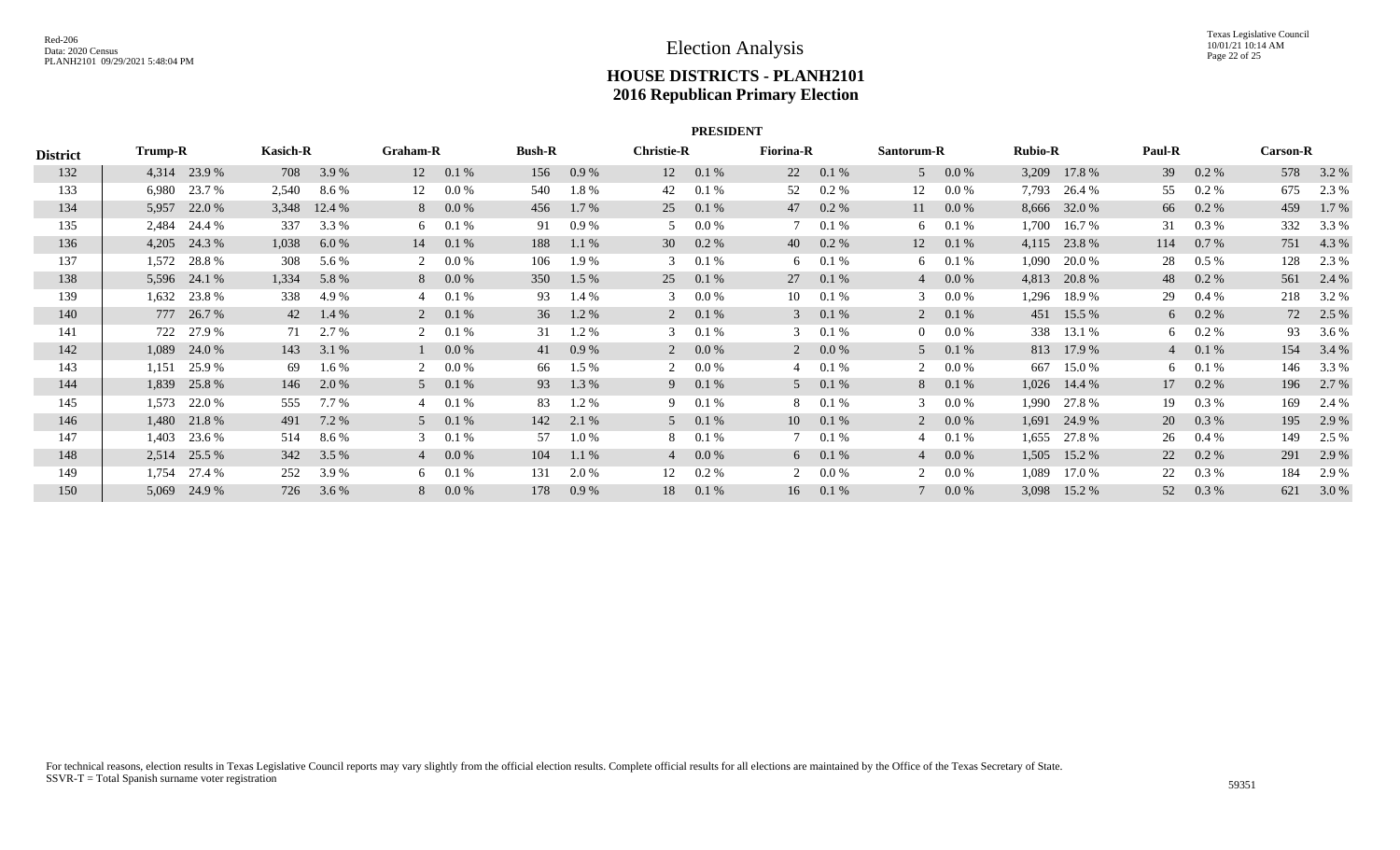|                 |         |                |                 |        |          |                |               |         |                   | <b>PRESIDENT</b> |                  |         |                |           |                |              |        |                |                 |           |
|-----------------|---------|----------------|-----------------|--------|----------|----------------|---------------|---------|-------------------|------------------|------------------|---------|----------------|-----------|----------------|--------------|--------|----------------|-----------------|-----------|
| <b>District</b> | Trump-R |                | <b>Kasich-R</b> |        | Graham-R |                | <b>Bush-R</b> |         | <b>Christie-R</b> |                  | <b>Fiorina-R</b> |         | Santorum-R     |           | <b>Rubio-R</b> |              | Paul-R |                | <b>Carson-R</b> |           |
| 132             |         | 4,314 23.9 %   | 708             | 3.9 %  | 12       | 0.1%           | 156           | 0.9%    | 12                | 0.1%             | 22               | 0.1 %   | $\mathfrak{F}$ | $0.0\%$   | 3,209          | 17.8 %       | 39     | $0.2 \%$       |                 | 578 3.2 % |
| 133             | 6,980   | 23.7 %         | 2,540           | 8.6%   | 12       | 0.0 %          | 540           | 1.8%    | 42                | 0.1%             | 52               | 0.2%    | 12             | 0.0 %     | 7,793          | 26.4 %       | 55     | $0.2\%$        | 675             | 2.3 %     |
| 134             | 5,957   | 22.0 %         | 3,348           | 12.4 % | 8        | 0.0 %          | 456           | $1.7\%$ | 25                | 0.1%             | 47               | 0.2 %   | 11             | $0.0\%$   |                | 8,666 32.0 % | 66     | $0.2\%$        | 459             | 1.7 %     |
| 135             | 2,484   | 24.4 %         | 337             | 3.3 %  | 6        | 0.1%           | 91            | 0.9 %   | 5                 | $0.0\ \%$        |                  | 0.1%    |                | 6 $0.1\%$ | 1,700          | 16.7 %       | 31     | $0.3\%$        | 332             | 3.3 %     |
| 136             |         | $4,205$ 24.3 % | 1,038           | 6.0 %  | 14       | 0.1%           | 188           | 1.1%    | 30                | $0.2 \%$         | 40               | 0.2 %   | 12             | 0.1 %     |                | 4,115 23.8 % | 114    | $0.7\%$        | 751             | 4.3 %     |
| 137             | 1,572   | 28.8%          | 308             | 5.6 %  |          | 0.0 %          | 106           | 1.9 %   | 3                 | 0.1%             | 6                | 0.1%    | 6              | 0.1%      | 1,090          | 20.0 %       | 28     | $0.5\%$        | 128             | 2.3 %     |
| 138             |         | 5,596 24.1 %   | 1,334           | 5.8 %  | 8        | 0.0 %          | 350           | $1.5\%$ | 25                | $0.1 \%$         | 27               | 0.1 %   | $\overline{4}$ | $0.0\%$   | 4,813          | 20.8%        | 48     | $0.2 \%$       | 561             | 2.4 %     |
| 139             | 1,632   | 23.8%          | 338             | 4.9 %  | 4        | 0.1%           | 93            | 1.4 %   | 3                 | $0.0\ \%$        | 10               | 0.1%    | 3              | $0.0\ \%$ | 1,296          | 18.9 %       | 29     | $0.4\%$        | 218             | 3.2 %     |
| 140             |         | 777 26.7 %     | 42              | 1.4 %  |          | $2\quad 0.1\%$ | 36            | 1.2%    |                   | $2\quad 0.1\%$   | $\mathbf{3}$     | 0.1 %   | $\overline{2}$ | 0.1 %     | 451            | 15.5 %       |        | $6\quad 0.2\%$ | 72              | 2.5 %     |
| 141             | 722     | 27.9 %         | 71              | 2.7 %  |          | 0.1%           | 31            | 1.2 %   | 3                 | 0.1%             | 3                | 0.1%    |                | $0.0\,\%$ | 338            | 13.1 %       |        | 6 $0.2\%$      | 93              | 3.6 %     |
| 142             | 1,089   | 24.0 %         | 143             | 3.1 %  |          | 0.0 %          | 41            | 0.9 %   |                   | $0.0\%$          | 2                | $0.0\%$ | 5              | 0.1 %     |                | 813 17.9 %   |        | $40.1\%$       | 154             | 3.4 %     |
| 143             | 1,151   | 25.9 %         | 69              | 1.6 %  |          | 0.0 %          | 66            | 1.5 %   | 2                 | $0.0\ \%$        | 4                | 0.1 %   | 2              | $0.0\ \%$ | 667            | 15.0 %       |        | $6\quad 0.1\%$ | 146             | 3.3 %     |
| 144             | 1,839   | 25.8%          | 146             | 2.0 %  |          | $5 \t 0.1 \%$  | 93            | 1.3 %   |                   | $9 \t 0.1\%$     | 5                | 0.1%    |                | 8 0.1 %   |                | 1,026 14.4 % |        | 17 0.2 %       | 196             | 2.7 %     |
| 145             | 1,573   | 22.0 %         | 555             | 7.7 %  |          | 0.1%           | 83            | 1.2 %   | 9.                | 0.1%             | 8                | 0.1%    | 3              | $0.0\,\%$ | 1,990          | 27.8 %       | 19     | $0.3\%$        | 169             | 2.4 %     |
| 146             |         | 1,480 21.8 %   | 491             | 7.2 %  |          | 5 0.1 %        | 142           | 2.1 %   |                   | $5$ 0.1%         | 10               | 0.1 %   |                | $0.0\%$   | 1,691          | 24.9 %       | 20     | 0.3 %          | 195             | 2.9 %     |
| 147             | 1,403   | 23.6 %         | 514             | 8.6 %  | 3        | 0.1%           | 57            | $1.0\%$ | 8                 | $0.1\%$          |                  | 0.1%    |                | 0.1%      | 1,655          | 27.8 %       | 26     | $0.4\%$        | 149             | 2.5 %     |
| 148             |         | 2,514 25.5 %   | 342             | 3.5 %  |          | $40.0\%$       | 104           | 1.1 %   |                   | $4\quad 0.0\%$   | 6                | 0.1%    | $\overline{4}$ | $0.0\%$   | 1,505          | 15.2 %       | 22     | $0.2\%$        | 291             | 2.9 %     |
| 149             | 1,754   | 27.4 %         | 252             | 3.9%   | 6        | 0.1%           | 131           | 2.0 %   | 12                | $0.2 \%$         | 2                | 0.0 %   | 2              | $0.0\%$   | 1,089          | 17.0 %       | 22     | 0.3 %          | 184             | 2.9 %     |
| 150             | 5,069   | 24.9 %         | 726             | 3.6 %  | 8        | 0.0 %          | 178           | 0.9%    | 18                | 0.1%             | 16               | 0.1%    |                | $0.0\%$   | 3,098          | 15.2 %       | 52     | 0.3%           | 621             | 3.0 %     |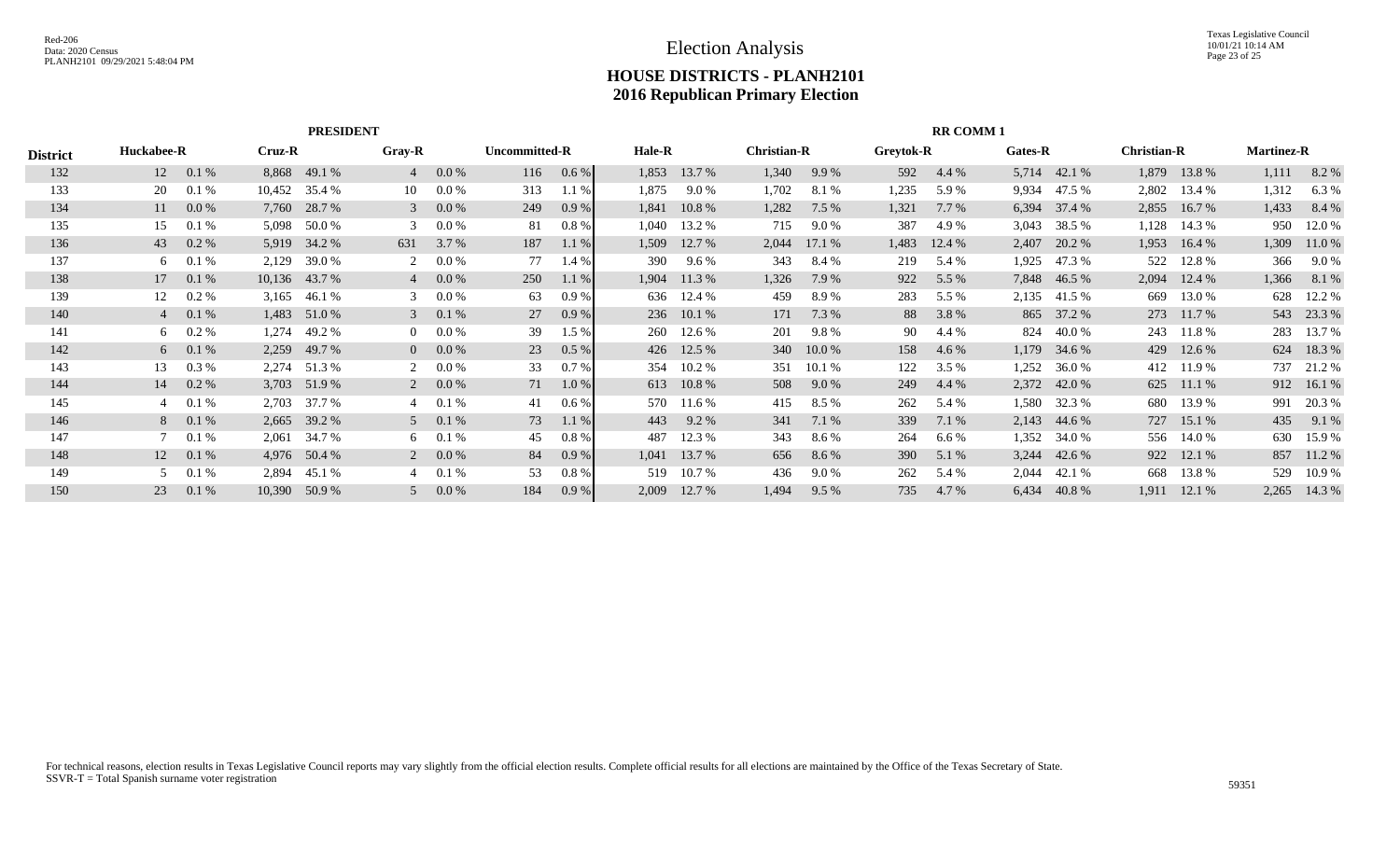|                 |            |                |        | <b>PRESIDENT</b> |                |                |               |         |               |            |                    |         |            | <b>RR COMM1</b> |         |            |                    |            |                   |            |
|-----------------|------------|----------------|--------|------------------|----------------|----------------|---------------|---------|---------------|------------|--------------------|---------|------------|-----------------|---------|------------|--------------------|------------|-------------------|------------|
| <b>District</b> | Huckabee-R |                | Cruz-R |                  | <b>Gray-R</b>  |                | Uncommitted-R |         | <b>Hale-R</b> |            | <b>Christian-R</b> |         | Greytok-R  |                 | Gates-R |            | <b>Christian-R</b> |            | <b>Martinez-R</b> |            |
| 132             | 12         | 0.1%           | 8,868  | 49.1 %           |                | 0.0 %          | 116           | 0.6 %   | 1,853         | 13.7 %     | 1,340              | 9.9%    | 592        | 4.4 %           | 5,714   | 42.1 %     | 1,879              | 13.8 %     | 1,111             | 8.2%       |
| 133             | 20         | 0.1%           | 10,452 | 35.4 %           | 10             | 0.0 %          | 313           | 1.1%    | 1,875         | 9.0%       | 1,702              | 8.1 %   | 1,235      | 5.9%            | 9,934   | 47.5 %     | 2,802              | 13.4 %     | 1,312             | 6.3%       |
| 134             | 11         | $0.0\%$        | 7,760  | 28.7 %           |                | 0.0 %          | 249           | 0.9%    | 1,841         | 10.8%      | 1,282              | 7.5%    | 1,321      | 7.7 %           | 6,394   | 37.4 %     | 2,855              | 16.7 %     | 1,433             | 8.4 %      |
| 135             | 15         | 0.1%           | 5,098  | 50.0 %           |                | 0.0 %          | 81            | 0.8%    | 1,040         | 13.2 %     | 715                | 9.0 %   | 387        | 4.9%            | 3,043   | 38.5 %     | 1,128              | 14.3 %     | 950               | 12.0 %     |
| 136             | 43         | $0.2 \%$       |        | 5,919 34.2 %     | 631            | 3.7 %          | 187           | 1.1%    | 1,509         | 12.7 %     | 2,044              | 17.1%   | 1,483      | 12.4 %          | 2,407   | 20.2 %     | 1,953              | 16.4 %     | 1,309             | 11.0%      |
| 137             | 6          | 0.1%           | 2,129  | 39.0%            |                | 0.0 %          | 77            | 1.4 %   | 390           | 9.6 %      | 343                | 8.4 %   | 219        | 5.4 %           | 1,925   | 47.3 %     | 522                | 12.8 %     | 366               | 9.0 %      |
| 138             | 17         | 0.1%           |        | 10,136 43.7 %    |                | 0.0 %          | 250           | 1.1%    | 1,904         | 11.3 %     | 1,326              | 7.9 %   | 922        | 5.5 %           | 7,848   | 46.5 %     | 2,094              | 12.4 %     | 1,366             | 8.1 %      |
| 139             | 12         | $0.2 \%$       | 3,165  | 46.1 %           |                | 0.0 %          | 63            | 0.9%    | 636           | 12.4 %     | 459                | 8.9%    | 283        | 5.5 %           | 2,135   | 41.5 %     | 669                | 13.0 %     | 628               | 12.2 %     |
| 140             |            | $4\quad 0.1\%$ | 1,483  | 51.0%            | 3              | 0.1%           | 27            | 0.9%    | 236           | 10.1 %     | 171                | 7.3 %   | 88         | 3.8 %           |         | 865 37.2 % |                    | 273 11.7 % |                   | 543 23.3 % |
| 141             | 6          | $0.2 \%$       | 1,274  | 49.2 %           |                | 0.0 %          | 39            | 1.5 %   | 260           | 12.6 %     | 201                | 9.8%    | 90         | 4.4 %           | 824     | 40.0 %     | 243                | 11.8 %     | 283               | 13.7 %     |
| 142             |            | $6\quad 0.1\%$ | 2,259  | 49.7 %           | $\overline{0}$ | $0.0\%$        | 23            | $0.5\%$ | 426           | 12.5 %     | 340                | 10.0 %  | 158        | 4.6 %           | 1,179   | 34.6 %     | 429                | 12.6 %     | 624               | 18.3%      |
| 143             | 13         | 0.3 %          | 2,274  | 51.3%            |                | 0.0 %          | 33            | 0.7%    | 354           | 10.2 %     | 351                | 10.1 %  | 122        | 3.5%            | 1,252   | 36.0%      |                    | 412 11.9 % | 737               | 21.2 %     |
| 144             | 14         | $0.2\%$        | 3,703  | 51.9%            |                | $2\quad 0.0\%$ | 71            | $1.0\%$ | 613           | 10.8 %     | 508                | 9.0 %   | 249        | 4.4 %           | 2,372   | 42.0 %     |                    | 625 11.1 % |                   | 912 16.1 % |
| 145             |            | 0.1%           | 2,703  | 37.7 %           |                | 0.1%           | 41            | 0.6%    |               | 570 11.6 % | 415                | 8.5 %   | 262        | 5.4 %           | 1,580   | 32.3 %     | 680                | 13.9 %     | 991               | 20.3 %     |
| 146             |            | 8 0.1 %        | 2,665  | 39.2 %           |                | $5 \t 0.1 \%$  | 73            | 1.1%    | 443           | 9.2 %      | 341                | 7.1 %   | 339        | 7.1 %           | 2,143   | 44.6 %     |                    | 727 15.1 % | 435               | 9.1 %      |
| 147             |            | 0.1%           | 2,061  | 34.7 %           | 6              | 0.1%           | 45            | 0.8%    | 487           | 12.3 %     | 343                | 8.6 %   | 264        | 6.6%            | 1,352   | 34.0 %     | 556                | 14.0 %     | 630               | 15.9%      |
| 148             | 12         | 0.1%           |        | 4,976 50.4 %     |                | $2\quad 0.0\%$ | 84            | 0.9%    | 1,041         | 13.7 %     | 656                | 8.6 %   | <b>390</b> | 5.1 %           | 3,244   | 42.6 %     |                    | 922 12.1 % | 857               | 11.2 %     |
| 149             |            | 0.1%           | 2,894  | 45.1 %           |                | 0.1%           | 53            | 0.8%    | 519           | 10.7 %     | 436                | $9.0\%$ | 262        | 5.4 %           | 2,044   | 42.1 %     | 668                | 13.8%      | 529               | 10.9%      |
| 150             | 23         | 0.1%           | 10,390 | 50.9%            |                | 0.0 %          | 184           | $0.9\%$ | 2,009         | 12.7 %     | 1,494              | $9.5\%$ | 735        | 4.7 %           | 6,434   | 40.8%      | 1,911              | 12.1 %     | 2,265             | 14.3 %     |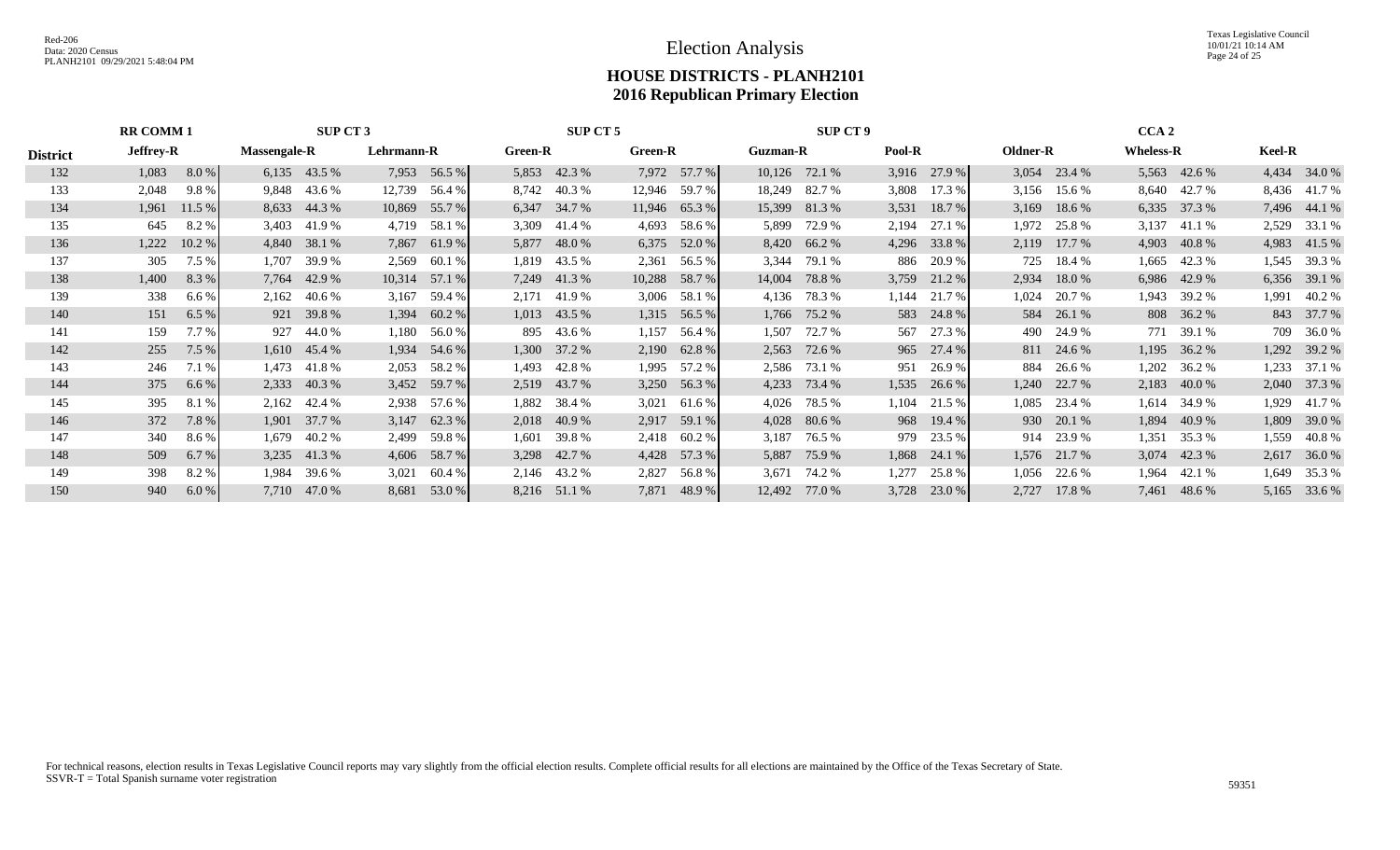Texas Legislative Council 10/01/21 10:14 AM Page 24 of 25

|                 | <b>RR COMM 1</b> |                               |                     | SUP CT 3       |            |              |                | SUP CT 5     |              |                |                 | <b>SUP CT 9</b> |        |                |          |                | CCA <sub>2</sub> |              |               |              |
|-----------------|------------------|-------------------------------|---------------------|----------------|------------|--------------|----------------|--------------|--------------|----------------|-----------------|-----------------|--------|----------------|----------|----------------|------------------|--------------|---------------|--------------|
| <b>District</b> | <b>Jeffrey-R</b> |                               | <b>Massengale-R</b> |                | Lehrmann-R |              | <b>Green-R</b> |              | Green-R      |                | <b>Guzman-R</b> |                 | Pool-R |                | Oldner-R |                | <b>Wheless-R</b> |              | <b>Keel-R</b> |              |
| 132             | 1,083            | 8.0 %                         |                     | 6,135 43.5 %   |            | 7,953 56.5 % |                | 5,853 42.3 % |              | 7,972 57.7 %   |                 | 10,126 72.1 %   |        | $3,916$ 27.9 % |          | $3,054$ 23.4 % |                  | 5,563 42.6 % |               | 4,434 34.0 % |
| 133             | 2,048            | 9.8%                          |                     | 9,848 43.6 %   | 12,739     | 56.4 %       |                | 8,742 40.3 % |              | 12,946 59.7 %  | 18,249          | 82.7 %          | 3,808  | 17.3 %         | 3,156    | 15.6 %         | 8,640            | 42.7 %       |               | 8,436 41.7 % |
| 134             | 1,961            | 11.5%                         |                     | 8,633 44.3 %   | 10,869     | 55.7 %       |                | 6,347 34.7 % |              | 11,946 65.3 %  | 15,399          | 81.3%           | 3,531  | 18.7 %         | 3,169    | 18.6 %         | 6,335            | 37.3 %       |               | 7,496 44.1 % |
| 135             | 645              | 8.2%                          |                     | 3,403 41.9 %   | 4,719      | 58.1 %       |                | 3,309 41.4 % | 4,693        | 58.6 %         | 5,899           | 72.9 %          | 2,194  | 27.1 %         | 1,972    | 25.8 %         | 3,137            | 41.1 %       |               | 2,529 33.1 % |
| 136             | 1,222            | 10.2 %                        |                     | 4,840 38.1 %   |            | 7,867 61.9 % |                | 5,877 48.0 % |              | 6,375 52.0 %   |                 | 8,420 66.2 %    |        | 4,296 33.8 %   | 2,119    | 17.7 %         | 4,903            | 40.8 %       |               | 4,983 41.5 % |
| 137             | 305              | 7.5 %                         | 1,707               | 39.9%          | 2,569      | 60.1 %       |                | 1,819 43.5 % | 2,361        | 56.5 %         | 3,344           | 79.1 %          |        | 886 20.9 %     | 725      | 18.4 %         | 1,665            | 42.3 %       |               | 1,545 39.3 % |
| 138             | 1,400            | 8.3%                          | 7,764               | 42.9 %         | 10,314     | 57.1 %       |                | 7,249 41.3 % | 10,288       | 58.7 %         | 14,004          | 78.8%           | 3,759  | 21.2 %         | 2,934    | 18.0%          | 6,986            | 42.9 %       |               | 6,356 39.1 % |
| 139             | 338              | $6.6\%$                       | 2,162               | 40.6 %         | 3,167      | 59.4 %       |                | 2,171 41.9 % | 3,006        | 58.1 %         | 4,136           | 78.3 %          | 1,144  | 21.7 %         | 1,024    | 20.7 %         | 1,943            | 39.2 %       |               | 1,991 40.2 % |
| 140             | 151              | 6.5%                          |                     | 921 39.8 %     | 1,394      | 60.2 %       |                | 1,013 43.5 % |              | 1,315 56.5 %   |                 | 1,766 75.2 %    |        | 583 24.8 %     | 584      | 26.1 %         |                  | 808 36.2 %   |               | 843 37.7 %   |
| 141             | 159              | 7.7%                          |                     | 927 44.0 %     | 1,180      | 56.0 %       |                | 895 43.6 %   | 1,157        | 56.4 %         | 1,507           | 72.7 %          | 567    | 27.3 %         | 490      | 24.9 %         | 771              | 39.1 %       |               | 709 36.0 %   |
| 142             | 255              | 7.5%                          |                     | $1,610$ 45.4 % | 1,934      | 54.6 %       | 1,300          | 37.2 %       | 2,190        | 62.8%          | 2,563           | 72.6 %          |        | 965 27.4 %     |          | 811 24.6 %     | 1,195            | 36.2 %       |               | 1,292 39.2 % |
| 143             | 246              | 7.1 %                         | 1,473               | 41.8%          | 2,053      | 58.2 %       | 1,493          | 42.8 %       | 1,995        | 57.2 %         | 2,586           | 73.1 %          | 951    | 26.9 %         | 884      | 26.6 %         | 1,202            | 36.2 %       | 1,233         | 37.1 %       |
| 144             | 375              | 6.6%                          |                     | 2,333 40.3 %   | 3,452      | 59.7 %       |                | 2,519 43.7 % |              | $3,250$ 56.3 % | 4,233           | 73.4 %          | 1,535  | 26.6 %         | 1,240    | 22.7 %         | 2,183            | 40.0 %       |               | 2,040 37.3 % |
| 145             | 395              | 8.1%                          | 2,162               | 42.4 %         | 2,938      | 57.6 %       |                | 1,882 38.4 % | 3,021        | 61.6 %         | 4,026           | 78.5 %          | 1,104  | 21.5 %         | 1,085    | 23.4 %         | 1,614            | 34.9 %       |               | 1,929 41.7 % |
| 146             | 372              | 7.8%                          | 1,901               | 37.7 %         | 3,147      | 62.3%        |                | 2,018 40.9 % | 2,917        | 59.1 %         | 4,028           | 80.6 %          |        | 968 19.4 %     |          | 930 20.1 %     | 1,894            | 40.9 %       |               | 1,809 39.0 % |
| 147             | 340              | 8.6 %                         | 1,679               | 40.2 %         | 2,499      | 59.8%        | 1,601          | 39.8 %       | 2,418        | 60.2 %         | 3,187           | 76.5 %          | 979    | 23.5 %         |          | 914 23.9 %     | 1,351            | 35.3 %       | 1,559         | 40.8%        |
| 148             | 509              | 6.7%                          |                     | 3,235 41.3 %   |            | 4,606 58.7 % |                | 3,298 42.7 % |              | 4,428 57.3 %   | 5,887           | 75.9 %          |        | 1,868 24.1 %   |          | 1,576 21.7 %   |                  | 3,074 42.3 % |               | 2,617 36.0 % |
| 149             | 398              | 8.2%                          | 1,984               | 39.6 %         | 3,021      | 60.4 %       |                | 2,146 43.2 % | 2,827        | 56.8 %         | 3,671           | 74.2 %          | 1,277  | 25.8%          | 1,056    | 22.6 %         | 1,964            | 42.1 %       |               | 1,649 35.3 % |
| 150             | 940              | 7,710 47.0 %<br>6.0%<br>8,681 |                     |                | 53.0 %     |              | 8,216 51.1 %   |              | 7,871 48.9 % | 12,492         | 77.0 %          | 3,728           | 23.0 % | 2,727          | 17.8 %   | 7,461          | 48.6 %           |              | 5,165 33.6 %  |              |